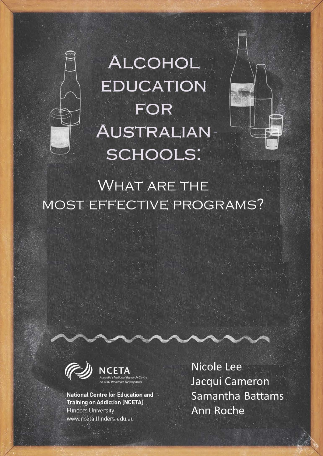

**ALCOHOL EDUCATION FOR** AUSTRALIAN **SCHOOLS:** 



# **WHAT ARE THE** MOST EFFECTIVE PROGRAMS?



**National Centre for Education and Training on Addiction (NCETA) Flinders University** www.nceta.flinders.edu.au

Nicole Lee Jacqui Cameron Samantha Battams Ann Roche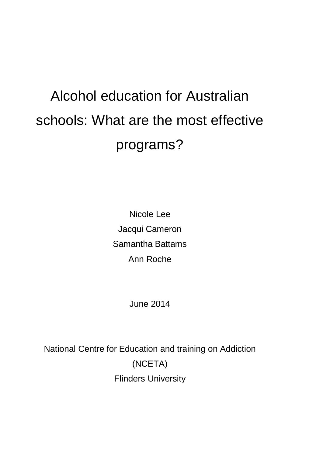# Alcohol education for Australian schools: What are the most effective programs?

Nicole Lee Jacqui Cameron Samantha Battams Ann Roche

June 2014

National Centre for Education and training on Addiction (NCETA) Flinders University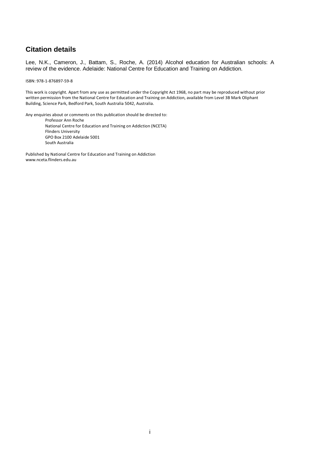# **Citation details**

Lee, N.K., Cameron, J., Battam, S., Roche, A. (2014) Alcohol education for Australian schools: A review of the evidence. Adelaide: National Centre for Education and Training on Addiction.

ISBN: 978-1-876897-59-8

This work is copyright. Apart from any use as permitted under the Copyright Act 1968, no part may be reproduced without prior written permission from the National Centre for Education and Training on Addiction, available from Level 3B Mark Oliphant Building, Science Park, Bedford Park, South Australia 5042, Australia.

Any enquiries about or comments on this publication should be directed to: Professor Ann Roche National Centre for Education and Training on Addiction (NCETA) Flinders University GPO Box 2100 Adelaide 5001 South Australia

Published by National Centre for Education and Training on Addiction www.nceta.flinders.edu.au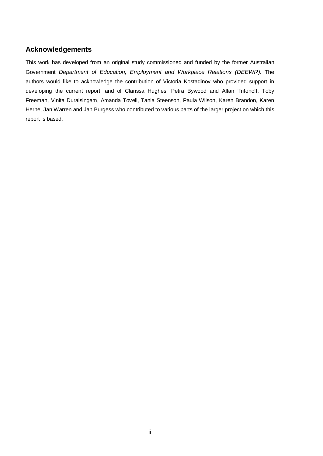# **Acknowledgements**

This work has developed from an original study commissioned and funded by the former Australian Government *Department of Education, Employment and Workplace Relations (DEEWR).* The authors would like to acknowledge the contribution of Victoria Kostadinov who provided support in developing the current report, and of Clarissa Hughes, Petra Bywood and Allan Trifonoff, Toby Freeman, Vinita Duraisingam, Amanda Tovell, Tania Steenson, Paula Wilson, Karen Brandon, Karen Herne, Jan Warren and Jan Burgess who contributed to various parts of the larger project on which this report is based.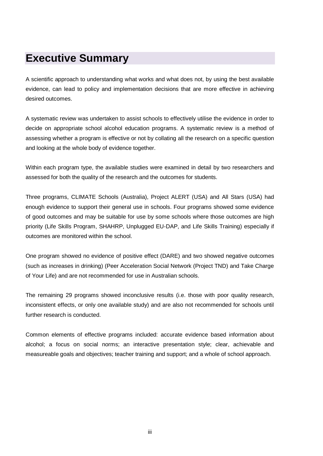# **Executive Summary**

A scientific approach to understanding what works and what does not, by using the best available evidence, can lead to policy and implementation decisions that are more effective in achieving desired outcomes.

A systematic review was undertaken to assist schools to effectively utilise the evidence in order to decide on appropriate school alcohol education programs. A systematic review is a method of assessing whether a program is effective or not by collating all the research on a specific question and looking at the whole body of evidence together.

Within each program type, the available studies were examined in detail by two researchers and assessed for both the quality of the research and the outcomes for students.

Three programs, CLIMATE Schools (Australia), Project ALERT (USA) and All Stars (USA) had enough evidence to support their general use in schools. Four programs showed some evidence of good outcomes and may be suitable for use by some schools where those outcomes are high priority (Life Skills Program, SHAHRP, Unplugged EU-DAP, and Life Skills Training) especially if outcomes are monitored within the school.

One program showed no evidence of positive effect (DARE) and two showed negative outcomes (such as increases in drinking) (Peer Acceleration Social Network (Project TND) and Take Charge of Your Life) and are not recommended for use in Australian schools.

The remaining 29 programs showed inconclusive results (i.e. those with poor quality research, inconsistent effects, or only one available study) and are also not recommended for schools until further research is conducted.

Common elements of effective programs included: accurate evidence based information about alcohol; a focus on social norms; an interactive presentation style; clear, achievable and measureable goals and objectives; teacher training and support; and a whole of school approach.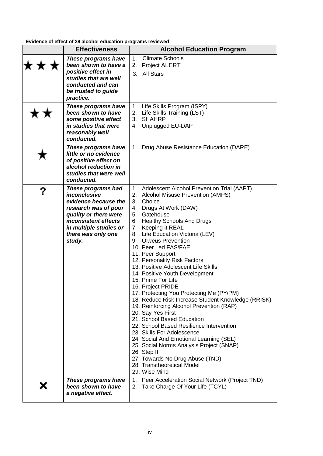**Evidence of effect of 39 alcohol education programs reviewed**

|   | <b>Effectiveness</b>                                                                                                                                                                          | <b>Alcohol Education Program</b>                                                                                                                                                                                                                                                                                                                                                                                                                                                                                                                                                                                                                                                                                                                                                                                                                                                                                                                                              |  |  |
|---|-----------------------------------------------------------------------------------------------------------------------------------------------------------------------------------------------|-------------------------------------------------------------------------------------------------------------------------------------------------------------------------------------------------------------------------------------------------------------------------------------------------------------------------------------------------------------------------------------------------------------------------------------------------------------------------------------------------------------------------------------------------------------------------------------------------------------------------------------------------------------------------------------------------------------------------------------------------------------------------------------------------------------------------------------------------------------------------------------------------------------------------------------------------------------------------------|--|--|
|   | These programs have<br>been shown to have a<br>positive effect in<br>studies that are well<br>conducted and can<br>be trusted to guide<br>practice.                                           | <b>Climate Schools</b><br>1.<br><b>Project ALERT</b><br>2.<br>3. All Stars                                                                                                                                                                                                                                                                                                                                                                                                                                                                                                                                                                                                                                                                                                                                                                                                                                                                                                    |  |  |
|   | These programs have<br>been shown to have<br>some positive effect<br>in studies that were<br>reasonably well<br>conducted.                                                                    | Life Skills Program (ISPY)<br>1.<br>2.<br>Life Skills Training (LST)<br>3.<br><b>SHAHRP</b><br>4. Unplugged EU-DAP                                                                                                                                                                                                                                                                                                                                                                                                                                                                                                                                                                                                                                                                                                                                                                                                                                                            |  |  |
|   | These programs have<br>little or no evidence<br>of positive effect on<br>alcohol reduction in<br>studies that were well<br>conducted.                                                         | Drug Abuse Resistance Education (DARE)<br>1.                                                                                                                                                                                                                                                                                                                                                                                                                                                                                                                                                                                                                                                                                                                                                                                                                                                                                                                                  |  |  |
| ? | These programs had<br>inconclusive<br>evidence because the<br>research was of poor<br>quality or there were<br>inconsistent effects<br>in multiple studies or<br>there was only one<br>study. | 1. Adolescent Alcohol Prevention Trial (AAPT)<br><b>Alcohol Misuse Prevention (AMPS)</b><br>2.<br>3.<br>Choice<br>Drugs At Work (DAW)<br>4.<br>5.<br>Gatehouse<br><b>Healthy Schools And Drugs</b><br>6.<br>7.<br>Keeping it REAL<br>Life Education Victoria (LEV)<br>8.<br><b>Olweus Prevention</b><br>9.<br>10. Peer Led FAS/FAE<br>11. Peer Support<br>12. Personality Risk Factors<br>13. Positive Adolescent Life Skills<br>14. Positive Youth Development<br>15. Prime For Life<br>16. Project PRIDE<br>17. Protecting You Protecting Me (PY/PM)<br>18. Reduce Risk Increase Student Knowledge (RRISK)<br>19. Reinforcing Alcohol Prevention (RAP)<br>20. Say Yes First<br>21. School Based Education<br>22. School Based Resilience Intervention<br>23. Skills For Adolescence<br>24. Social And Emotional Learning (SEL)<br>25. Social Norms Analysis Project (SNAP)<br>26. Step II<br>27. Towards No Drug Abuse (TND)<br>28. Transtheoretical Model<br>29. Wise Mind |  |  |
|   | These programs have<br>been shown to have<br>a negative effect.                                                                                                                               | 1. Peer Acceleration Social Network (Project TND)<br>Take Charge Of Your Life (TCYL)<br>2.                                                                                                                                                                                                                                                                                                                                                                                                                                                                                                                                                                                                                                                                                                                                                                                                                                                                                    |  |  |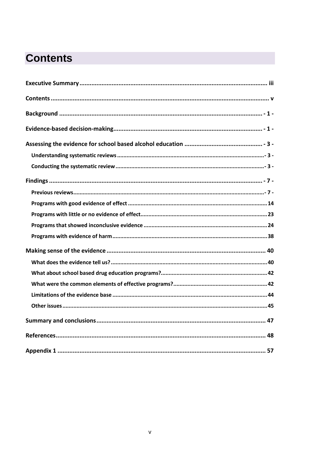# **Contents**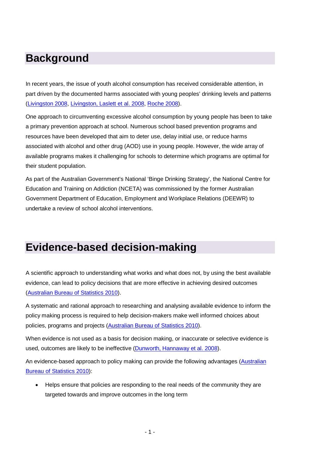# **Background**

In recent years, the issue of youth alcohol consumption has received considerable attention, in part driven by the documented harms associated with young peoples' drinking levels and patterns [\(Livingston 2008,](#page-58-0) [Livingston, Laslett et al. 2008,](#page-58-1) [Roche 2008\)](#page-60-0).

One approach to circumventing excessive alcohol consumption by young people has been to take a primary prevention approach at school. Numerous school based prevention programs and resources have been developed that aim to deter use, delay initial use, or reduce harms associated with alcohol and other drug (AOD) use in young people. However, the wide array of available programs makes it challenging for schools to determine which programs are optimal for their student population.

As part of the Australian Government's National 'Binge Drinking Strategy', the National Centre for Education and Training on Addiction (NCETA) was commissioned by the former Australian Government Department of Education, Employment and Workplace Relations (DEEWR) to undertake a review of school alcohol interventions.

# **Evidence-based decision-making**

A scientific approach to understanding what works and what does not, by using the best available evidence, can lead to policy decisions that are more effective in achieving desired outcomes [\(Australian Bureau of Statistics 2010\)](#page-55-0).

A systematic and rational approach to researching and analysing available evidence to inform the policy making process is required to help decision-makers make well informed choices about policies, programs and projects [\(Australian Bureau of Statistics 2010\)](#page-55-0).

When evidence is not used as a basis for decision making, or inaccurate or selective evidence is used, outcomes are likely to be ineffective [\(Dunworth, Hannaway et al. 2008\)](#page-56-0).

An evidence-based approach to policy making can provide the following advantages [\(Australian](#page-55-0)  [Bureau of Statistics 2010\)](#page-55-0):

• Helps ensure that policies are responding to the real needs of the community they are targeted towards and improve outcomes in the long term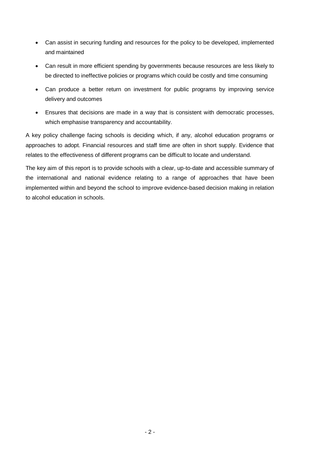- Can assist in securing funding and resources for the policy to be developed, implemented and maintained
- Can result in more efficient spending by governments because resources are less likely to be directed to ineffective policies or programs which could be costly and time consuming
- Can produce a better return on investment for public programs by improving service delivery and outcomes
- Ensures that decisions are made in a way that is consistent with democratic processes, which emphasise transparency and accountability.

A key policy challenge facing schools is deciding which, if any, alcohol education programs or approaches to adopt. Financial resources and staff time are often in short supply. Evidence that relates to the effectiveness of different programs can be difficult to locate and understand.

The key aim of this report is to provide schools with a clear, up-to-date and accessible summary of the international and national evidence relating to a range of approaches that have been implemented within and beyond the school to improve evidence-based decision making in relation to alcohol education in schools.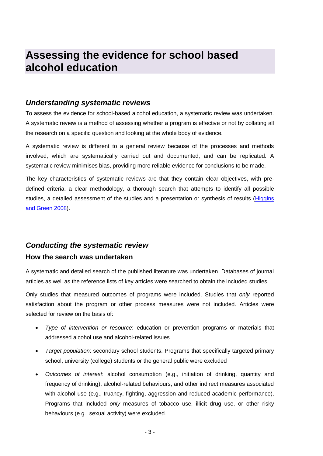# **Assessing the evidence for school based alcohol education**

# *Understanding systematic reviews*

To assess the evidence for school-based alcohol education, a systematic review was undertaken. A systematic review is a method of assessing whether a program is effective or not by collating all the research on a specific question and looking at the whole body of evidence.

A systematic review is different to a general review because of the processes and methods involved, which are systematically carried out and documented, and can be replicated. A systematic review minimises bias, providing more reliable evidence for conclusions to be made.

The key characteristics of systematic reviews are that they contain clear objectives, with predefined criteria, a clear methodology, a thorough search that attempts to identify all possible studies, a detailed assessment of the studies and a presentation or synthesis of results [\(Higgins](#page-58-2)  [and Green 2008\)](#page-58-2).

# *Conducting the systematic review*

### **How the search was undertaken**

A systematic and detailed search of the published literature was undertaken. Databases of journal articles as well as the reference lists of key articles were searched to obtain the included studies.

Only studies that measured outcomes of programs were included. Studies that *only* reported satisfaction about the program or other process measures were not included. Articles were selected for review on the basis of:

- *Type of intervention or resource*: education or prevention programs or materials that addressed alcohol use and alcohol-related issues
- *Target population*: secondary school students. Programs that specifically targeted primary school, university (college) students or the general public were excluded
- *Outcomes of interest*: alcohol consumption (e.g., initiation of drinking, quantity and frequency of drinking), alcohol-related behaviours, and other indirect measures associated with alcohol use (e.g., truancy, fighting, aggression and reduced academic performance). Programs that included *only* measures of tobacco use, illicit drug use, or other risky behaviours (e.g., sexual activity) were excluded.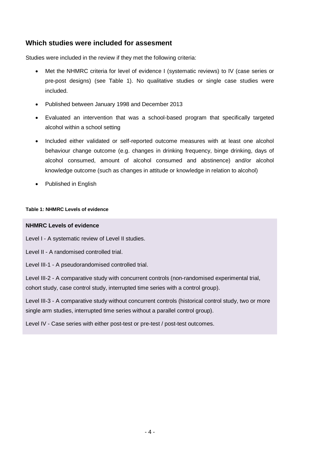# **Which studies were included for assesment**

Studies were included in the review if they met the following criteria:

- Met the NHMRC criteria for level of evidence I (systematic reviews) to IV (case series or pre-post designs) (see Table 1). No qualitative studies or single case studies were included.
- Published between January 1998 and December 2013
- Evaluated an intervention that was a school-based program that specifically targeted alcohol within a school setting
- Included either validated or self-reported outcome measures with at least one alcohol behaviour change outcome (e.g. changes in drinking frequency, binge drinking, days of alcohol consumed, amount of alcohol consumed and abstinence) and/or alcohol knowledge outcome (such as changes in attitude or knowledge in relation to alcohol)
- Published in English

#### **Table 1: NHMRC Levels of evidence**

#### **NHMRC Levels of evidence**

Level I - A systematic review of Level II studies.

Level II - A randomised controlled trial.

Level III-1 - A pseudorandomised controlled trial.

Level III-2 - A comparative study with concurrent controls (non-randomised experimental trial, cohort study, case control study, interrupted time series with a control group).

Level III-3 - A comparative study without concurrent controls (historical control study, two or more single arm studies, interrupted time series without a parallel control group).

Level IV - Case series with either post-test or pre-test / post-test outcomes.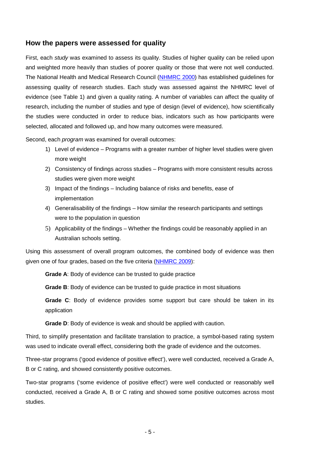# **How the papers were assessed for quality**

First, each *study* was examined to assess its quality. Studies of higher quality can be relied upon and weighted more heavily than studies of poorer quality or those that were not well conducted. The National Health and Medical Research Council [\(NHMRC 2000\)](#page-60-1) has established guidelines for assessing quality of research studies. Each study was assessed against the NHMRC level of evidence (see Table 1) and given a quality rating. A number of variables can affect the quality of research, including the number of studies and type of design (level of evidence), how scientifically the studies were conducted in order to reduce bias, indicators such as how participants were selected, allocated and followed up, and how many outcomes were measured.

Second, each *program* was examined for overall outcomes:

- 1) Level of evidence Programs with a greater number of higher level studies were given more weight
- 2) Consistency of findings across studies Programs with more consistent results across studies were given more weight
- 3) Impact of the findings Including balance of risks and benefits, ease of implementation
- 4) Generalisability of the findings How similar the research participants and settings were to the population in question
- 5) Applicability of the findings Whether the findings could be reasonably applied in an Australian schools setting.

Using this assessment of overall program outcomes, the combined body of evidence was then given one of four grades, based on the five criteria [\(NHMRC 2009\)](#page-60-2):

**Grade A**: Body of evidence can be trusted to guide practice

**Grade B**: Body of evidence can be trusted to guide practice in most situations

**Grade C**: Body of evidence provides some support but care should be taken in its application

**Grade D**: Body of evidence is weak and should be applied with caution.

Third, to simplify presentation and facilitate translation to practice, a symbol-based rating system was used to indicate overall effect, considering both the grade of evidence and the outcomes.

Three-star programs ('good evidence of positive effect'), were well conducted, received a Grade A, B or C rating, and showed consistently positive outcomes.

Two-star programs ('some evidence of positive effect') were well conducted or reasonably well conducted, received a Grade A, B or C rating and showed some positive outcomes across most studies.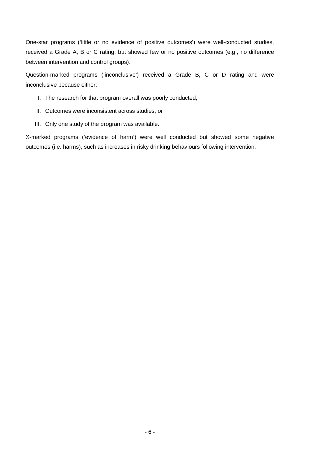One-star programs ('little or no evidence of positive outcomes') were well-conducted studies, received a Grade A, B or C rating, but showed few or no positive outcomes (e.g., no difference between intervention and control groups).

Question-marked programs ('inconclusive') received a Grade B**,** C or D rating and were inconclusive because either:

- I. The research for that program overall was poorly conducted;
- II. Outcomes were inconsistent across studies; or
- III. Only one study of the program was available.

X-marked programs ('evidence of harm') were well conducted but showed some negative outcomes (i.e. harms), such as increases in risky drinking behaviours following intervention.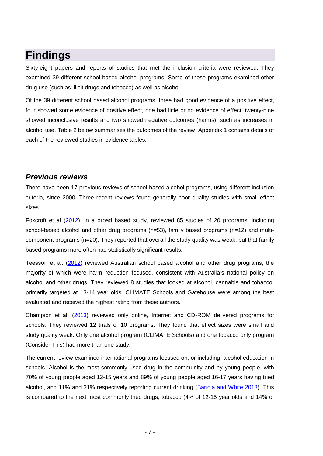# **Findings**

Sixty-eight papers and reports of studies that met the inclusion criteria were reviewed. They examined 39 different school-based alcohol programs. Some of these programs examined other drug use (such as illicit drugs and tobacco) as well as alcohol.

Of the 39 different school based alcohol programs, three had good evidence of a positive effect, four showed some evidence of positive effect, one had little or no evidence of effect, twenty-nine showed inconclusive results and two showed negative outcomes (harms), such as increases in alcohol use. Table 2 below summarises the outcomes of the review. Appendix 1 contains details of each of the reviewed studies in evidence tables.

# *Previous reviews*

There have been 17 previous reviews of school-based alcohol programs, using different inclusion criteria, since 2000. Three recent reviews found generally poor quality studies with small effect sizes.

Foxcroft et al [\(2012\)](#page-57-0), in a broad based study, reviewed 85 studies of 20 programs, including school-based alcohol and other drug programs  $(n=53)$ , family based programs  $(n=12)$  and multicomponent programs (n=20). They reported that overall the study quality was weak, but that family based programs more often had statistically significant results.

Teesson et al. [\(2012\)](#page-61-0) reviewed Australian school based alcohol and other drug programs, the majority of which were harm reduction focused, consistent with Australia's national policy on alcohol and other drugs. They reviewed 8 studies that looked at alcohol, cannabis and tobacco, primarily targeted at 13-14 year olds. CLIMATE Schools and Gatehouse were among the best evaluated and received the highest rating from these authors.

Champion et al. [\(2013\)](#page-56-1) reviewed only online, Internet and CD-ROM delivered programs for schools. They reviewed 12 trials of 10 programs. They found that effect sizes were small and study quality weak. Only one alcohol program (CLIMATE Schools) and one tobacco only program (Consider This) had more than one study.

The current review examined international programs focused on, or including, alcohol education in schools. Alcohol is the most commonly used drug in the community and by young people, with 70% of young people aged 12-15 years and 89% of young people aged 16-17 years having tried alcohol, and 11% and 31% respectively reporting current drinking [\(Bariola and White 2013\)](#page-55-1). This is compared to the next most commonly tried drugs, tobacco (4% of 12-15 year olds and 14% of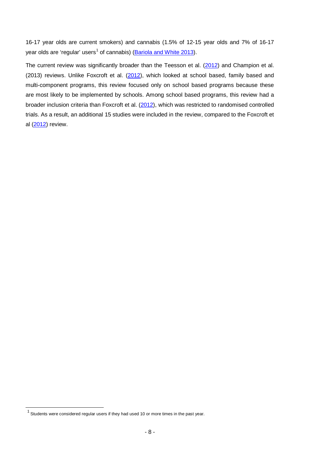16-17 year olds are current smokers) and cannabis (1.5% of 12-15 year olds and 7% of 16-17 year olds are 'regular' users<sup>[1](#page-15-0)</sup> of cannabis) [\(Bariola and White 2013\)](#page-55-1).

The current review was significantly broader than the Teesson et al. [\(2012\)](#page-61-0) and Champion et al. (2013) reviews. Unlike Foxcroft et al. [\(2012\)](#page-57-0), which looked at school based, family based and multi-component programs, this review focused only on school based programs because these are most likely to be implemented by schools. Among school based programs, this review had a broader inclusion criteria than Foxcroft et al. [\(2012\)](#page-57-0), which was restricted to randomised controlled trials. As a result, an additional 15 studies were included in the review, compared to the Foxcroft et al [\(2012\)](#page-57-0) review.

<span id="page-15-0"></span> $\ddot{ }$ 

 $1$  Students were considered regular users if they had used 10 or more times in the past year.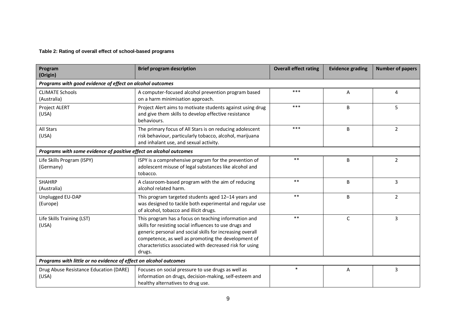#### **Table 2: Rating of overall effect of school-based programs**

| Program<br>(Origin)                                                | <b>Brief program description</b>                                                                                                                                                                                                                                                                          | <b>Overall effect rating</b> | <b>Evidence grading</b> | <b>Number of papers</b> |
|--------------------------------------------------------------------|-----------------------------------------------------------------------------------------------------------------------------------------------------------------------------------------------------------------------------------------------------------------------------------------------------------|------------------------------|-------------------------|-------------------------|
| Programs with good evidence of effect on alcohol outcomes          |                                                                                                                                                                                                                                                                                                           |                              |                         |                         |
| <b>CLIMATE Schools</b><br>(Australia)                              | A computer-focused alcohol prevention program based<br>on a harm minimisation approach.                                                                                                                                                                                                                   | $***$                        | A                       | 4                       |
| Project ALERT<br>(USA)                                             | Project Alert aims to motivate students against using drug<br>and give them skills to develop effective resistance<br>behaviours.                                                                                                                                                                         | $***$                        | B                       | 5                       |
| All Stars<br>(USA)                                                 | The primary focus of All Stars is on reducing adolescent<br>risk behaviour, particularly tobacco, alcohol, marijuana<br>and inhalant use, and sexual activity.                                                                                                                                            | ***                          | B                       | $\overline{2}$          |
| Programs with some evidence of positive effect on alcohol outcomes |                                                                                                                                                                                                                                                                                                           |                              |                         |                         |
| Life Skills Program (ISPY)<br>(Germany)                            | ISPY is a comprehensive program for the prevention of<br>adolescent misuse of legal substances like alcohol and<br>tobacco.                                                                                                                                                                               | $***$                        | B                       | $\overline{2}$          |
| <b>SHAHRP</b><br>(Australia)                                       | A classroom-based program with the aim of reducing<br>alcohol related harm.                                                                                                                                                                                                                               | $***$                        | B                       | 3                       |
| Unplugged EU-DAP<br>(Europe)                                       | This program targeted students aged 12-14 years and<br>was designed to tackle both experimental and regular use<br>of alcohol, tobacco and illicit drugs.                                                                                                                                                 | $***$                        | B                       | $\overline{2}$          |
| Life Skills Training (LST)<br>(USA)                                | This program has a focus on teaching information and<br>skills for resisting social influences to use drugs and<br>generic personal and social skills for increasing overall<br>competence, as well as promoting the development of<br>characteristics associated with decreased risk for using<br>drugs. | $***$                        | $\mathsf{C}$            | 3                       |
|                                                                    | Programs with little or no evidence of effect on alcohol outcomes                                                                                                                                                                                                                                         |                              |                         |                         |
| Drug Abuse Resistance Education (DARE)<br>(USA)                    | Focuses on social pressure to use drugs as well as<br>information on drugs, decision-making, self-esteem and<br>healthy alternatives to drug use.                                                                                                                                                         | $\ast$                       | Α                       | 3                       |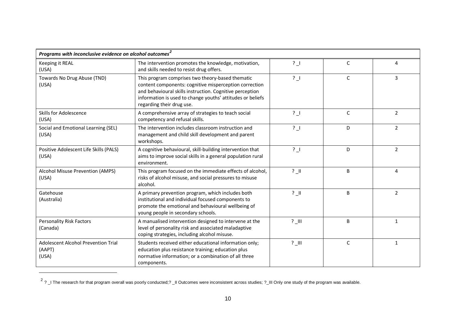<span id="page-17-0"></span>

| Programs with inconclusive evidence on alcohol outcomes $^2$  |                                                                                                                                                                                                                                                                   |                |              |                |
|---------------------------------------------------------------|-------------------------------------------------------------------------------------------------------------------------------------------------------------------------------------------------------------------------------------------------------------------|----------------|--------------|----------------|
| Keeping it REAL<br>(USA)                                      | The intervention promotes the knowledge, motivation,<br>and skills needed to resist drug offers.                                                                                                                                                                  | $\frac{1}{2}$  | C            | 4              |
| Towards No Drug Abuse (TND)<br>(USA)                          | This program comprises two theory-based thematic<br>content components: cognitive misperception correction<br>and behavioural skills instruction. Cognitive perception<br>information is used to change youths' attitudes or beliefs<br>regarding their drug use. | $\frac{1}{2}$  | $\mathsf{C}$ | 3              |
| <b>Skills for Adolescence</b><br>(USA)                        | A comprehensive array of strategies to teach social<br>competency and refusal skills.                                                                                                                                                                             | $\overline{?}$ | $\mathsf{C}$ | 2              |
| Social and Emotional Learning (SEL)<br>(USA)                  | The intervention includes classroom instruction and<br>management and child skill development and parent<br>workshops.                                                                                                                                            | $\frac{1}{2}$  | D            | $\overline{2}$ |
| Positive Adolescent Life Skills (PALS)<br>(USA)               | A cognitive behavioural, skill-building intervention that<br>aims to improve social skills in a general population rural<br>environment.                                                                                                                          | ?              | D            | $\overline{2}$ |
| Alcohol Misuse Prevention (AMPS)<br>(USA)                     | This program focused on the immediate effects of alcohol,<br>risks of alcohol misuse, and social pressures to misuse<br>alcohol.                                                                                                                                  | $?$ $  $       | B            | 4              |
| Gatehouse<br>(Australia)                                      | A primary prevention program, which includes both<br>institutional and individual focused components to<br>promote the emotional and behavioural wellbeing of<br>young people in secondary schools.                                                               | $?$ $  $       | B            | $\overline{2}$ |
| <b>Personality Risk Factors</b><br>(Canada)                   | A manualised intervention designed to intervene at the<br>level of personality risk and associated maladaptive<br>coping strategies, including alcohol misuse.                                                                                                    | $?$ III        | B            | 1              |
| <b>Adolescent Alcohol Prevention Trial</b><br>(AAPT)<br>(USA) | Students received either educational information only;<br>education plus resistance training; education plus<br>normative information; or a combination of all three<br>components.                                                                               | $?$ III        | $\mathsf{C}$ | $\mathbf{1}$   |

 $2$  ?  $\perp$  The research for that program overall was poorly conducted; ?  $\perp$ II Outcomes were inconsistent across studies; ?  $\perp$ III Only one study of the program was available.

 $\ddot{ }$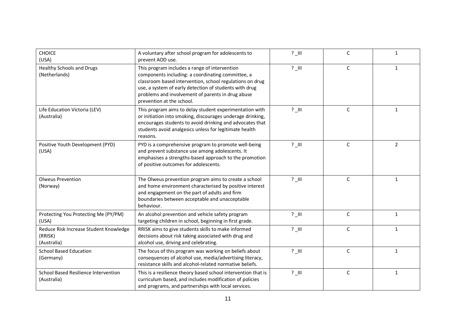| <b>CHOICE</b><br>(USA)                                           | A voluntary after school program for adolescents to<br>prevent AOD use.                                                                                                                                                                                                                                    | $?$ $\Box$ | $\mathsf C$  | $\mathbf{1}$   |
|------------------------------------------------------------------|------------------------------------------------------------------------------------------------------------------------------------------------------------------------------------------------------------------------------------------------------------------------------------------------------------|------------|--------------|----------------|
| <b>Healthy Schools and Drugs</b><br>(Netherlands)                | This program includes a range of intervention<br>components including: a coordinating committee, a<br>classroom based intervention, school regulations on drug<br>use, a system of early detection of students with drug<br>problems and involvement of parents in drug abuse<br>prevention at the school. | $?$ $\Box$ | $\mathsf C$  | $\mathbf{1}$   |
| Life Education Victoria (LEV)<br>(Australia)                     | This program aims to delay student experimentation with<br>or initiation into smoking, discourages underage drinking,<br>encourages students to avoid drinking and advocates that<br>students avoid analgesics unless for legitimate health<br>reasons.                                                    | $?$ $\Box$ | C            | 1              |
| Positive Youth Development (PYD)<br>(USA)                        | PYD is a comprehensive program to promote well-being<br>and prevent substance use among adolescents. It<br>emphasises a strengths-based approach to the promotion<br>of positive outcomes for adolescents.                                                                                                 | $?$ $   $  | $\mathsf C$  | $\overline{2}$ |
| <b>Olweus Prevention</b><br>(Norway)                             | The Olweus prevention program aims to create a school<br>and home environment characterised by positive interest<br>and engagement on the part of adults and firm<br>boundaries between acceptable and unacceptable<br>behaviour.                                                                          | $?$ $\Box$ | $\mathsf{C}$ | $\mathbf{1}$   |
| Protecting You Protecting Me (PY/PM)<br>(USA)                    | An alcohol prevention and vehicle safety program<br>targeting children in school, beginning in first grade.                                                                                                                                                                                                | $?$ $\Box$ | $\mathsf{C}$ | 1              |
| Reduce Risk Increase Student Knowledge<br>(RRISK)<br>(Australia) | RRISK aims to give students skills to make informed<br>decisions about risk taking associated with drug and<br>alcohol use, driving and celebrating.                                                                                                                                                       | $?$ _III   | $\mathsf C$  | 1              |
| <b>School Based Education</b><br>(Germany)                       | The focus of this program was working on beliefs about<br>consequences of alcohol use, media/advertising literacy,<br>resistance skills and alcohol-related normative beliefs.                                                                                                                             | $?$ $\Box$ | $\mathsf{C}$ | $\mathbf{1}$   |
| School Based Resilience Intervention<br>(Australia)              | This is a resilience theory based school intervention that is<br>curriculum based, and includes modification of policies<br>and programs, and partnerships with local services.                                                                                                                            | $?$ $\Box$ | $\mathsf C$  | $\mathbf{1}$   |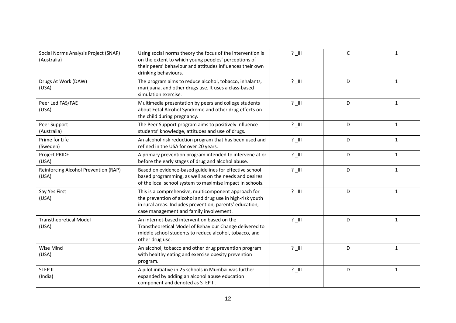| Social Norms Analysis Project (SNAP)<br>(Australia) | Using social norms theory the focus of the intervention is<br>on the extent to which young peoples' perceptions of<br>their peers' behaviour and attitudes influences their own<br>drinking behaviours.                  | $?$ $\Box$ | $\mathsf C$ | $\mathbf{1}$ |
|-----------------------------------------------------|--------------------------------------------------------------------------------------------------------------------------------------------------------------------------------------------------------------------------|------------|-------------|--------------|
| Drugs At Work (DAW)<br>(USA)                        | The program aims to reduce alcohol, tobacco, inhalants,<br>marijuana, and other drugs use. It uses a class-based<br>simulation exercise.                                                                                 | $?$ $\Box$ | D           | $\mathbf{1}$ |
| Peer Led FAS/FAE<br>(USA)                           | Multimedia presentation by peers and college students<br>about Fetal Alcohol Syndrome and other drug effects on<br>the child during pregnancy.                                                                           | $?$ $\Box$ | D           | 1            |
| Peer Support<br>(Australia)                         | The Peer Support program aims to positively influence<br>students' knowledge, attitudes and use of drugs.                                                                                                                | $?$ $\Box$ | D           | $\mathbf{1}$ |
| Prime for Life<br>(Sweden)                          | An alcohol risk reduction program that has been used and<br>refined in the USA for over 20 years.                                                                                                                        | $?$ $\Box$ | D           | $\mathbf{1}$ |
| Project PRIDE<br>(USA)                              | A primary prevention program intended to intervene at or<br>before the early stages of drug and alcohol abuse.                                                                                                           | $?$ $\Box$ | D           | $\mathbf{1}$ |
| Reinforcing Alcohol Prevention (RAP)<br>(USA)       | Based on evidence-based guidelines for effective school<br>based programming, as well as on the needs and desires<br>of the local school system to maximise impact in schools.                                           | $?$ $\Box$ | D           | $\mathbf{1}$ |
| Say Yes First<br>(USA)                              | This is a comprehensive, multicomponent approach for<br>the prevention of alcohol and drug use in high-risk youth<br>in rural areas. Includes prevention, parents' education,<br>case management and family involvement. | $?$ $\Box$ | D           | $\mathbf{1}$ |
| <b>Transtheoretical Model</b><br>(USA)              | An internet-based intervention based on the<br>Transtheoretical Model of Behaviour Change delivered to<br>middle school students to reduce alcohol, tobacco, and<br>other drug use.                                      | $?$ $\Box$ | D           | $\mathbf{1}$ |
| Wise Mind<br>(USA)                                  | An alcohol, tobacco and other drug prevention program<br>with healthy eating and exercise obesity prevention<br>program.                                                                                                 | $?$ $\Box$ | D           | $\mathbf{1}$ |
| <b>STEP II</b><br>(India)                           | A pilot initiative in 25 schools in Mumbai was further<br>expanded by adding an alcohol abuse education<br>component and denoted as STEP II.                                                                             | $?$ $\Box$ | D           | $\mathbf{1}$ |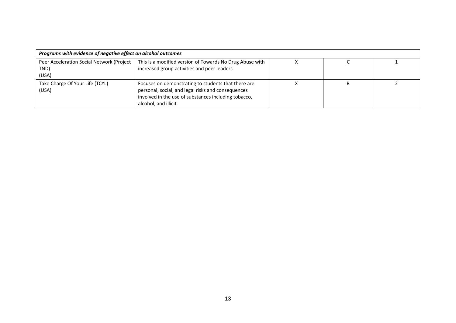| Programs with evidence of negative effect on alcohol outcomes |                                                                                                                                                                                            |  |  |  |
|---------------------------------------------------------------|--------------------------------------------------------------------------------------------------------------------------------------------------------------------------------------------|--|--|--|
| Peer Acceleration Social Network (Project<br>TND)<br>(USA)    | This is a modified version of Towards No Drug Abuse with<br>increased group activities and peer leaders.                                                                                   |  |  |  |
| Take Charge Of Your Life (TCYL)<br>(USA)                      | Focuses on demonstrating to students that there are<br>personal, social, and legal risks and consequences<br>involved in the use of substances including tobacco,<br>alcohol, and illicit. |  |  |  |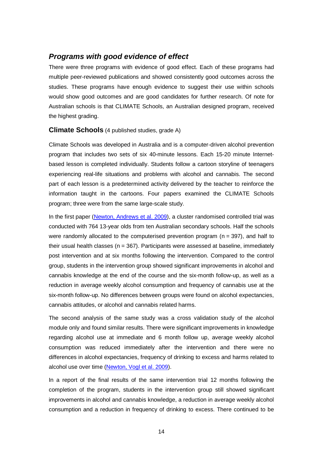# *Programs with good evidence of effect*

There were three programs with evidence of good effect. Each of these programs had multiple peer-reviewed publications and showed consistently good outcomes across the studies. These programs have enough evidence to suggest their use within schools would show good outcomes and are good candidates for further research. Of note for Australian schools is that CLIMATE Schools, an Australian designed program, received the highest grading.

#### **Climate Schools** (4 published studies, grade A)

Climate Schools was developed in Australia and is a computer-driven alcohol prevention program that includes two sets of six 40-minute lessons. Each 15-20 minute Internetbased lesson is completed individually. Students follow a cartoon storyline of teenagers experiencing real-life situations and problems with alcohol and cannabis. The second part of each lesson is a predetermined activity delivered by the teacher to reinforce the information taught in the cartoons. Four papers examined the CLIMATE Schools program; three were from the same large-scale study.

In the first paper [\(Newton, Andrews et al. 2009\)](#page-60-3), a cluster randomised controlled trial was conducted with 764 13-year olds from ten Australian secondary schools. Half the schools were randomly allocated to the computerised prevention program ( $n = 397$ ), and half to their usual health classes ( $n = 367$ ). Participants were assessed at baseline, immediately post intervention and at six months following the intervention. Compared to the control group, students in the intervention group showed significant improvements in alcohol and cannabis knowledge at the end of the course and the six-month follow-up, as well as a reduction in average weekly alcohol consumption and frequency of cannabis use at the six-month follow-up. No differences between groups were found on alcohol expectancies, cannabis attitudes, or alcohol and cannabis related harms.

The second analysis of the same study was a cross validation study of the alcohol module only and found similar results. There were significant improvements in knowledge regarding alcohol use at immediate and 6 month follow up, average weekly alcohol consumption was reduced immediately after the intervention and there were no differences in alcohol expectancies, frequency of drinking to excess and harms related to alcohol use over time [\(Newton, Vogl et al. 2009\)](#page-60-4).

In a report of the final results of the same intervention trial 12 months following the completion of the program, students in the intervention group still showed significant improvements in alcohol and cannabis knowledge, a reduction in average weekly alcohol consumption and a reduction in frequency of drinking to excess. There continued to be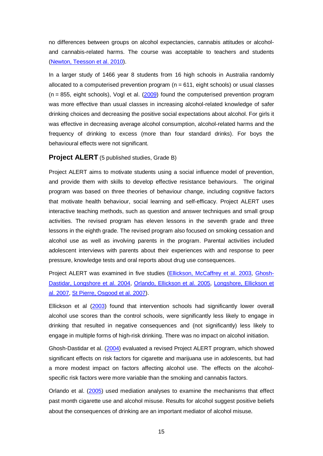no differences between groups on alcohol expectancies, cannabis attitudes or alcoholand cannabis-related harms. The course was acceptable to teachers and students [\(Newton, Teesson et al. 2010\)](#page-60-5).

In a larger study of 1466 year 8 students from 16 high schools in Australia randomly allocated to a computerised prevention program  $(n = 611,$  eight schools) or usual classes  $(n = 855,$  eight schools), Vogl et al.  $(2009)$  found the computerised prevention program was more effective than usual classes in increasing alcohol-related knowledge of safer drinking choices and decreasing the positive social expectations about alcohol. For girls it was effective in decreasing average alcohol consumption, alcohol-related harms and the frequency of drinking to excess (more than four standard drinks). For boys the behavioural effects were not significant.

#### **Project ALERT** (5 published studies, Grade B)

Project ALERT aims to motivate students using a social influence model of prevention, and provide them with skills to develop effective resistance behaviours. The original program was based on three theories of behaviour change, including cognitive factors that motivate health behaviour, social learning and self-efficacy. Project ALERT uses interactive teaching methods, such as question and answer techniques and small group activities. The revised program has eleven lessons in the seventh grade and three lessons in the eighth grade. The revised program also focused on smoking cessation and alcohol use as well as involving parents in the program. Parental activities included adolescent interviews with parents about their experiences with and response to peer pressure, knowledge tests and oral reports about drug use consequences.

Project ALERT was examined in five studies [\(Ellickson, McCaffrey et al. 2003,](#page-56-2) [Ghosh-](#page-57-1)[Dastidar, Longshore et al. 2004,](#page-57-1) [Orlando, Ellickson et al. 2005,](#page-60-6) [Longshore, Ellickson et](#page-58-3)  [al. 2007,](#page-58-3) [St Pierre, Osgood et al. 2007\)](#page-61-1).

Ellickson et al [\(2003\)](#page-56-2) found that intervention schools had significantly lower overall alcohol use scores than the control schools, were significantly less likely to engage in drinking that resulted in negative consequences and (not significantly) less likely to engage in multiple forms of high-risk drinking. There was no impact on alcohol initiation.

Ghosh-Dastidar et al. [\(2004\)](#page-57-1) evaluated a revised Project ALERT program, which showed significant effects on risk factors for cigarette and marijuana use in adolescents, but had a more modest impact on factors affecting alcohol use. The effects on the alcoholspecific risk factors were more variable than the smoking and cannabis factors.

Orlando et al. [\(2005\)](#page-60-6) used mediation analyses to examine the mechanisms that effect past month cigarette use and alcohol misuse. Results for alcohol suggest positive beliefs about the consequences of drinking are an important mediator of alcohol misuse*.*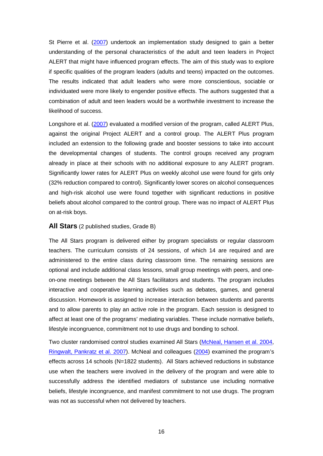St Pierre et al. [\(2007\)](#page-61-1) undertook an implementation study designed to gain a better understanding of the personal characteristics of the adult and teen leaders in Project ALERT that might have influenced program effects. The aim of this study was to explore if specific qualities of the program leaders (adults and teens) impacted on the outcomes. The results indicated that adult leaders who were more conscientious, sociable or individuated were more likely to engender positive effects. The authors suggested that a combination of adult and teen leaders would be a worthwhile investment to increase the likelihood of success.

Longshore et al. [\(2007\)](#page-58-3) evaluated a modified version of the program, called ALERT Plus, against the original Project ALERT and a control group. The ALERT Plus program included an extension to the following grade and booster sessions to take into account the developmental changes of students. The control groups received any program already in place at their schools with no additional exposure to any ALERT program. Significantly lower rates for ALERT Plus on weekly alcohol use were found for girls only (32% reduction compared to control). Significantly lower scores on alcohol consequences and high-risk alcohol use were found together with significant reductions in positive beliefs about alcohol compared to the control group. There was no impact of ALERT Plus on at-risk boys.

#### **All Stars** (2 published studies, Grade B)

The All Stars program is delivered either by program specialists or regular classroom teachers. The curriculum consists of 24 sessions, of which 14 are required and are administered to the entire class during classroom time. The remaining sessions are optional and include additional class lessons, small group meetings with peers, and oneon-one meetings between the All Stars facilitators and students. The program includes interactive and cooperative learning activities such as debates, games, and general discussion. Homework is assigned to increase interaction between students and parents and to allow parents to play an active role in the program. Each session is designed to affect at least one of the programs' mediating variables. These include normative beliefs, lifestyle incongruence, commitment not to use drugs and bonding to school.

Two cluster randomised control studies examined All Stars [\(McNeal, Hansen et al. 2004,](#page-59-0) [Ringwalt, Pankratz et al. 2007\)](#page-60-7). McNeal and colleagues [\(2004\)](#page-59-0) examined the program's effects across 14 schools (N=1822 students). All Stars achieved reductions in substance use when the teachers were involved in the delivery of the program and were able to successfully address the identified mediators of substance use including normative beliefs, lifestyle incongruence, and manifest commitment to not use drugs. The program was not as successful when not delivered by teachers.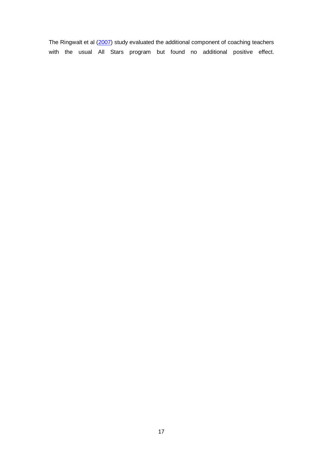The Ringwalt et al [\(2007\)](#page-60-7) study evaluated the additional component of coaching teachers with the usual All Stars program but found no additional positive effect.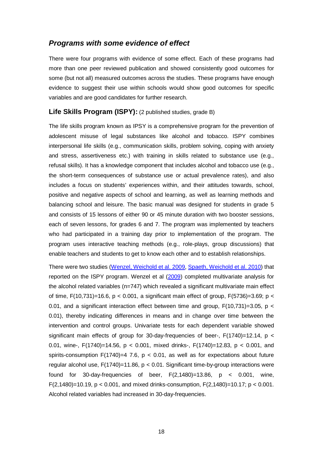# *Programs with some evidence of effect*

There were four programs with evidence of some effect. Each of these programs had more than one peer reviewed publication and showed consistently good outcomes for some (but not all) measured outcomes across the studies. These programs have enough evidence to suggest their use within schools would show good outcomes for specific variables and are good candidates for further research.

#### **Life Skills Program (ISPY):** (2 published studies, grade B)

The life skills program known as IPSY is a comprehensive program for the prevention of adolescent misuse of legal substances like alcohol and tobacco. ISPY combines interpersonal life skills (e.g., communication skills, problem solving, coping with anxiety and stress, assertiveness etc.) with training in skills related to substance use (e.g., refusal skills). It has a knowledge component that includes alcohol and tobacco use (e.g., the short-term consequences of substance use or actual prevalence rates), and also includes a focus on students' experiences within, and their attitudes towards, school, positive and negative aspects of school and learning, as well as learning methods and balancing school and leisure. The basic manual was designed for students in grade 5 and consists of 15 lessons of either 90 or 45 minute duration with two booster sessions, each of seven lessons, for grades 6 and 7. The program was implemented by teachers who had participated in a training day prior to implementation of the program. The program uses interactive teaching methods (e.g., role-plays, group discussions) that enable teachers and students to get to know each other and to establish relationships.

There were two studies [\(Wenzel, Weichold et al. 2009,](#page-62-1) [Spaeth, Weichold et al. 2010\)](#page-61-2) that reported on the ISPY program. Wenzel et al [\(2009\)](#page-62-1) completed multivariate analysis for the alcohol related variables (n=747) which revealed a significant multivariate main effect of time,  $F(10,731)=16.6$ ,  $p < 0.001$ , a significant main effect of group,  $F(5736)=3.69$ ;  $p <$ 0.01, and a significant interaction effect between time and group,  $F(10,731)=3.05$ , p < 0.01), thereby indicating differences in means and in change over time between the intervention and control groups. Univariate tests for each dependent variable showed significant main effects of group for 30-day-frequencies of beer-,  $F(1740)=12.14$ , p < 0.01, wine-, F(1740)=14.56, p < 0.001, mixed drinks-, F(1740)=12.83, p < 0.001, and spirits-consumption F(1740)=4 7.6,  $p < 0.01$ , as well as for expectations about future regular alcohol use,  $F(1740)=11.86$ ,  $p < 0.01$ . Significant time-by-group interactions were found for 30-day-frequencies of beer,  $F(2,1480)=13.86$ ,  $p < 0.001$ , wine, F(2,1480)=10.19, p < 0.001, and mixed drinks-consumption, F(2,1480)=10.17; p < 0.001. Alcohol related variables had increased in 30-day-frequencies.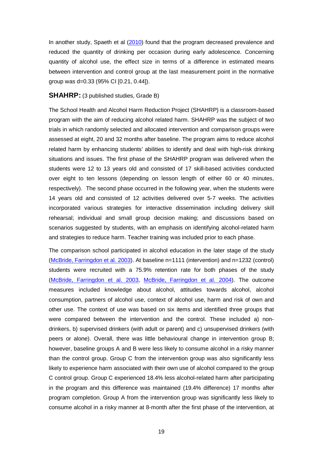In another study, Spaeth et al [\(2010\)](#page-61-2) found that the program decreased prevalence and reduced the quantity of drinking per occasion during early adolescence. Concerning quantity of alcohol use, the effect size in terms of a difference in estimated means between intervention and control group at the last measurement point in the normative group was d=0.33 (95% CI [0.21, 0.44]).

#### **SHAHRP:** (3 published studies, Grade B)

The School Health and Alcohol Harm Reduction Project (SHAHRP) is a classroom-based program with the aim of reducing alcohol related harm. SHAHRP was the subject of two trials in which randomly selected and allocated intervention and comparison groups were assessed at eight, 20 and 32 months after baseline. The program aims to reduce alcohol related harm by enhancing students' abilities to identify and deal with high-risk drinking situations and issues. The first phase of the SHAHRP program was delivered when the students were 12 to 13 years old and consisted of 17 skill-based activities conducted over eight to ten lessons (depending on lesson length of either 60 or 40 minutes, respectively). The second phase occurred in the following year, when the students were 14 years old and consisted of 12 activities delivered over 5-7 weeks. The activities incorporated various strategies for interactive dissemination including delivery skill rehearsal; individual and small group decision making; and discussions based on scenarios suggested by students, with an emphasis on identifying alcohol-related harm and strategies to reduce harm. Teacher training was included prior to each phase.

The comparison school participated in alcohol education in the later stage of the study [\(McBride, Farringdon et al. 2003\)](#page-59-1). At baseline n=1111 (intervention) and n=1232 (control) students were recruited with a 75.9% retention rate for both phases of the study [\(McBride, Farringdon et al. 2003,](#page-59-1) [McBride, Farringdon et al. 2004\)](#page-59-2). The outcome measures included knowledge about alcohol, attitudes towards alcohol, alcohol consumption, partners of alcohol use, context of alcohol use, harm and risk of own and other use. The context of use was based on six items and identified three groups that were compared between the intervention and the control. These included a) nondrinkers, b) supervised drinkers (with adult or parent) and c) unsupervised drinkers (with peers or alone). Overall, there was little behavioural change in intervention group B; however, baseline groups A and B were less likely to consume alcohol in a risky manner than the control group. Group C from the intervention group was also significantly less likely to experience harm associated with their own use of alcohol compared to the group C control group. Group C experienced 18.4% less alcohol-related harm after participating in the program and this difference was maintained (19.4% difference) 17 months after program completion. Group A from the intervention group was significantly less likely to consume alcohol in a risky manner at 8-month after the first phase of the intervention, at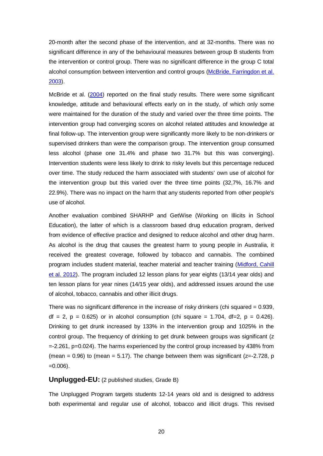20-month after the second phase of the intervention, and at 32-months. There was no significant difference in any of the behavioural measures between group B students from the intervention or control group. There was no significant difference in the group C total alcohol consumption between intervention and control groups [\(McBride, Farringdon et al.](#page-59-1)  [2003\)](#page-59-1).

McBride et al. [\(2004\)](#page-59-2) reported on the final study results. There were some significant knowledge, attitude and behavioural effects early on in the study, of which only some were maintained for the duration of the study and varied over the three time points. The intervention group had converging scores on alcohol related attitudes and knowledge at final follow-up. The intervention group were significantly more likely to be non-drinkers or supervised drinkers than were the comparison group. The intervention group consumed less alcohol (phase one 31.4% and phase two 31.7% but this was converging). Intervention students were less likely to drink to risky levels but this percentage reduced over time. The study reduced the harm associated with students' own use of alcohol for the intervention group but this varied over the three time points (32,7%, 16.7% and 22.9%). There was no impact on the harm that any students reported from other people's use of alcohol.

Another evaluation combined SHARHP and GetWise (Working on Illicits in School Education), the latter of which is a classroom based drug education program, derived from evidence of effective practice and designed to reduce alcohol and other drug harm. As alcohol is the drug that causes the greatest harm to young people in Australia, it received the greatest coverage, followed by tobacco and cannabis. The combined program includes student material, teacher material and teacher training [\(Midford, Cahill](#page-59-3)  [et al. 2012\)](#page-59-3). The program included 12 lesson plans for year eights (13/14 year olds) and ten lesson plans for year nines (14/15 year olds), and addressed issues around the use of alcohol, tobacco, cannabis and other illicit drugs.

There was no significant difference in the increase of risky drinkers (chi squared  $= 0.939$ ,  $df = 2$ ,  $p = 0.625$ ) or in alcohol consumption (chi square = 1.704, df=2,  $p = 0.426$ ). Drinking to get drunk increased by 133% in the intervention group and 1025% in the control group. The frequency of drinking to get drunk between groups was significant (z =-2.261, p=0.024). The harms experienced by the control group increased by 438% from (mean =  $0.96$ ) to (mean =  $5.17$ ). The change between them was significant ( $z=-2.728$ , p  $=0.006$ ).

#### **Unplugged-EU:** (2 published studies, Grade B)

The Unplugged Program targets students 12-14 years old and is designed to address both experimental and regular use of alcohol, tobacco and illicit drugs. This revised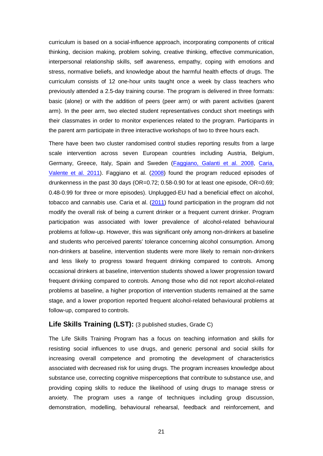curriculum is based on a social-influence approach, incorporating components of critical thinking, decision making, problem solving, creative thinking, effective communication, interpersonal relationship skills, self awareness, empathy, coping with emotions and stress, normative beliefs, and knowledge about the harmful health effects of drugs. The curriculum consists of 12 one-hour units taught once a week by class teachers who previously attended a 2.5-day training course. The program is delivered in three formats: basic (alone) or with the addition of peers (peer arm) or with parent activities (parent arm). In the peer arm, two elected student representatives conduct short meetings with their classmates in order to monitor experiences related to the program. Participants in the parent arm participate in three interactive workshops of two to three hours each.

There have been two cluster randomised control studies reporting results from a large scale intervention across seven European countries including Austria, Belgium, Germany, Greece, Italy, Spain and Sweden [\(Faggiano, Galanti et al. 2008,](#page-57-2) [Caria,](#page-55-2)  [Valente et al. 2011\)](#page-55-2). Faggiano et al. [\(2008\)](#page-57-2) found the program reduced episodes of drunkenness in the past 30 days (OR=0.72; 0.58-0.90 for at least one episode, OR=0.69; 0.48-0.99 for three or more episodes). Unplugged-EU had a beneficial effect on alcohol, tobacco and cannabis use. Caria et al. [\(2011\)](#page-55-2) found participation in the program did not modify the overall risk of being a current drinker or a frequent current drinker. Program participation was associated with lower prevalence of alcohol-related behavioural problems at follow-up. However, this was significant only among non-drinkers at baseline and students who perceived parents' tolerance concerning alcohol consumption. Among non-drinkers at baseline, intervention students were more likely to remain non-drinkers and less likely to progress toward frequent drinking compared to controls. Among occasional drinkers at baseline, intervention students showed a lower progression toward frequent drinking compared to controls. Among those who did not report alcohol-related problems at baseline, a higher proportion of intervention students remained at the same stage, and a lower proportion reported frequent alcohol-related behavioural problems at follow-up, compared to controls.

#### **Life Skills Training (LST):** (3 published studies, Grade C)

The Life Skills Training Program has a focus on teaching information and skills for resisting social influences to use drugs, and generic personal and social skills for increasing overall competence and promoting the development of characteristics associated with decreased risk for using drugs. The program increases knowledge about substance use, correcting cognitive misperceptions that contribute to substance use, and providing coping skills to reduce the likelihood of using drugs to manage stress or anxiety. The program uses a range of techniques including group discussion, demonstration, modelling, behavioural rehearsal, feedback and reinforcement, and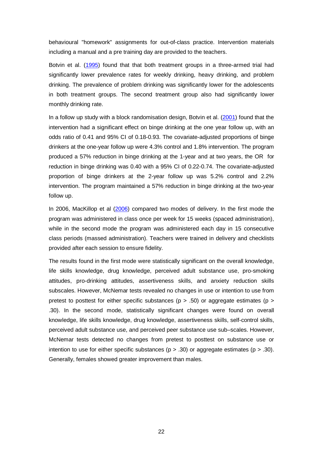behavioural "homework" assignments for out-of-class practice. Intervention materials including a manual and a pre training day are provided to the teachers.

Botvin et al. [\(1995\)](#page-55-3) found that that both treatment groups in a three-armed trial had significantly lower prevalence rates for weekly drinking, heavy drinking, and problem drinking. The prevalence of problem drinking was significantly lower for the adolescents in both treatment groups. The second treatment group also had significantly lower monthly drinking rate.

In a follow up study with a block randomisation design, Botvin et al. [\(2001\)](#page-55-4) found that the intervention had a significant effect on binge drinking at the one year follow up, with an odds ratio of 0.41 and 95% CI of 0.18-0.93. The covariate-adjusted proportions of binge drinkers at the one-year follow up were 4.3% control and 1.8% intervention. The program produced a 57% reduction in binge drinking at the 1-year and at two years, the OR for reduction in binge drinking was 0.40 with a 95% CI of 0.22-0.74. The covariate-adjusted proportion of binge drinkers at the 2-year follow up was 5.2% control and 2.2% intervention. The program maintained a 57% reduction in binge drinking at the two-year follow up.

In 2006, MacKillop et al [\(2006\)](#page-59-4) compared two modes of delivery. In the first mode the program was administered in class once per week for 15 weeks (spaced administration), while in the second mode the program was administered each day in 15 consecutive class periods (massed administration). Teachers were trained in delivery and checklists provided after each session to ensure fidelity.

The results found in the first mode were statistically significant on the overall knowledge, life skills knowledge, drug knowledge, perceived adult substance use, pro-smoking attitudes, pro-drinking attitudes, assertiveness skills, and anxiety reduction skills subscales. However, McNemar tests revealed no changes in use or intention to use from pretest to posttest for either specific substances ( $p > .50$ ) or aggregate estimates ( $p >$ .30). In the second mode, statistically significant changes were found on overall knowledge, life skills knowledge, drug knowledge, assertiveness skills, self-control skills, perceived adult substance use, and perceived peer substance use sub–scales. However, McNemar tests detected no changes from pretest to posttest on substance use or intention to use for either specific substances ( $p > .30$ ) or aggregate estimates ( $p > .30$ ). Generally, females showed greater improvement than males.

22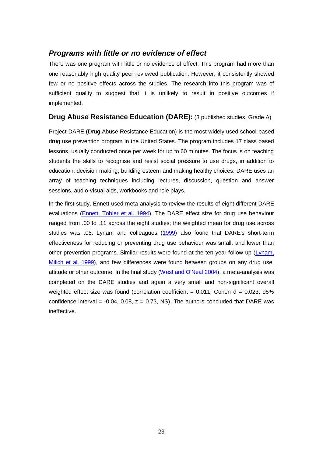# *Programs with little or no evidence of effect*

There was one program with little or no evidence of effect. This program had more than one reasonably high quality peer reviewed publication. However, it consistently showed few or no positive effects across the studies. The research into this program was of sufficient quality to suggest that it is unlikely to result in positive outcomes if implemented.

# **Drug Abuse Resistance Education (DARE):** (3 published studies, Grade A)

Project DARE (Drug Abuse Resistance Education) is the most widely used school-based drug use prevention program in the United States. The program includes 17 class based lessons, usually conducted once per week for up to 60 minutes. The focus is on teaching students the skills to recognise and resist social pressure to use drugs, in addition to education, decision making, building esteem and making healthy choices. DARE uses an array of teaching techniques including lectures, discussion, question and answer sessions, audio-visual aids, workbooks and role plays.

In the first study, Ennett used meta-analysis to review the results of eight different DARE evaluations [\(Ennett, Tobler et al. 1994\)](#page-57-3). The DARE effect size for drug use behaviour ranged from .00 to .11 across the eight studies; the weighted mean for drug use across studies was .06. Lynam and colleagues [\(1999\)](#page-59-5) also found that DARE's short-term effectiveness for reducing or preventing drug use behaviour was small, and lower than other prevention programs. Similar results were found at the ten year follow up [\(Lynam,](#page-59-5)  [Milich et al. 1999\)](#page-59-5), and few differences were found between groups on any drug use, attitude or other outcome. In the final study [\(West and O'Neal 2004\)](#page-62-2), a meta-analysis was completed on the DARE studies and again a very small and non-significant overall weighted effect size was found (correlation coefficient =  $0.011$ ; Cohen d =  $0.023$ ; 95% confidence interval  $= -0.04$ , 0.08,  $z = 0.73$ , NS). The authors concluded that DARE was ineffective.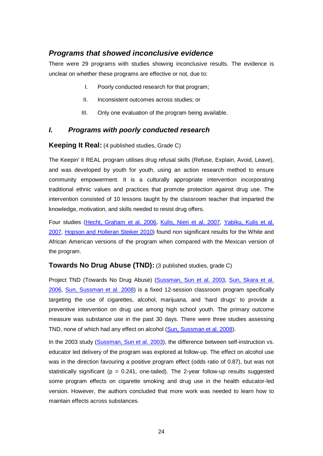# *Programs that showed inconclusive evidence*

There were 29 programs with studies showing inconclusive results. The evidence is unclear on whether these programs are effective or not, due to:

- I. Poorly conducted research for that program;
- II. Inconsistent outcomes across studies; or
- III. Only one evaluation of the program being available.

# *I. Programs with poorly conducted research*

#### **Keeping It Real:** (4 published studies, Grade C)

The Keepin' it REAL program utilises drug refusal skills (Refuse, Explain, Avoid, Leave), and was developed by youth for youth, using an action research method to ensure community empowerment. It is a culturally appropriate intervention incorporating traditional ethnic values and practices that promote protection against drug use. The intervention consisted of 10 lessons taught by the classroom teacher that imparted the knowledge, motivation, and skills needed to resist drug offers.

Four studies [\(Hecht, Graham et al. 2006,](#page-58-4) [Kulis, Nieri et al. 2007,](#page-58-5) [Yabiku, Kulis et al.](#page-63-0)  [2007,](#page-63-0) [Hopson and Holleran Steiker 2010\)](#page-58-6) found non significant results for the White and African American versions of the program when compared with the Mexican version of the program.

#### **Towards No Drug Abuse (TND):** (3 published studies, grade C)

Project TND (Towards No Drug Abuse) [\(Sussman, Sun et al. 2003,](#page-61-3) [Sun, Skara et al.](#page-61-4)  [2006,](#page-61-4) [Sun, Sussman et al. 2008\)](#page-61-5) is a fixed 12-session classroom program specifically targeting the use of cigarettes, alcohol, marijuana, and 'hard drugs' to provide a preventive intervention on drug use among high school youth. The primary outcome measure was substance use in the past 30 days. There were three studies assessing TND, none of which had any effect on alcohol [\(Sun, Sussman et al. 2008\)](#page-61-5).

In the 2003 study [\(Sussman, Sun et al. 2003\)](#page-61-3), the difference between self-instruction vs. educator led delivery of the program was explored at follow-up. The effect on alcohol use was in the direction favouring a positive program effect (odds ratio of 0.87), but was not statistically significant ( $p = 0.241$ , one-tailed). The 2-year follow-up results suggested some program effects on cigarette smoking and drug use in the health educator-led version. However, the authors concluded that more work was needed to learn how to maintain effects across substances.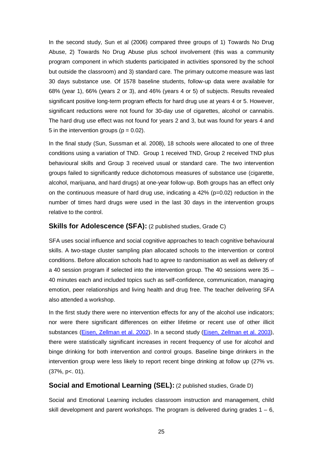In the second study, Sun et al (2006) compared three groups of 1) Towards No Drug Abuse, 2) Towards No Drug Abuse plus school involvement (this was a community program component in which students participated in activities sponsored by the school but outside the classroom) and 3) standard care. The primary outcome measure was last 30 days substance use. Of 1578 baseline students, follow-up data were available for 68% (year 1), 66% (years 2 or 3), and 46% (years 4 or 5) of subjects. Results revealed significant positive long-term program effects for hard drug use at years 4 or 5. However, significant reductions were not found for 30-day use of cigarettes, alcohol or cannabis. The hard drug use effect was not found for years 2 and 3, but was found for years 4 and 5 in the intervention groups ( $p = 0.02$ ).

In the final study (Sun, Sussman et al. 2008), 18 schools were allocated to one of three conditions using a variation of TND. Group 1 received TND, Group 2 received TND plus behavioural skills and Group 3 received usual or standard care. The two intervention groups failed to significantly reduce dichotomous measures of substance use (cigarette, alcohol, marijuana, and hard drugs) at one-year follow-up. Both groups has an effect only on the continuous measure of hard drug use, indicating a  $42\%$  (p=0.02) reduction in the number of times hard drugs were used in the last 30 days in the intervention groups relative to the control.

#### **Skills for Adolescence (SFA):** (2 published studies, Grade C)

SFA uses social influence and social cognitive approaches to teach cognitive behavioural skills. A two-stage cluster sampling plan allocated schools to the intervention or control conditions. Before allocation schools had to agree to randomisation as well as delivery of a 40 session program if selected into the intervention group. The 40 sessions were 35 – 40 minutes each and included topics such as self-confidence, communication, managing emotion, peer relationships and living health and drug free. The teacher delivering SFA also attended a workshop.

In the first study there were no intervention effects for any of the alcohol use indicators; nor were there significant differences on either lifetime or recent use of other illicit substances [\(Eisen, Zellman et al. 2002\)](#page-56-3). In a second study [\(Eisen, Zellman et al. 2003\)](#page-56-4), there were statistically significant increases in recent frequency of use for alcohol and binge drinking for both intervention and control groups. Baseline binge drinkers in the intervention group were less likely to report recent binge drinking at follow up (27% vs. (37%, p<. 01).

### **Social and Emotional Learning (SEL):** (2 published studies, Grade D)

Social and Emotional Learning includes classroom instruction and management, child skill development and parent workshops. The program is delivered during grades  $1 - 6$ ,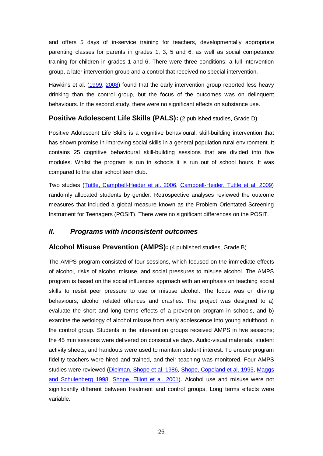and offers 5 days of in-service training for teachers, developmentally appropriate parenting classes for parents in grades 1, 3, 5 and 6, as well as social competence training for children in grades 1 and 6. There were three conditions: a full intervention group, a later intervention group and a control that received no special intervention.

Hawkins et al. [\(1999,](#page-57-4) [2008\)](#page-57-5) found that the early intervention group reported less heavy drinking than the control group, but the focus of the outcomes was on delinquent behaviours. In the second study, there were no significant effects on substance use.

# **Positive Adolescent Life Skills (PALS):** (2 published studies, Grade D)

Positive Adolescent Life Skills is a cognitive behavioural, skill-building intervention that has shown promise in improving social skills in a general population rural environment. It contains 25 cognitive behavioural skill-building sessions that are divided into five modules. Whilst the program is run in schools it is run out of school hours. It was compared to the after school teen club.

Two studies [\(Tuttle, Campbell-Heider et al. 2006,](#page-62-3) [Campbell-Heider, Tuttle et al. 2009\)](#page-55-5) randomly allocated students by gender. Retrospective analyses reviewed the outcome measures that included a global measure known as the Problem Orientated Screening Instrument for Teenagers (POSIT). There were no significant differences on the POSIT.

# *II. Programs with inconsistent outcomes*

### **Alcohol Misuse Prevention (AMPS):** (4 published studies, Grade B)

The AMPS program consisted of four sessions, which focused on the immediate effects of alcohol, risks of alcohol misuse, and social pressures to misuse alcohol. The AMPS program is based on the social influences approach with an emphasis on teaching social skills to resist peer pressure to use or misuse alcohol. The focus was on driving behaviours, alcohol related offences and crashes. The project was designed to a) evaluate the short and long terms effects of a prevention program in schools, and b) examine the aetiology of alcohol misuse from early adolescence into young adulthood in the control group. Students in the intervention groups received AMPS in five sessions; the 45 min sessions were delivered on consecutive days. Audio-visual materials, student activity sheets, and handouts were used to maintain student interest. To ensure program fidelity teachers were hired and trained, and their teaching was monitored. Four AMPS studies were reviewed [\(Dielman, Shope et al. 1986,](#page-56-5) [Shope, Copeland et al. 1993,](#page-60-8) [Maggs](#page-59-6)  [and Schulenberg 1998,](#page-59-6) [Shope, Elliott et al. 2001\)](#page-61-6). Alcohol use and misuse were not significantly different between treatment and control groups. Long terms effects were variable.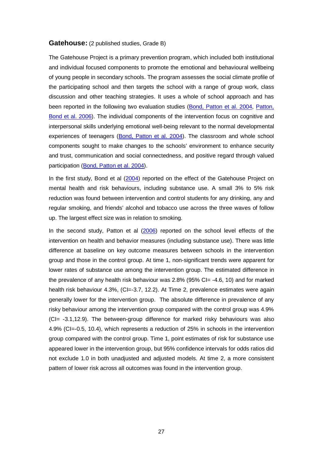#### **Gatehouse:** (2 published studies, Grade B)

The Gatehouse Project is a primary prevention program, which included both institutional and individual focused components to promote the emotional and behavioural wellbeing of young people in secondary schools. The program assesses the social climate profile of the participating school and then targets the school with a range of group work, class discussion and other teaching strategies. It uses a whole of school approach and has been reported in the following two evaluation studies [\(Bond, Patton et al. 2004,](#page-55-6) [Patton,](#page-60-9)  [Bond et al. 2006\)](#page-60-9). The individual components of the intervention focus on cognitive and interpersonal skills underlying emotional well-being relevant to the normal developmental experiences of teenagers [\(Bond, Patton et al. 2004\)](#page-55-6). The classroom and whole school components sought to make changes to the schools' environment to enhance security and trust, communication and social connectedness, and positive regard through valued participation [\(Bond, Patton et al. 2004\)](#page-55-6).

In the first study, Bond et al  $(2004)$  reported on the effect of the Gatehouse Project on mental health and risk behaviours, including substance use. A small 3% to 5% risk reduction was found between intervention and control students for any drinking, any and regular smoking, and friends' alcohol and tobacco use across the three waves of follow up. The largest effect size was in relation to smoking.

In the second study, Patton et al [\(2006\)](#page-60-9) reported on the school level effects of the intervention on health and behavior measures (including substance use). There was little difference at baseline on key outcome measures between schools in the intervention group and those in the control group. At time 1, non-significant trends were apparent for lower rates of substance use among the intervention group. The estimated difference in the prevalence of any health risk behaviour was 2.8% (95% CI= -4.6, 10) and for marked health risk behaviour 4.3%, (CI=-3.7, 12.2). At Time 2, prevalence estimates were again generally lower for the intervention group. The absolute difference in prevalence of any risky behaviour among the intervention group compared with the control group was 4.9% (CI= -3.1,12.9). The between-group difference for marked risky behaviours was also 4.9% (CI=-0.5, 10.4), which represents a reduction of 25% in schools in the intervention group compared with the control group. Time 1, point estimates of risk for substance use appeared lower in the intervention group, but 95% confidence intervals for odds ratios did not exclude 1.0 in both unadjusted and adjusted models. At time 2, a more consistent pattern of lower risk across all outcomes was found in the intervention group.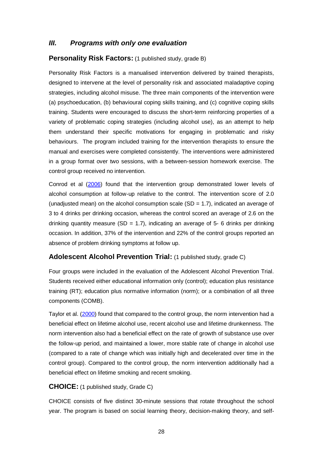### *III. Programs with only one evaluation*

#### **Personality Risk Factors:** (1 published study, grade B)

Personality Risk Factors is a manualised intervention delivered by trained therapists, designed to intervene at the level of personality risk and associated maladaptive coping strategies, including alcohol misuse. The three main components of the intervention were (a) psychoeducation, (b) behavioural coping skills training, and (c) cognitive coping skills training. Students were encouraged to discuss the short-term reinforcing properties of a variety of problematic coping strategies (including alcohol use), as an attempt to help them understand their specific motivations for engaging in problematic and risky behaviours. The program included training for the intervention therapists to ensure the manual and exercises were completed consistently. The interventions were administered in a group format over two sessions, with a between-session homework exercise. The control group received no intervention.

Conrod et al [\(2006\)](#page-56-6) found that the intervention group demonstrated lower levels of alcohol consumption at follow-up relative to the control. The intervention score of 2.0 (unadjusted mean) on the alcohol consumption scale  $(SD = 1.7)$ , indicated an average of 3 to 4 drinks per drinking occasion, whereas the control scored an average of 2.6 on the drinking quantity measure (SD = 1.7), indicating an average of 5- 6 drinks per drinking occasion. In addition, 37% of the intervention and 22% of the control groups reported an absence of problem drinking symptoms at follow up.

### **Adolescent Alcohol Prevention Trial:** (1 published study, grade C)

Four groups were included in the evaluation of the Adolescent Alcohol Prevention Trial. Students received either educational information only (control); education plus resistance training (RT); education plus normative information (norm); or a combination of all three components (COMB).

Taylor et al. [\(2000\)](#page-61-7) found that compared to the control group, the norm intervention had a beneficial effect on lifetime alcohol use, recent alcohol use and lifetime drunkenness. The norm intervention also had a beneficial effect on the rate of growth of substance use over the follow-up period, and maintained a lower, more stable rate of change in alcohol use (compared to a rate of change which was initially high and decelerated over time in the control group). Compared to the control group, the norm intervention additionally had a beneficial effect on lifetime smoking and recent smoking.

#### **CHOICE:** (1 published study, Grade C)

CHOICE consists of five distinct 30-minute sessions that rotate throughout the school year. The program is based on social learning theory, decision-making theory, and self-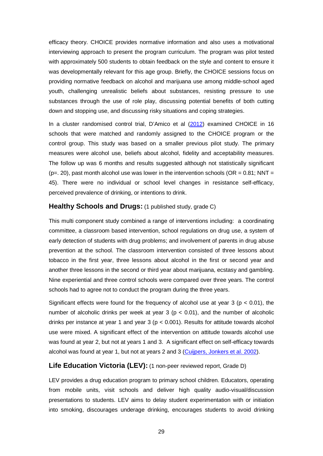efficacy theory. CHOICE provides normative information and also uses a motivational interviewing approach to present the program curriculum. The program was pilot tested with approximately 500 students to obtain feedback on the style and content to ensure it was developmentally relevant for this age group. Briefly, the CHOICE sessions focus on providing normative feedback on alcohol and marijuana use among middle-school aged youth, challenging unrealistic beliefs about substances, resisting pressure to use substances through the use of role play, discussing potential benefits of both cutting down and stopping use, and discussing risky situations and coping strategies.

In a cluster randomised control trial, D'Amico et al [\(2012\)](#page-56-0) examined CHOICE in 16 schools that were matched and randomly assigned to the CHOICE program or the control group. This study was based on a smaller previous pilot study. The primary measures were alcohol use, beliefs about alcohol, fidelity and acceptability measures. The follow up was 6 months and results suggested although not statistically significant ( $p=$ , 20), past month alcohol use was lower in the intervention schools ( $OR = 0.81$ ; NNT = 45). There were no individual or school level changes in resistance self-efficacy, perceived prevalence of drinking, or intentions to drink.

#### **Healthy Schools and Drugs:** (1 published study, grade C)

This multi component study combined a range of interventions including: a coordinating committee, a classroom based intervention, school regulations on drug use, a system of early detection of students with drug problems; and involvement of parents in drug abuse prevention at the school. The classroom intervention consisted of three lessons about tobacco in the first year, three lessons about alcohol in the first or second year and another three lessons in the second or third year about marijuana, ecstasy and gambling. Nine experiential and three control schools were compared over three years. The control schools had to agree not to conduct the program during the three years.

Significant effects were found for the frequency of alcohol use at year 3 ( $p < 0.01$ ), the number of alcoholic drinks per week at year 3 ( $p < 0.01$ ), and the number of alcoholic drinks per instance at year 1 and year 3 (p < 0.001). Results for attitude towards alcohol use were mixed. A significant effect of the intervention on attitude towards alcohol use was found at year 2, but not at years 1 and 3. A significant effect on self-efficacy towards alcohol was found at year 1, but not at years 2 and 3 [\(Cuijpers, Jonkers et al. 2002\)](#page-56-1).

#### **Life Education Victoria (LEV):** (1 non-peer reviewed report, Grade D)

LEV provides a drug education program to primary school children. Educators, operating from mobile units, visit schools and deliver high quality audio-visual/discussion presentations to students. LEV aims to delay student experimentation with or initiation into smoking, discourages underage drinking, encourages students to avoid drinking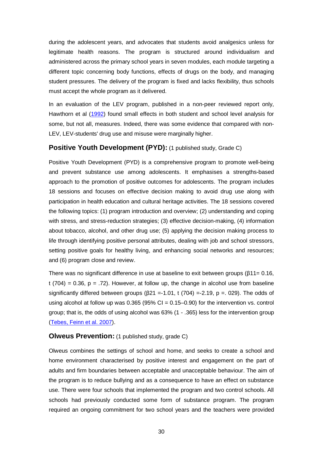during the adolescent years, and advocates that students avoid analgesics unless for legitimate health reasons. The program is structured around individualism and administered across the primary school years in seven modules, each module targeting a different topic concerning body functions, effects of drugs on the body, and managing student pressures. The delivery of the program is fixed and lacks flexibility, thus schools must accept the whole program as it delivered.

In an evaluation of the LEV program, published in a non-peer reviewed report only, Hawthorn et al [\(1992\)](#page-57-0) found small effects in both student and school level analysis for some, but not all, measures. Indeed, there was some evidence that compared with non-LEV, LEV-students' drug use and misuse were marginally higher.

#### **Positive Youth Development (PYD):** (1 published study, Grade C)

Positive Youth Development (PYD) is a comprehensive program to promote well-being and prevent substance use among adolescents. It emphasises a strengths-based approach to the promotion of positive outcomes for adolescents. The program includes 18 sessions and focuses on effective decision making to avoid drug use along with participation in health education and cultural heritage activities. The 18 sessions covered the following topics: (1) program introduction and overview; (2) understanding and coping with stress, and stress-reduction strategies; (3) effective decision-making, (4) information about tobacco, alcohol, and other drug use; (5) applying the decision making process to life through identifying positive personal attributes, dealing with job and school stressors, setting positive goals for healthy living, and enhancing social networks and resources; and (6) program close and review.

There was no significant difference in use at baseline to exit between groups (β11= 0.16, t  $(704) = 0.36$ ,  $p = 0.72$ . However, at follow up, the change in alcohol use from baseline significantly differed between groups ( $\beta$ 21 =-1.01, t (704) =-2.19, p = 0.029). The odds of using alcohol at follow up was  $0.365$  (95% CI =  $0.15-0.90$ ) for the intervention vs. control group; that is, the odds of using alcohol was 63% (1 - .365) less for the intervention group [\(Tebes, Feinn et al. 2007\)](#page-61-0).

#### **Olweus Prevention:** (1 published study, grade C)

Olweus combines the settings of school and home, and seeks to create a school and home environment characterised by positive interest and engagement on the part of adults and firm boundaries between acceptable and unacceptable behaviour. The aim of the program is to reduce bullying and as a consequence to have an effect on substance use. There were four schools that implemented the program and two control schools. All schools had previously conducted some form of substance program. The program required an ongoing commitment for two school years and the teachers were provided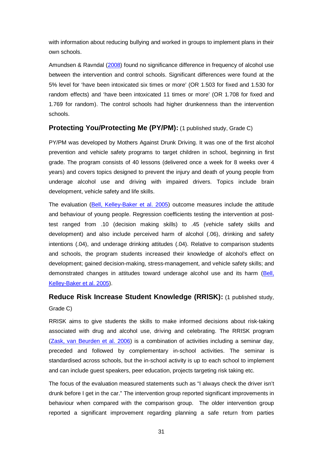with information about reducing bullying and worked in groups to implement plans in their own schools.

Amundsen & Ravndal [\(2008\)](#page-55-0) found no significance difference in frequency of alcohol use between the intervention and control schools. Significant differences were found at the 5% level for 'have been intoxicated six times or more' (OR 1.503 for fixed and 1.530 for random effects) and 'have been intoxicated 11 times or more' (OR 1.708 for fixed and 1.769 for random). The control schools had higher drunkenness than the intervention schools.

## **Protecting You/Protecting Me (PY/PM):** (1 published study, Grade C)

PY/PM was developed by Mothers Against Drunk Driving. It was one of the first alcohol prevention and vehicle safety programs to target children in school, beginning in first grade. The program consists of 40 lessons (delivered once a week for 8 weeks over 4 years) and covers topics designed to prevent the injury and death of young people from underage alcohol use and driving with impaired drivers. Topics include brain development, vehicle safety and life skills.

The evaluation [\(Bell, Kelley-Baker et al. 2005\)](#page-55-1) outcome measures include the attitude and behaviour of young people. Regression coefficients testing the intervention at posttest ranged from .10 (decision making skills) to .45 (vehicle safety skills and development) and also include perceived harm of alcohol (.06), drinking and safety intentions (.04), and underage drinking attitudes (.04). Relative to comparison students and schools, the program students increased their knowledge of alcohol's effect on development; gained decision-making, stress-management, and vehicle safety skills; and demonstrated changes in attitudes toward underage alcohol use and its harm [\(Bell,](#page-55-1)  [Kelley-Baker et al. 2005\)](#page-55-1).

## **Reduce Risk Increase Student Knowledge (RRISK):** (1 published study, Grade C)

RRISK aims to give students the skills to make informed decisions about risk-taking associated with drug and alcohol use, driving and celebrating. The RRISK program [\(Zask, van Beurden et al. 2006\)](#page-63-0) is a combination of activities including a seminar day, preceded and followed by complementary in-school activities. The seminar is standardised across schools, but the in-school activity is up to each school to implement and can include guest speakers, peer education, projects targeting risk taking etc.

The focus of the evaluation measured statements such as "I always check the driver isn't drunk before I get in the car." The intervention group reported significant improvements in behaviour when compared with the comparison group. The older intervention group reported a significant improvement regarding planning a safe return from parties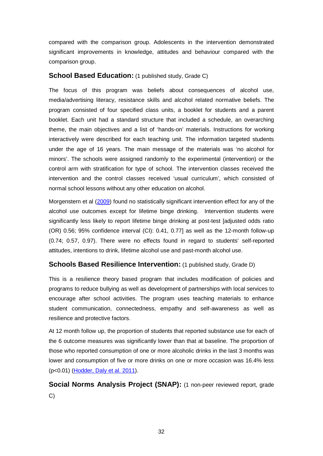compared with the comparison group. Adolescents in the intervention demonstrated significant improvements in knowledge, attitudes and behaviour compared with the comparison group.

#### **School Based Education:** (1 published study, Grade C)

The focus of this program was beliefs about consequences of alcohol use, media/advertising literacy, resistance skills and alcohol related normative beliefs. The program consisted of four specified class units, a booklet for students and a parent booklet. Each unit had a standard structure that included a schedule, an overarching theme, the main objectives and a list of 'hands-on' materials. Instructions for working interactively were described for each teaching unit. The information targeted students under the age of 16 years. The main message of the materials was 'no alcohol for minors'. The schools were assigned randomly to the experimental (intervention) or the control arm with stratification for type of school. The intervention classes received the intervention and the control classes received 'usual curriculum', which consisted of normal school lessons without any other education on alcohol.

Morgenstern et al [\(2009\)](#page-59-0) found no statistically significant intervention effect for any of the alcohol use outcomes except for lifetime binge drinking. Intervention students were significantly less likely to report lifetime binge drinking at post-test [adjusted odds ratio (OR) 0.56; 95% confidence interval (CI): 0.41, 0.77] as well as the 12-month follow-up (0.74; 0.57, 0.97). There were no effects found in regard to students' self-reported attitudes, intentions to drink, lifetime alcohol use and past-month alcohol use.

## **Schools Based Resilience Intervention:** (1 published study, Grade D)

This is a resilience theory based program that includes modification of policies and programs to reduce bullying as well as development of partnerships with local services to encourage after school activities. The program uses teaching materials to enhance student communication, connectedness, empathy and self-awareness as well as resilience and protective factors.

At 12 month follow up, the proportion of students that reported substance use for each of the 6 outcome measures was significantly lower than that at baseline. The proportion of those who reported consumption of one or more alcoholic drinks in the last 3 months was lower and consumption of five or more drinks on one or more occasion was 16.4% less (p<0.01) [\(Hodder, Daly et al. 2011\)](#page-58-0).

**Social Norms Analysis Project (SNAP):** (1 non-peer reviewed report, grade C)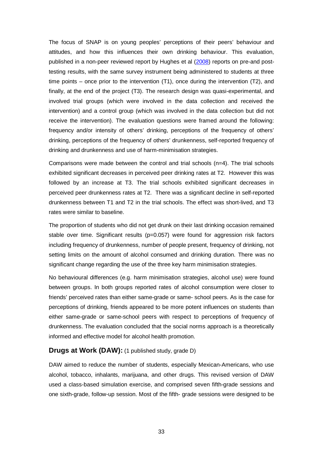The focus of SNAP is on young peoples' perceptions of their peers' behaviour and attitudes, and how this influences their own drinking behaviour. This evaluation, published in a non-peer reviewed report by Hughes et al [\(2008\)](#page-58-1) reports on pre-and posttesting results, with the same survey instrument being administered to students at three time points – once prior to the intervention (T1), once during the intervention (T2), and finally, at the end of the project (T3). The research design was quasi-experimental, and involved trial groups (which were involved in the data collection and received the intervention) and a control group (which was involved in the data collection but did not receive the intervention). The evaluation questions were framed around the following: frequency and/or intensity of others' drinking, perceptions of the frequency of others' drinking, perceptions of the frequency of others' drunkenness, self-reported frequency of drinking and drunkenness and use of harm-minimisation strategies.

Comparisons were made between the control and trial schools (n=4). The trial schools exhibited significant decreases in perceived peer drinking rates at T2. However this was followed by an increase at T3. The trial schools exhibited significant decreases in perceived peer drunkenness rates at T2. There was a significant decline in self-reported drunkenness between T1 and T2 in the trial schools. The effect was short-lived, and T3 rates were similar to baseline.

The proportion of students who did not get drunk on their last drinking occasion remained stable over time. Significant results (p=0.057) were found for aggression risk factors including frequency of drunkenness, number of people present, frequency of drinking, not setting limits on the amount of alcohol consumed and drinking duration. There was no significant change regarding the use of the three key harm minimisation strategies.

No behavioural differences (e.g. harm minimisation strategies, alcohol use) were found between groups. In both groups reported rates of alcohol consumption were closer to friends' perceived rates than either same-grade or same- school peers. As is the case for perceptions of drinking, friends appeared to be more potent influences on students than either same-grade or same-school peers with respect to perceptions of frequency of drunkenness. The evaluation concluded that the social norms approach is a theoretically informed and effective model for alcohol health promotion.

#### **Drugs at Work (DAW):** (1 published study, grade D)

DAW aimed to reduce the number of students, especially Mexican-Americans, who use alcohol, tobacco, inhalants, marijuana, and other drugs. This revised version of DAW used a class-based simulation exercise, and comprised seven fifth-grade sessions and one sixth-grade, follow-up session. Most of the fifth- grade sessions were designed to be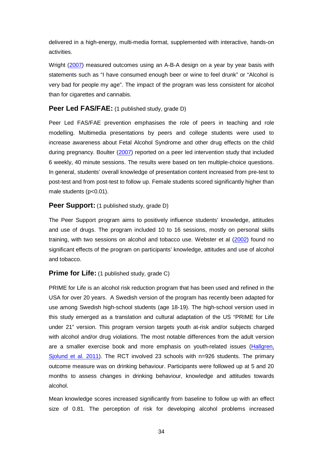delivered in a high-energy, multi-media format, supplemented with interactive, hands-on activities.

Wright [\(2007\)](#page-62-0) measured outcomes using an A-B-A design on a year by year basis with statements such as "I have consumed enough beer or wine to feel drunk" or "Alcohol is very bad for people my age". The impact of the program was less consistent for alcohol than for cigarettes and cannabis.

#### **Peer Led FAS/FAE:** (1 published study, grade D)

Peer Led FAS/FAE prevention emphasises the role of peers in teaching and role modelling. Multimedia presentations by peers and college students were used to increase awareness about Fetal Alcohol Syndrome and other drug effects on the child during pregnancy. Boulter [\(2007\)](#page-55-2) reported on a peer led intervention study that included 6 weekly, 40 minute sessions. The results were based on ten multiple-choice questions. In general, students' overall knowledge of presentation content increased from pre-test to post-test and from post-test to follow up. Female students scored significantly higher than male students (p<0.01).

#### **Peer Support:** (1 published study, grade D)

The Peer Support program aims to positively influence students' knowledge, attitudes and use of drugs. The program included 10 to 16 sessions, mostly on personal skills training, with two sessions on alcohol and tobacco use. Webster et al [\(2002\)](#page-62-1) found no significant effects of the program on participants' knowledge, attitudes and use of alcohol and tobacco.

## **Prime for Life:** (1 published study, grade C)

PRIME for Life is an alcohol risk reduction program that has been used and refined in the USA for over 20 years. A Swedish version of the program has recently been adapted for use among Swedish high-school students (age 18-19). The high-school version used in this study emerged as a translation and cultural adaptation of the US "PRIME for Life under 21" version. This program version targets youth at-risk and/or subjects charged with alcohol and/or drug violations. The most notable differences from the adult version are a smaller exercise book and more emphasis on youth-related issues [\(Hallgren,](#page-57-1)  [Sjolund et al. 2011\)](#page-57-1). The RCT involved 23 schools with n=926 students. The primary outcome measure was on drinking behaviour. Participants were followed up at 5 and 20 months to assess changes in drinking behaviour, knowledge and attitudes towards alcohol.

Mean knowledge scores increased significantly from baseline to follow up with an effect size of 0.81. The perception of risk for developing alcohol problems increased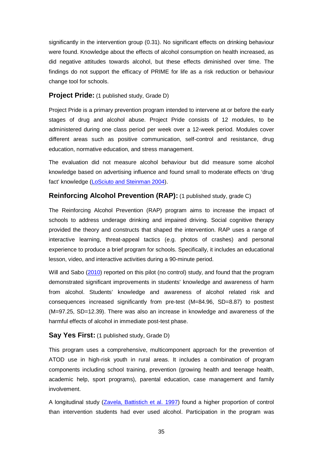significantly in the intervention group (0.31). No significant effects on drinking behaviour were found. Knowledge about the effects of alcohol consumption on health increased, as did negative attitudes towards alcohol, but these effects diminished over time. The findings do not support the efficacy of PRIME for life as a risk reduction or behaviour change tool for schools.

#### **Project Pride:** (1 published study, Grade D)

Project Pride is a primary prevention program intended to intervene at or before the early stages of drug and alcohol abuse. Project Pride consists of 12 modules, to be administered during one class period per week over a 12-week period. Modules cover different areas such as positive communication, self-control and resistance, drug education, normative education, and stress management.

The evaluation did not measure alcohol behaviour but did measure some alcohol knowledge based on advertising influence and found small to moderate effects on 'drug fact' knowledge [\(LoSciuto and Steinman 2004\)](#page-58-2).

## **Reinforcing Alcohol Prevention (RAP):** (1 published study, grade C)

The Reinforcing Alcohol Prevention (RAP) program aims to increase the impact of schools to address underage drinking and impaired driving. Social cognitive therapy provided the theory and constructs that shaped the intervention. RAP uses a range of interactive learning, threat-appeal tactics (e.g. photos of crashes) and personal experience to produce a brief program for schools. Specifically, it includes an educational lesson, video, and interactive activities during a 90-minute period.

Will and Sabo [\(2010\)](#page-62-2) reported on this pilot (no control) study, and found that the program demonstrated significant improvements in students' knowledge and awareness of harm from alcohol. Students' knowledge and awareness of alcohol related risk and consequences increased significantly from pre-test (M=84.96, SD=8.87) to posttest (M=97.25, SD=12.39). There was also an increase in knowledge and awareness of the harmful effects of alcohol in immediate post-test phase.

## **Say Yes First:** (1 published study, Grade D)

This program uses a comprehensive, multicomponent approach for the prevention of ATOD use in high-risk youth in rural areas. It includes a combination of program components including school training, prevention (growing health and teenage health, academic help, sport programs), parental education, case management and family involvement.

A longitudinal study [\(Zavela, Battistich et al. 1997\)](#page-63-1) found a higher proportion of control than intervention students had ever used alcohol. Participation in the program was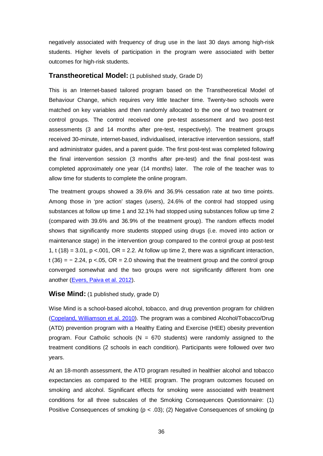negatively associated with frequency of drug use in the last 30 days among high-risk students. Higher levels of participation in the program were associated with better outcomes for high-risk students.

#### **Transtheoretical Model:** (1 published study, Grade D)

This is an Internet-based tailored program based on the Transtheoretical Model of Behaviour Change, which requires very little teacher time. Twenty-two schools were matched on key variables and then randomly allocated to the one of two treatment or control groups. The control received one pre-test assessment and two post-test assessments (3 and 14 months after pre-test, respectively). The treatment groups received 30-minute, internet-based, individualised, interactive intervention sessions, staff and administrator guides, and a parent guide. The first post-test was completed following the final intervention session (3 months after pre-test) and the final post-test was completed approximately one year (14 months) later. The role of the teacher was to allow time for students to complete the online program.

The treatment groups showed a 39.6% and 36.9% cessation rate at two time points. Among those in 'pre action' stages (users), 24.6% of the control had stopped using substances at follow up time 1 and 32.1% had stopped using substances follow up time 2 (compared with 39.6% and 36.9% of the treatment group). The random effects model shows that significantly more students stopped using drugs (i.e. moved into action or maintenance stage) in the intervention group compared to the control group at post-test 1, t  $(18) = 3.01$ , p <.001, OR = 2.2. At follow up time 2, there was a significant interaction, t (36) =  $-$  2.24, p <.05, OR = 2.0 showing that the treatment group and the control group converged somewhat and the two groups were not significantly different from one another [\(Evers, Paiva et al. 2012\)](#page-57-2).

#### **Wise Mind:** (1 published study, grade D)

Wise Mind is a school-based alcohol, tobacco, and drug prevention program for children [\(Copeland, Williamson et al. 2010\)](#page-56-2). The program was a combined Alcohol/Tobacco/Drug (ATD) prevention program with a Healthy Eating and Exercise (HEE) obesity prevention program. Four Catholic schools ( $N = 670$  students) were randomly assigned to the treatment conditions (2 schools in each condition). Participants were followed over two years.

At an 18-month assessment, the ATD program resulted in healthier alcohol and tobacco expectancies as compared to the HEE program. The program outcomes focused on smoking and alcohol. Significant effects for smoking were associated with treatment conditions for all three subscales of the Smoking Consequences Questionnaire: (1) Positive Consequences of smoking ( $p < .03$ ); (2) Negative Consequences of smoking ( $p$ )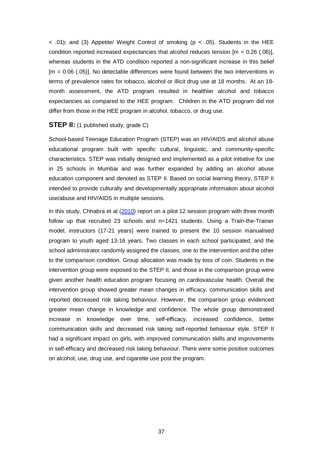$<$  0.01); and (3) Appetite/ Weight Control of smoking (p  $<$  0.05). Students in the HEE condition reported increased expectancies that alcohol reduces tension  $[m = 0.26 \cdot (.06)]$ . whereas students in the ATD condition reported a non-significant increase in this belief [m = 0.06 (.05)]. No detectable differences were found between the two interventions in terms of prevalence rates for tobacco, alcohol or illicit drug use at 18 months. At an 18 month assessment, the ATD program resulted in healthier alcohol and tobacco expectancies as compared to the HEE program. Children in the ATD program did not differ from those in the HEE program in alcohol, tobacco, or drug use.

#### **STEP II:** (1 published study, grade C)

School-based Teenage Education Program (STEP) was an HIV/AIDS and alcohol abuse educational program built with specific cultural, linguistic, and community-specific characteristics. STEP was initially designed and implemented as a pilot initiative for use in 25 schools in Mumbai and was further expanded by adding an alcohol abuse education component and denoted as STEP II. Based on social learning theory, STEP II intended to provide culturally and developmentally appropriate information about alcohol use/abuse and HIV/AIDS in multiple sessions.

In this study, Chhabra et al [\(2010\)](#page-56-3) report on a pilot 12 session program with three month follow up that recruited 23 schools and n=1421 students. Using a Train-the-Trainer model, instructors (17-21 years) were trained to present the 10 session manualised program to youth aged 13-16 years. Two classes in each school participated, and the school administrator randomly assigned the classes, one to the intervention and the other to the comparison condition. Group allocation was made by toss of coin. Students in the intervention group were exposed to the STEP II, and those in the comparison group were given another health education program focusing on cardiovascular health. Overall the intervention group showed greater mean changes in efficacy, communication skills and reported decreased risk taking behaviour. However, the comparison group evidenced greater mean change in knowledge and confidence. The whole group demonstrated increase in knowledge over time, self-efficacy, increased confidence, better communication skills and decreased risk taking self-reported behaviour style. STEP II had a significant impact on girls, with improved communication skills and improvements in self-efficacy and decreased risk taking behaviour. There were some positive outcomes on alcohol, use, drug use, and cigarette use post the program.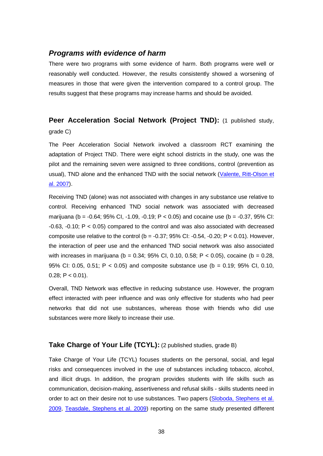## *Programs with evidence of harm*

There were two programs with some evidence of harm. Both programs were well or reasonably well conducted. However, the results consistently showed a worsening of measures in those that were given the intervention compared to a control group. The results suggest that these programs may increase harms and should be avoided.

## **Peer Acceleration Social Network (Project TND):** (1 published study, grade C)

The Peer Acceleration Social Network involved a classroom RCT examining the adaptation of Project TND. There were eight school districts in the study, one was the pilot and the remaining seven were assigned to three conditions, control (prevention as usual), TND alone and the enhanced TND with the social network (Valente, Ritt-Olson et [al. 2007\)](#page-62-3).

Receiving TND (alone) was not associated with changes in any substance use relative to control. Receiving enhanced TND social network was associated with decreased marijuana (b = -0.64; 95% Cl, -1.09, -0.19; P < 0.05) and cocaine use (b = -0.37, 95% Cl; -0.63, -0.10; P < 0.05) compared to the control and was also associated with decreased composite use relative to the control ( $b = -0.37$ ; 95% CI:  $-0.54$ ,  $-0.20$ ; P < 0.01). However, the interaction of peer use and the enhanced TND social network was also associated with increases in marijuana (b =  $0.34$ ;  $95\%$  CI,  $0.10$ ,  $0.58$ ; P <  $0.05$ ), cocaine (b =  $0.28$ , 95% CI: 0.05, 0.51; P < 0.05) and composite substance use (b = 0.19; 95% CI, 0.10, 0.28;  $P < 0.01$ ).

Overall, TND Network was effective in reducing substance use. However, the program effect interacted with peer influence and was only effective for students who had peer networks that did not use substances, whereas those with friends who did use substances were more likely to increase their use.

#### **Take Charge of Your Life (TCYL):** (2 published studies, grade B)

Take Charge of Your Life (TCYL) focuses students on the personal, social, and legal risks and consequences involved in the use of substances including tobacco, alcohol, and illicit drugs. In addition, the program provides students with life skills such as communication, decision-making, assertiveness and refusal skills - skills students need in order to act on their desire not to use substances. Two papers (Sloboda, Stephens et al. [2009,](#page-61-1) [Teasdale, Stephens et](#page-61-2) al. 2009) reporting on the same study presented different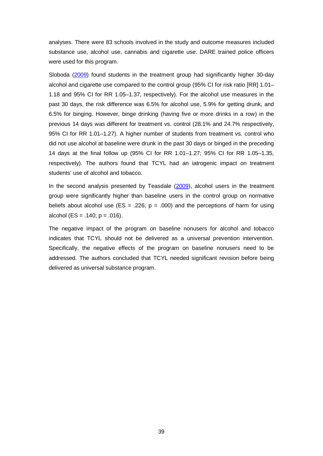analyses. There were 83 schools involved in the study and outcome measures included substance use, alcohol use, cannabis and cigarette use. DARE trained police officers were used for this program.

Sloboda [\(2009\)](#page-61-1) found students in the treatment group had significantly higher 30-day alcohol and cigarette use compared to the control group (95% CI for risk ratio [RR] 1.01– 1.18 and 95% CI for RR 1.05–1.37, respectively). For the alcohol use measures in the past 30 days, the risk difference was 6.5% for alcohol use, 5.9% for getting drunk, and 6.5% for binging. However, binge drinking (having five or more drinks in a row) in the previous 14 days was different for treatment vs. control (28.1% and 24.7% respectively, 95% CI for RR 1.01–1.27). A higher number of students from treatment vs. control who did not use alcohol at baseline were drunk in the past 30 days or binged in the preceding 14 days at the final follow up (95% CI for RR 1.01–1.27; 95% CI for RR 1.05–1.35, respectively). The authors found that TCYL had an iatrogenic impact on treatment students' use of alcohol and tobacco.

In the second analysis presented by Teasdale [\(2009\)](#page-61-2), alcohol users in the treatment group were significantly higher than baseline users in the control group on normative beliefs about alcohol use (ES = .226;  $p = .000$ ) and the perceptions of harm for using alcohol (ES = .140;  $p = .016$ ).

The negative impact of the program on baseline nonusers for alcohol and tobacco indicates that TCYL should not be delivered as a universal prevention intervention. Specifically, the negative effects of the program on baseline nonusers need to be addressed. The authors concluded that TCYL needed significant revision before being delivered as universal substance program.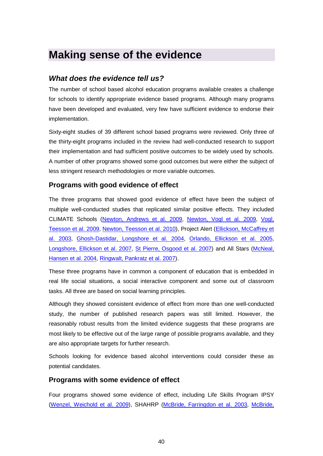## **Making sense of the evidence**

## *What does the evidence tell us?*

The number of school based alcohol education programs available creates a challenge for schools to identify appropriate evidence based programs. Although many programs have been developed and evaluated, very few have sufficient evidence to endorse their implementation.

Sixty-eight studies of 39 different school based programs were reviewed. Only three of the thirty-eight programs included in the review had well-conducted research to support their implementation and had sufficient positive outcomes to be widely used by schools. A number of other programs showed some good outcomes but were either the subject of less stringent research methodologies or more variable outcomes.

## **Programs with good evidence of effect**

The three programs that showed good evidence of effect have been the subject of multiple well-conducted studies that replicated similar positive effects. They included CLIMATE Schools [\(Newton, Andrews et al. 2009,](#page-59-1) [Newton, Vogl et al. 2009,](#page-60-0) [Vogl,](#page-62-4)  [Teesson et al. 2009,](#page-62-4) [Newton, Teesson et al. 2010\)](#page-60-1), Project Alert [\(Ellickson, McCaffrey et](#page-56-4)  [al. 2003,](#page-56-4) [Ghosh-Dastidar, Longshore et al. 2004,](#page-57-3) [Orlando, Ellickson et al. 2005,](#page-60-2) [Longshore, Ellickson et al. 2007,](#page-58-3) [St Pierre, Osgood et al. 2007\)](#page-61-3) and All Stars [\(McNeal,](#page-59-2)  [Hansen et al. 2004,](#page-59-2) [Ringwalt, Pankratz et al. 2007\)](#page-60-3).

These three programs have in common a component of education that is embedded in real life social situations, a social interactive component and some out of classroom tasks. All three are based on social learning principles.

Although they showed consistent evidence of effect from more than one well-conducted study, the number of published research papers was still limited. However, the reasonably robust results from the limited evidence suggests that these programs are most likely to be effective out of the large range of possible programs available, and they are also appropriate targets for further research.

Schools looking for evidence based alcohol interventions could consider these as potential candidates.

## **Programs with some evidence of effect**

Four programs showed some evidence of effect, including Life Skills Program IPSY [\(Wenzel, Weichold et al. 2009\)](#page-62-5), SHAHRP [\(McBride, Farringdon et al. 2003,](#page-59-3) [McBride,](#page-59-4)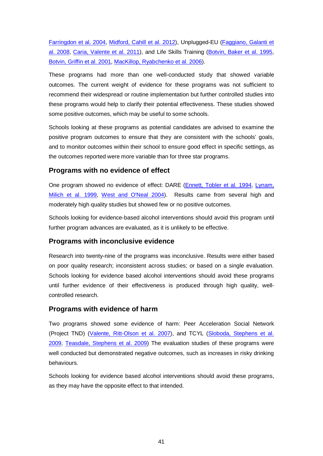[Farringdon et al. 2004,](#page-59-4) [Midford, Cahill et al. 2012\)](#page-59-5), Unplugged-EU [\(Faggiano, Galanti et](#page-57-4)  [al. 2008,](#page-57-4) [Caria, Valente et al.](#page-55-3) 2011), and Life Skills Training [\(Botvin, Baker et al. 1995,](#page-55-4) [Botvin, Griffin et al. 2001,](#page-55-5) [MacKillop, Ryabchenko et al. 2006\)](#page-59-6).

These programs had more than one well-conducted study that showed variable outcomes. The current weight of evidence for these programs was not sufficient to recommend their widespread or routine implementation but further controlled studies into these programs would help to clarify their potential effectiveness. These studies showed some positive outcomes, which may be useful to some schools.

Schools looking at these programs as potential candidates are advised to examine the positive program outcomes to ensure that they are consistent with the schools' goals, and to monitor outcomes within their school to ensure good effect in specific settings, as the outcomes reported were more variable than for three star programs.

## **Programs with no evidence of effect**

One program showed no evidence of effect: DARE [\(Ennett, Tobler et al. 1994,](#page-57-5) Lynam, [Milich et al. 1999,](#page-59-7) [West and O'Neal 2004\)](#page-62-6). Results came from several high and moderately high quality studies but showed few or no positive outcomes.

Schools looking for evidence-based alcohol interventions should avoid this program until further program advances are evaluated, as it is unlikely to be effective.

## **Programs with inconclusive evidence**

Research into twenty-nine of the programs was inconclusive. Results were either based on poor quality research; inconsistent across studies; or based on a single evaluation. Schools looking for evidence based alcohol interventions should avoid these programs until further evidence of their effectiveness is produced through high quality, wellcontrolled research.

## **Programs with evidence of harm**

Two programs showed some evidence of harm: Peer Acceleration Social Network (Project TND) [\(Valente, Ritt-Olson et al. 2007\)](#page-62-3), and TCYL [\(Sloboda, Stephens et al.](#page-61-1)  [2009,](#page-61-1) [Teasdale, Stephens et al. 2009\)](#page-61-2) The evaluation studies of these programs were well conducted but demonstrated negative outcomes, such as increases in risky drinking behaviours.

Schools looking for evidence based alcohol interventions should avoid these programs, as they may have the opposite effect to that intended.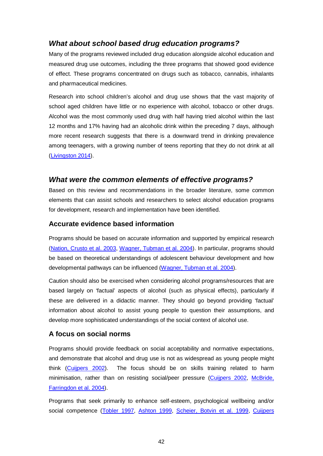## *What about school based drug education programs?*

Many of the programs reviewed included drug education alongside alcohol education and measured drug use outcomes, including the three programs that showed good evidence of effect. These programs concentrated on drugs such as tobacco, cannabis, inhalants and pharmaceutical medicines.

Research into school children's alcohol and drug use shows that the vast majority of school aged children have little or no experience with alcohol, tobacco or other drugs. Alcohol was the most commonly used drug with half having tried alcohol within the last 12 months and 17% having had an alcoholic drink within the preceding 7 days, although more recent research suggests that there is a downward trend in drinking prevalence among teenagers, with a growing number of teens reporting that they do not drink at all [\(Livingston 2014\)](#page-58-4).

## *What were the common elements of effective programs?*

Based on this review and recommendations in the broader literature, some common elements that can assist schools and researchers to select alcohol education programs for development, research and implementation have been identified.

#### **Accurate evidence based information**

Programs should be based on accurate information and supported by empirical research [\(Nation, Crusto et al. 2003,](#page-59-8) [Wagner, Tubman et al. 2004\)](#page-62-7). In particular, programs should be based on theoretical understandings of adolescent behaviour development and how developmental pathways can be influenced [\(Wagner, Tubman et al. 2004\)](#page-62-7).

Caution should also be exercised when considering alcohol programs/resources that are based largely on 'factual' aspects of alcohol (such as physical effects), particularly if these are delivered in a didactic manner. They should go beyond providing 'factual' information about alcohol to assist young people to question their assumptions, and develop more sophisticated understandings of the social context of alcohol use.

## **A focus on social norms**

Programs should provide feedback on social acceptability and normative expectations, and demonstrate that alcohol and drug use is not as widespread as young people might think [\(Cuijpers 2002\)](#page-56-5). The focus should be on skills training related to harm minimisation, rather than on resisting social/peer pressure [\(Cuijpers 2002,](#page-56-5) [McBride,](#page-59-4)  [Farringdon et al. 2004\)](#page-59-4).

Programs that seek primarily to enhance self-esteem, psychological wellbeing and/or social competence [\(Tobler 1997,](#page-62-8) [Ashton 1999,](#page-55-6) [Scheier, Botvin et al. 1999,](#page-60-4) [Cuijpers](#page-56-5)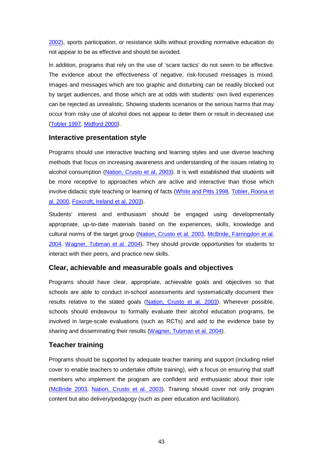[2002\)](#page-56-5), sports participation, or resistance skills without providing normative education do not appear to be as effective and should be avoided.

In addition, programs that rely on the use of 'scare tactics' do not seem to be effective. The evidence about the effectiveness of negative, risk-focused messages is mixed. Images and messages which are too graphic and disturbing can be readily blocked out by target audiences, and those which are at odds with students' own lived experiences can be rejected as unrealistic. Showing students scenarios or the serious harms that may occur from risky use of alcohol does not appear to deter them or result in decreased use [\(Tobler 1997,](#page-62-8) [Midford 2000\)](#page-59-9).

## **Interactive presentation style**

Programs should use interactive teaching and learning styles and use diverse teaching methods that focus on increasing awareness and understanding of the issues relating to alcohol consumption [\(Nation, Crusto et al. 2003\)](#page-59-8). It is well established that students will be more receptive to approaches which are active and interactive than those which involve didactic style teaching or learning of facts [\(White and Pitts 1998,](#page-62-9) Tobler, Roona et [al. 2000,](#page-62-10) [Foxcroft, Ireland et al. 2003\)](#page-57-6).

Students' interest and enthusiasm should be engaged using developmentally appropriate, up-to-date materials based on the experiences, skills, knowledge and cultural norms of the target group [\(Nation, Crusto et al. 2003,](#page-59-8) [McBride, Farringdon et al.](#page-59-4)  [2004,](#page-59-4) [Wagner, Tubman et al. 2004\)](#page-62-7). They should provide opportunities for students to interact with their peers, and practice new skills.

## **Clear, achievable and measurable goals and objectives**

Programs should have clear, appropriate, achievable goals and objectives so that schools are able to conduct in-school assessments and systematically document their results relative to the stated goals [\(Nation, Crusto et al. 2003\)](#page-59-8). Wherever possible, schools should endeavour to formally evaluate their alcohol education programs, be involved in large-scale evaluations (such as RCTs) and add to the evidence base by sharing and disseminating their results [\(Wagner, Tubman et al. 2004\)](#page-62-7).

## **Teacher training**

Programs should be supported by adequate teacher training and support (including relief cover to enable teachers to undertake offsite training), with a focus on ensuring that staff members who implement the program are confident and enthusiastic about their role [\(McBride 2003,](#page-59-10) [Nation, Crusto et al. 2003\)](#page-59-8). Training should cover not only program content but also delivery/pedagogy (such as peer education and facilitation).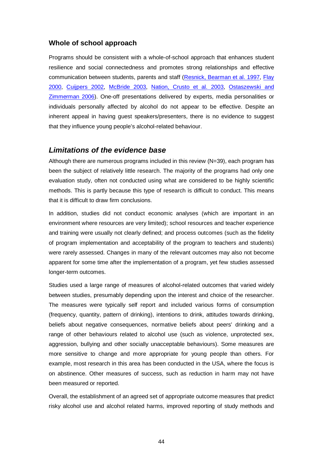## **Whole of school approach**

Programs should be consistent with a whole-of-school approach that enhances student resilience and social connectedness and promotes strong relationships and effective communication between students, parents and staff [\(Resnick, Bearman et al. 1997,](#page-60-5) [Flay](#page-57-7)  [2000,](#page-57-7) [Cuijpers 2002,](#page-56-5) [McBride 2003,](#page-59-10) [Nation, Crusto et al. 2003,](#page-59-8) [Ostaszewski and](#page-60-6)  [Zimmerman 2006\)](#page-60-6). One-off presentations delivered by experts, media personalities or individuals personally affected by alcohol do not appear to be effective. Despite an inherent appeal in having guest speakers/presenters, there is no evidence to suggest that they influence young people's alcohol-related behaviour.

## *Limitations of the evidence base*

Although there are numerous programs included in this review (N=39), each program has been the subject of relatively little research. The majority of the programs had only one evaluation study, often not conducted using what are considered to be highly scientific methods. This is partly because this type of research is difficult to conduct. This means that it is difficult to draw firm conclusions.

In addition, studies did not conduct economic analyses (which are important in an environment where resources are very limited); school resources and teacher experience and training were usually not clearly defined; and process outcomes (such as the fidelity of program implementation and acceptability of the program to teachers and students) were rarely assessed. Changes in many of the relevant outcomes may also not become apparent for some time after the implementation of a program, yet few studies assessed longer-term outcomes.

Studies used a large range of measures of alcohol-related outcomes that varied widely between studies, presumably depending upon the interest and choice of the researcher. The measures were typically self report and included various forms of consumption (frequency, quantity, pattern of drinking), intentions to drink, attitudes towards drinking, beliefs about negative consequences, normative beliefs about peers' drinking and a range of other behaviours related to alcohol use (such as violence, unprotected sex, aggression, bullying and other socially unacceptable behaviours). Some measures are more sensitive to change and more appropriate for young people than others. For example, most research in this area has been conducted in the USA, where the focus is on abstinence. Other measures of success, such as reduction in harm may not have been measured or reported.

Overall, the establishment of an agreed set of appropriate outcome measures that predict risky alcohol use and alcohol related harms, improved reporting of study methods and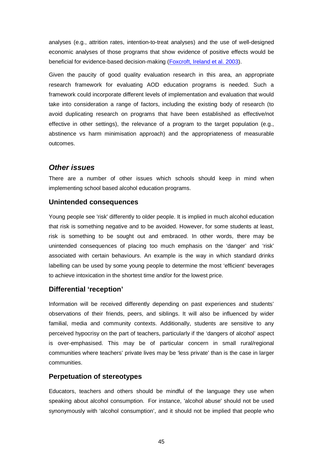analyses (e.g., attrition rates, intention-to-treat analyses) and the use of well-designed economic analyses of those programs that show evidence of positive effects would be beneficial for evidence-based decision-making [\(Foxcroft, Ireland et al. 2003\)](#page-57-6).

Given the paucity of good quality evaluation research in this area, an appropriate research framework for evaluating AOD education programs is needed. Such a framework could incorporate different levels of implementation and evaluation that would take into consideration a range of factors, including the existing body of research (to avoid duplicating research on programs that have been established as effective/not effective in other settings), the relevance of a program to the target population (e.g., abstinence vs harm minimisation approach) and the appropriateness of measurable outcomes.

## *Other issues*

There are a number of other issues which schools should keep in mind when implementing school based alcohol education programs.

## **Unintended consequences**

Young people see 'risk' differently to older people. It is implied in much alcohol education that risk is something negative and to be avoided. However, for some students at least, risk is something to be sought out and embraced. In other words, there may be unintended consequences of placing too much emphasis on the 'danger' and 'risk' associated with certain behaviours. An example is the way in which standard drinks labelling can be used by some young people to determine the most 'efficient' beverages to achieve intoxication in the shortest time and/or for the lowest price.

## **Differential 'reception'**

Information will be received differently depending on past experiences and students' observations of their friends, peers, and siblings. It will also be influenced by wider familial, media and community contexts. Additionally, students are sensitive to any perceived hypocrisy on the part of teachers, particularly if the 'dangers of alcohol' aspect is over-emphasised. This may be of particular concern in small rural/regional communities where teachers' private lives may be 'less private' than is the case in larger communities.

## **Perpetuation of stereotypes**

Educators, teachers and others should be mindful of the language they use when speaking about alcohol consumption. For instance, 'alcohol abuse' should not be used synonymously with 'alcohol consumption', and it should not be implied that people who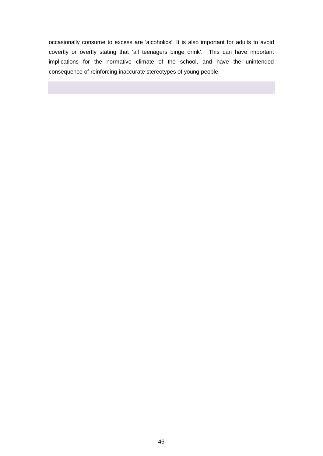occasionally consume to excess are 'alcoholics'. It is also important for adults to avoid covertly or overtly stating that 'all teenagers binge drink'. This can have important implications for the normative climate of the school, and have the unintended consequence of reinforcing inaccurate stereotypes of young people.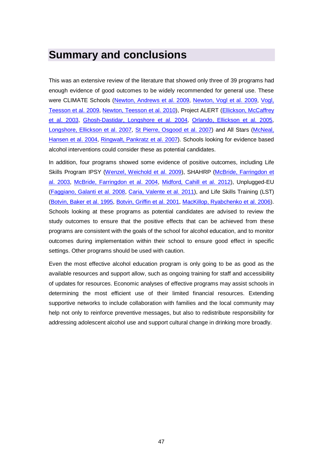## **Summary and conclusions**

This was an extensive review of the literature that showed only three of 39 programs had enough evidence of good outcomes to be widely recommended for general use. These were CLIMATE Schools [\(Newton, Andrews et al. 2009,](#page-59-1) [Newton, Vogl et al. 2009,](#page-60-0) [Vogl,](#page-62-4)  [Teesson et al. 2009,](#page-62-4) [Newton, Teesson et al. 2010\)](#page-60-1), Project ALERT [\(Ellickson, McCaffrey](#page-56-4)  [et al. 2003,](#page-56-4) [Ghosh-Dastidar, Longshore et al. 2004,](#page-57-3) [Orlando, Ellickson et al. 2005,](#page-60-2) [Longshore, Ellickson et al. 2007,](#page-58-3) [St Pierre, Osgood et al. 2007\)](#page-61-3) and All Stars [\(McNeal,](#page-59-2)  [Hansen et al. 2004,](#page-59-2) [Ringwalt, Pankratz et al. 2007\)](#page-60-3). Schools looking for evidence based alcohol interventions could consider these as potential candidates.

In addition, four programs showed some evidence of positive outcomes, including Life Skills Program IPSY [\(Wenzel, Weichold et al. 2009\)](#page-62-5), SHAHRP [\(McBride, Farringdon et](#page-59-3)  [al. 2003,](#page-59-3) [McBride, Farringdon et al. 2004,](#page-59-4) [Midford, Cahill et al. 2012\)](#page-59-5), Unplugged-EU [\(Faggiano, Galanti et al. 2008,](#page-57-4) [Caria, Valente et al. 2011\)](#page-55-3), and Life Skills Training (LST) [\(Botvin, Baker et al. 1995,](#page-55-4) [Botvin, Griffin et al. 2001,](#page-55-5) [MacKillop, Ryabchenko et al. 2006\)](#page-59-6). Schools looking at these programs as potential candidates are advised to review the study outcomes to ensure that the positive effects that can be achieved from these programs are consistent with the goals of the school for alcohol education, and to monitor outcomes during implementation within their school to ensure good effect in specific settings. Other programs should be used with caution.

Even the most effective alcohol education program is only going to be as good as the available resources and support allow, such as ongoing training for staff and accessibility of updates for resources. Economic analyses of effective programs may assist schools in determining the most efficient use of their limited financial resources. Extending supportive networks to include collaboration with families and the local community may help not only to reinforce preventive messages, but also to redistribute responsibility for addressing adolescent alcohol use and support cultural change in drinking more broadly.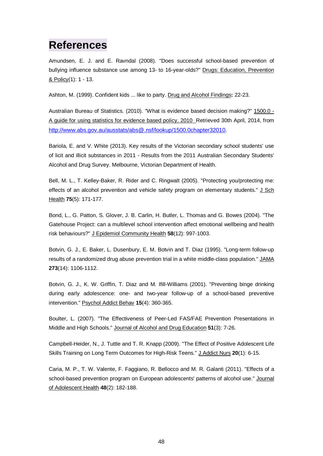## **References**

<span id="page-55-0"></span>Amundsen, E. J. and E. Ravndal (2008). "Does successful school-based prevention of bullying influence substance use among 13- to 16-year-olds?" Drugs: Education, Prevention & Policy(1): 1 - 13.

<span id="page-55-6"></span>Ashton, M. (1999). Confident kids ... like to party. Drug and Alcohol Findings**:** 22-23.

Australian Bureau of Statistics. (2010). "What is evidence based decision making?" 1500.0 - A guide for using statistics for evidence based policy, 2010 Retrieved 30th April, 2014, from [http://www.abs.gov.au/ausstats/abs@.nsf/lookup/1500.0chapter32010.](http://www.abs.gov.au/ausstats/abs@.nsf/lookup/1500.0chapter32010)

Bariola, E. and V. White (2013). Key results of the Victorian secondary school students' use of licit and illicit substances in 2011 - Results from the 2011 Australian Secondary Students' Alcohol and Drug Survey. Melbourne, Victorian Department of Health.

<span id="page-55-1"></span>Bell, M. L., T. Kelley-Baker, R. Rider and C. Ringwalt (2005). "Protecting you/protecting me: effects of an alcohol prevention and vehicle safety program on elementary students." J Sch Health **75**(5): 171-177.

Bond, L., G. Patton, S. Glover, J. B. Carlin, H. Butler, L. Thomas and G. Bowes (2004). "The Gatehouse Project: can a multilevel school intervention affect emotional wellbeing and health risk behaviours?" J Epidemiol Community Health **58**(12): 997-1003.

<span id="page-55-4"></span>Botvin, G. J., E. Baker, L. Dusenbury, E. M. Botvin and T. Diaz (1995). "Long-term follow-up results of a randomized drug abuse prevention trial in a white middle-class population." JAMA **273**(14): 1106-1112.

<span id="page-55-5"></span>Botvin, G. J., K. W. Griffin, T. Diaz and M. Ifill-Williams (2001). "Preventing binge drinking during early adolescence: one- and two-year follow-up of a school-based preventive intervention." Psychol Addict Behav **15**(4): 360-365.

<span id="page-55-2"></span>Boulter, L. (2007). "The Effectiveness of Peer-Led FAS/FAE Prevention Presentations in Middle and High Schools." Journal of Alcohol and Drug Education **51**(3): 7-26.

Campbell-Heider, N., J. Tuttle and T. R. Knapp (2009). "The Effect of Positive Adolescent Life Skills Training on Long Term Outcomes for High-Risk Teens." J Addict Nurs **20**(1): 6-15.

<span id="page-55-3"></span>Caria, M. P., T. W. Valente, F. Faggiano, R. Bellocco and M. R. Galanti (2011). "Effects of a school-based prevention program on European adolescents' patterns of alcohol use." Journal of Adolescent Health **48**(2): 182-188.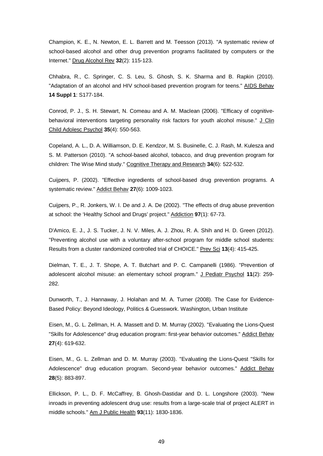Champion, K. E., N. Newton, E. L. Barrett and M. Teesson (2013). "A systematic review of school-based alcohol and other drug prevention programs facilitated by computers or the Internet." Drug Alcohol Rev **32**(2): 115-123.

<span id="page-56-3"></span>Chhabra, R., C. Springer, C. S. Leu, S. Ghosh, S. K. Sharma and B. Rapkin (2010). "Adaptation of an alcohol and HIV school-based prevention program for teens." AIDS Behav **14 Suppl 1**: S177-184.

Conrod, P. J., S. H. Stewart, N. Comeau and A. M. Maclean (2006). "Efficacy of cognitivebehavioral interventions targeting personality risk factors for youth alcohol misuse." J Clin Child Adolesc Psychol **35**(4): 550-563.

<span id="page-56-2"></span>Copeland, A. L., D. A. Williamson, D. E. Kendzor, M. S. Businelle, C. J. Rash, M. Kulesza and S. M. Patterson (2010). "A school-based alcohol, tobacco, and drug prevention program for children: The Wise Mind study." Cognitive Therapy and Research **34**(6): 522-532.

<span id="page-56-5"></span>Cuijpers, P. (2002). "Effective ingredients of school-based drug prevention programs. A systematic review." Addict Behav **27**(6): 1009-1023.

<span id="page-56-1"></span>Cuijpers, P., R. Jonkers, W. I. De and J. A. De (2002). "The effects of drug abuse prevention at school: the 'Healthy School and Drugs' project." Addiction **97**(1): 67-73.

<span id="page-56-0"></span>D'Amico, E. J., J. S. Tucker, J. N. V. Miles, A. J. Zhou, R. A. Shih and H. D. Green (2012). "Preventing alcohol use with a voluntary after-school program for middle school students: Results from a cluster randomized controlled trial of CHOICE." Prev Sci **13**(4): 415-425.

Dielman, T. E., J. T. Shope, A. T. Butchart and P. C. Campanelli (1986). "Prevention of adolescent alcohol misuse: an elementary school program." J Pediatr Psychol 11(2): 259-282.

Dunworth, T., J. Hannaway, J. Holahan and M. A. Turner (2008). The Case for Evidence-Based Policy: Beyond Ideology, Politics & Guesswork. Washington, Urban Institute

Eisen, M., G. L. Zellman, H. A. Massett and D. M. Murray (2002). "Evaluating the Lions-Quest "Skills for Adolescence" drug education program: first-year behavior outcomes." Addict Behav **27**(4): 619-632.

Eisen, M., G. L. Zellman and D. M. Murray (2003). "Evaluating the Lions-Quest "Skills for Adolescence" drug education program. Second-year behavior outcomes." Addict Behav **28**(5): 883-897.

<span id="page-56-4"></span>Ellickson, P. L., D. F. McCaffrey, B. Ghosh-Dastidar and D. L. Longshore (2003). "New inroads in preventing adolescent drug use: results from a large-scale trial of project ALERT in middle schools." Am J Public Health **93**(11): 1830-1836.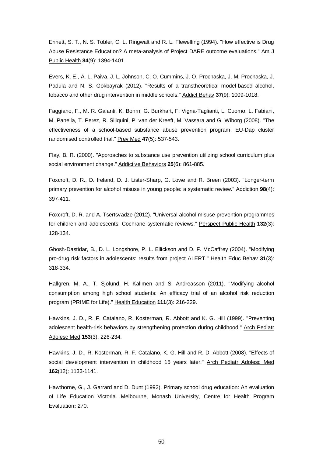<span id="page-57-5"></span>Ennett, S. T., N. S. Tobler, C. L. Ringwalt and R. L. Flewelling (1994). "How effective is Drug Abuse Resistance Education? A meta-analysis of Project DARE outcome evaluations." Am J Public Health **84**(9): 1394-1401.

<span id="page-57-2"></span>Evers, K. E., A. L. Paiva, J. L. Johnson, C. O. Cummins, J. O. Prochaska, J. M. Prochaska, J. Padula and N. S. Gokbayrak (2012). "Results of a transtheoretical model-based alcohol, tobacco and other drug intervention in middle schools." Addict Behav **37**(9): 1009-1018.

<span id="page-57-4"></span>Faggiano, F., M. R. Galanti, K. Bohrn, G. Burkhart, F. Vigna-Taglianti, L. Cuomo, L. Fabiani, M. Panella, T. Perez, R. Siliquini, P. van der Kreeft, M. Vassara and G. Wiborg (2008). "The effectiveness of a school-based substance abuse prevention program: EU-Dap cluster randomised controlled trial." Prev Med **47**(5): 537-543.

<span id="page-57-7"></span>Flay, B. R. (2000). "Approaches to substance use prevention utilizing school curriculum plus social environment change." Addictive Behaviors **25**(6): 861-885.

<span id="page-57-6"></span>Foxcroft, D. R., D. Ireland, D. J. Lister-Sharp, G. Lowe and R. Breen (2003). "Longer-term primary prevention for alcohol misuse in young people: a systematic review." Addiction **98**(4): 397-411.

Foxcroft, D. R. and A. Tsertsvadze (2012). "Universal alcohol misuse prevention programmes for children and adolescents: Cochrane systematic reviews." Perspect Public Health **132**(3): 128-134.

<span id="page-57-3"></span>Ghosh-Dastidar, B., D. L. Longshore, P. L. Ellickson and D. F. McCaffrey (2004). "Modifying pro-drug risk factors in adolescents: results from project ALERT." Health Educ Behav **31**(3): 318-334.

<span id="page-57-1"></span>Hallgren, M. A., T. Sjolund, H. Kallmen and S. Andreasson (2011). "Modifying alcohol consumption among high school students: An efficacy trial of an alcohol risk reduction program (PRIME for Life)." Health Education **111**(3): 216-229.

Hawkins, J. D., R. F. Catalano, R. Kosterman, R. Abbott and K. G. Hill (1999). "Preventing adolescent health-risk behaviors by strengthening protection during childhood." Arch Pediatr Adolesc Med **153**(3): 226-234.

Hawkins, J. D., R. Kosterman, R. F. Catalano, K. G. Hill and R. D. Abbott (2008). "Effects of social development intervention in childhood 15 years later." Arch Pediatr Adolesc Med **162**(12): 1133-1141.

<span id="page-57-0"></span>Hawthorne, G., J. Garrard and D. Dunt (1992). Primary school drug education: An evaluation of Life Education Victoria. Melbourne, Monash University, Centre for Health Program Evaluation**:** 270.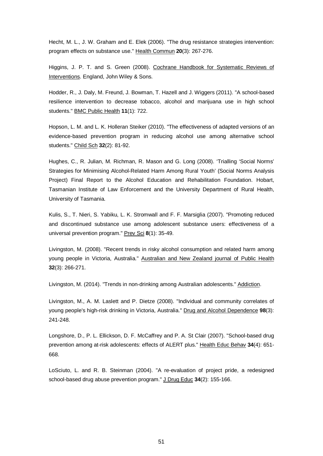Hecht, M. L., J. W. Graham and E. Elek (2006). "The drug resistance strategies intervention: program effects on substance use." Health Commun **20**(3): 267-276.

Higgins, J. P. T. and S. Green (2008). Cochrane Handbook for Systematic Reviews of Interventions. England, John Wiley & Sons.

<span id="page-58-0"></span>Hodder, R., J. Daly, M. Freund, J. Bowman, T. Hazell and J. Wiggers (2011). "A school-based resilience intervention to decrease tobacco, alcohol and marijuana use in high school students." BMC Public Health **11**(1): 722.

Hopson, L. M. and L. K. Holleran Steiker (2010). "The effectiveness of adapted versions of an evidence-based prevention program in reducing alcohol use among alternative school students." Child Sch **32**(2): 81-92.

<span id="page-58-1"></span>Hughes, C., R. Julian, M. Richman, R. Mason and G. Long (2008). 'Trialling 'Social Norms' Strategies for Minimising Alcohol-Related Harm Among Rural Youth' (Social Norms Analysis Project) Final Report to the Alcohol Education and Rehabilitation Foundation. Hobart, Tasmanian Institute of Law Enforcement and the University Department of Rural Health, University of Tasmania.

Kulis, S., T. Nieri, S. Yabiku, L. K. Stromwall and F. F. Marsiglia (2007). "Promoting reduced and discontinued substance use among adolescent substance users: effectiveness of a universal prevention program." Prev Sci **8**(1): 35-49.

Livingston, M. (2008). "Recent trends in risky alcohol consumption and related harm among young people in Victoria, Australia." Australian and New Zealand journal of Public Health **32**(3): 266-271.

<span id="page-58-4"></span>Livingston, M. (2014). "Trends in non‐drinking among Australian adolescents." Addiction.

Livingston, M., A. M. Laslett and P. Dietze (2008). "Individual and community correlates of young people's high-risk drinking in Victoria, Australia." Drug and Alcohol Dependence **98**(3): 241-248.

<span id="page-58-3"></span>Longshore, D., P. L. Ellickson, D. F. McCaffrey and P. A. St Clair (2007). "School-based drug prevention among at-risk adolescents: effects of ALERT plus." Health Educ Behav **34**(4): 651- 668.

<span id="page-58-2"></span>LoSciuto, L. and R. B. Steinman (2004). "A re-evaluation of project pride, a redesigned school-based drug abuse prevention program." J Drug Educ **34**(2): 155-166.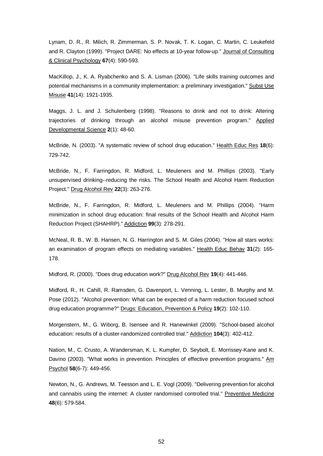<span id="page-59-7"></span>Lynam, D. R., R. Milich, R. Zimmerman, S. P. Novak, T. K. Logan, C. Martin, C. Leukefeld and R. Clayton (1999). "Project DARE: No effects at 10-year follow-up." Journal of Consulting & Clinical Psychology **67**(4): 590-593.

<span id="page-59-6"></span>MacKillop, J., K. A. Ryabchenko and S. A. Lisman (2006). "Life skills training outcomes and potential mechanisms in a community implementation: a preliminary investigation." Subst Use Misuse **41**(14): 1921-1935.

Maggs, J. L. and J. Schulenberg (1998). "Reasons to drink and not to drink: Altering trajectories of drinking through an alcohol misuse prevention program." Applied Developmental Science **2**(1): 48-60.

<span id="page-59-10"></span>McBride, N. (2003). "A systematic review of school drug education." Health Educ Res **18**(6): 729-742.

<span id="page-59-3"></span>McBride, N., F. Farringdon, R. Midford, L. Meuleners and M. Phillips (2003). "Early unsupervised drinking--reducing the risks. The School Health and Alcohol Harm Reduction Project." Drug Alcohol Rev **22**(3): 263-276.

<span id="page-59-4"></span>McBride, N., F. Farringdon, R. Midford, L. Meuleners and M. Phillips (2004). "Harm minimization in school drug education: final results of the School Health and Alcohol Harm Reduction Project (SHAHRP)." Addiction **99**(3): 278-291.

<span id="page-59-2"></span>McNeal, R. B., W. B. Hansen, N. G. Harrington and S. M. Giles (2004). "How all stars works: an examination of program effects on mediating variables." Health Educ Behav **31**(2): 165- 178.

<span id="page-59-9"></span>Midford, R. (2000). "Does drug education work?" Drug Alcohol Rev **19**(4): 441-446.

<span id="page-59-5"></span>Midford, R., H. Cahill, R. Ramsden, G. Davenport, L. Venning, L. Lester, B. Murphy and M. Pose (2012). "Alcohol prevention: What can be expected of a harm reduction focused school drug education programme?" Drugs: Education, Prevention & Policy **19**(2): 102-110.

<span id="page-59-0"></span>Morgenstern, M., G. Wiborg, B. Isensee and R. Hanewinkel (2009). "School-based alcohol education: results of a cluster-randomized controlled trial." Addiction **104**(3): 402-412.

<span id="page-59-8"></span>Nation, M., C. Crusto, A. Wandersman, K. L. Kumpfer, D. Seybolt, E. Morrissey-Kane and K. Davino (2003). "What works in prevention. Principles of effective prevention programs." Am Psychol **58**(6-7): 449-456.

<span id="page-59-1"></span>Newton, N., G. Andrews, M. Teesson and L. E. Vogl (2009). "Delivering prevention for alcohol and cannabis using the internet: A cluster randomised controlled trial." Preventive Medicine **48**(6): 579-584.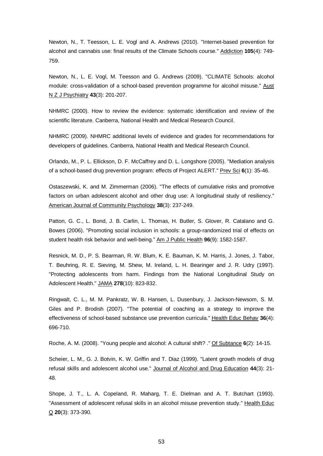<span id="page-60-1"></span>Newton, N., T. Teesson, L. E. Vogl and A. Andrews (2010). "Internet-based prevention for alcohol and cannabis use: final results of the Climate Schools course." Addiction **105**(4): 749- 759.

<span id="page-60-0"></span>Newton, N., L. E. Vogl, M. Teesson and G. Andrews (2009). "CLIMATE Schools: alcohol module: cross-validation of a school-based prevention programme for alcohol misuse." Aust N Z J Psychiatry **43**(3): 201-207.

NHMRC (2000). How to review the evidence: systematic identification and review of the scientific literature. Canberra, National Health and Medical Research Council.

NHMRC (2009). NHMRC additional levels of evidence and grades for recommendations for developers of guidelines. Canberra, National Health and Medical Research Council.

<span id="page-60-2"></span>Orlando, M., P. L. Ellickson, D. F. McCaffrey and D. L. Longshore (2005). "Mediation analysis of a school-based drug prevention program: effects of Project ALERT." Prev Sci **6**(1): 35-46.

<span id="page-60-6"></span>Ostaszewski, K. and M. Zimmerman (2006). "The effects of cumulative risks and promotive factors on urban adolescent alcohol and other drug use: A longitudinal study of resiliency." American Journal of Community Psychology **38**(3): 237-249.

Patton, G. C., L. Bond, J. B. Carlin, L. Thomas, H. Butler, S. Glover, R. Catalano and G. Bowes (2006). "Promoting social inclusion in schools: a group-randomized trial of effects on student health risk behavior and well-being." Am J Public Health **96**(9): 1582-1587.

<span id="page-60-5"></span>Resnick, M. D., P. S. Bearman, R. W. Blum, K. E. Bauman, K. M. Harris, J. Jones, J. Tabor, T. Beuhring, R. E. Sieving, M. Shew, M. Ireland, L. H. Bearinger and J. R. Udry (1997). "Protecting adolescents from harm. Findings from the National Longitudinal Study on Adolescent Health." JAMA **278**(10): 823-832.

<span id="page-60-3"></span>Ringwalt, C. L., M. M. Pankratz, W. B. Hansen, L. Dusenbury, J. Jackson-Newsom, S. M. Giles and P. Brodish (2007). "The potential of coaching as a strategy to improve the effectiveness of school-based substance use prevention curricula." Health Educ Behav **36**(4): 696-710.

Roche, A. M. (2008). "Young people and alcohol: A cultural shift? ." Of Subtance **6**(2): 14-15.

<span id="page-60-4"></span>Scheier, L. M., G. J. Botvin, K. W. Griffin and T. Diaz (1999). "Latent growth models of drug refusal skills and adolescent alcohol use." Journal of Alcohol and Drug Education **44**(3): 21- 48.

Shope, J. T., L. A. Copeland, R. Maharg, T. E. Dielman and A. T. Butchart (1993). "Assessment of adolescent refusal skills in an alcohol misuse prevention study." Health Educ Q **20**(3): 373-390.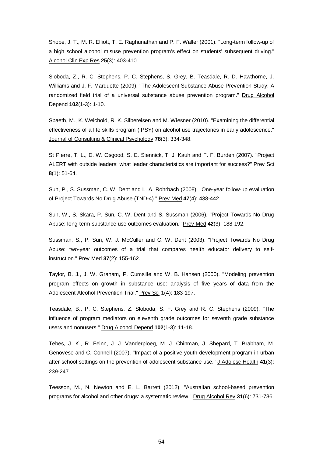Shope, J. T., M. R. Elliott, T. E. Raghunathan and P. F. Waller (2001). "Long-term follow-up of a high school alcohol misuse prevention program's effect on students' subsequent driving." Alcohol Clin Exp Res **25**(3): 403-410.

<span id="page-61-1"></span>Sloboda, Z., R. C. Stephens, P. C. Stephens, S. Grey, B. Teasdale, R. D. Hawthorne, J. Williams and J. F. Marquette (2009). "The Adolescent Substance Abuse Prevention Study: A randomized field trial of a universal substance abuse prevention program." Drug Alcohol Depend **102**(1-3): 1-10.

Spaeth, M., K. Weichold, R. K. Silbereisen and M. Wiesner (2010). "Examining the differential effectiveness of a life skills program (IPSY) on alcohol use trajectories in early adolescence." Journal of Consulting & Clinical Psychology **78**(3): 334-348.

<span id="page-61-3"></span>St Pierre, T. L., D. W. Osgood, S. E. Siennick, T. J. Kauh and F. F. Burden (2007). "Project ALERT with outside leaders: what leader characteristics are important for success?" Prev Sci **8**(1): 51-64.

Sun, P., S. Sussman, C. W. Dent and L. A. Rohrbach (2008). "One-year follow-up evaluation of Project Towards No Drug Abuse (TND-4)." Prev Med **47**(4): 438-442.

Sun, W., S. Skara, P. Sun, C. W. Dent and S. Sussman (2006). "Project Towards No Drug Abuse: long-term substance use outcomes evaluation." Prev Med **42**(3): 188-192.

Sussman, S., P. Sun, W. J. McCuller and C. W. Dent (2003). "Project Towards No Drug Abuse: two-year outcomes of a trial that compares health educator delivery to selfinstruction." Prev Med **37**(2): 155-162.

Taylor, B. J., J. W. Graham, P. Cumsille and W. B. Hansen (2000). "Modeling prevention program effects on growth in substance use: analysis of five years of data from the Adolescent Alcohol Prevention Trial." Prev Sci **1**(4): 183-197.

<span id="page-61-2"></span>Teasdale, B., P. C. Stephens, Z. Sloboda, S. F. Grey and R. C. Stephens (2009). "The influence of program mediators on eleventh grade outcomes for seventh grade substance users and nonusers." Drug Alcohol Depend **102**(1-3): 11-18.

<span id="page-61-0"></span>Tebes, J. K., R. Feinn, J. J. Vanderploeg, M. J. Chinman, J. Shepard, T. Brabham, M. Genovese and C. Connell (2007). "Impact of a positive youth development program in urban after-school settings on the prevention of adolescent substance use." J Adolesc Health **41**(3): 239-247.

Teesson, M., N. Newton and E. L. Barrett (2012). "Australian school-based prevention programs for alcohol and other drugs: a systematic review." Drug Alcohol Rev **31**(6): 731-736.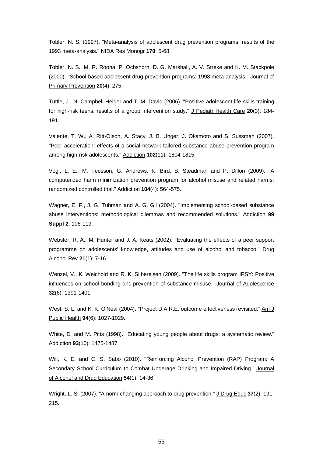<span id="page-62-8"></span>Tobler, N. S. (1997). "Meta-analysis of adolescent drug prevention programs: results of the 1993 meta-analysis." NIDA Res Monogr **170**: 5-68.

<span id="page-62-10"></span>Tobler, N. S., M. R. Roona, P. Ochshorn, D. G. Marshall, A. V. Streke and K. M. Stackpole (2000). "School-based adolescent drug prevention programs: 1998 meta-analysis." Journal of Primary Prevention **20**(4): 275.

Tuttle, J., N. Campbell-Heider and T. M. David (2006). "Positive adolescent life skills training for high-risk teens: results of a group intervention study." J Pediatr Health Care **20**(3): 184- 191.

<span id="page-62-3"></span>Valente, T. W., A. Ritt-Olson, A. Stacy, J. B. Unger, J. Okamoto and S. Sussman (2007). "Peer acceleration: effects of a social network tailored substance abuse prevention program among high-risk adolescents." Addiction **102**(11): 1804-1815.

<span id="page-62-4"></span>Vogl, L. E., M. Teesson, G. Andrews, K. Bird, B. Steadman and P. Dillon (2009). "A computerized harm minimization prevention program for alcohol misuse and related harms: randomized controlled trial." Addiction **104**(4): 564-575.

<span id="page-62-7"></span>Wagner, E. F., J. G. Tubman and A. G. Gil (2004). "Implementing school-based substance abuse interventions: methodological dilemmas and recommended solutions." Addiction **99 Suppl 2**: 106-119.

<span id="page-62-1"></span>Webster, R. A., M. Hunter and J. A. Keats (2002). "Evaluating the effects of a peer support programme on adolescents' knowledge, attitudes and use of alcohol and tobacco." Drug Alcohol Rev **21**(1): 7-16.

<span id="page-62-5"></span>Wenzel, V., K. Weichold and R. K. Silbereisen (2009). "The life skills program IPSY: Positive influences on school bonding and prevention of substance misuse." Journal of Adolescence **32**(6): 1391-1401.

<span id="page-62-6"></span>West, S. L. and K. K. O'Neal (2004). "Project D.A.R.E. outcome effectiveness revisited." Am J Public Health **94**(6): 1027-1029.

<span id="page-62-9"></span>White, D. and M. Pitts (1998). "Educating young people about drugs: a systematic review." Addiction **93**(10): 1475-1487.

<span id="page-62-2"></span>Will, K. E. and C. S. Sabo (2010). "Reinforcing Alcohol Prevention (RAP) Program: A Secondary School Curriculum to Combat Underage Drinking and Impaired Driving." Journal of Alcohol and Drug Education **54**(1): 14-36.

<span id="page-62-0"></span>Wright, L. S. (2007). "A norm changing approach to drug prevention." J Drug Educ 37(2): 191-215.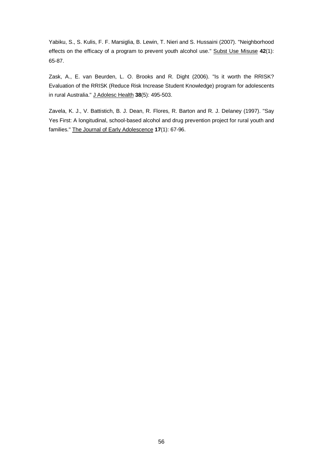Yabiku, S., S. Kulis, F. F. Marsiglia, B. Lewin, T. Nieri and S. Hussaini (2007). "Neighborhood effects on the efficacy of a program to prevent youth alcohol use." Subst Use Misuse **42**(1): 65-87.

<span id="page-63-0"></span>Zask, A., E. van Beurden, L. O. Brooks and R. Dight (2006). "Is it worth the RRISK? Evaluation of the RRISK (Reduce Risk Increase Student Knowledge) program for adolescents in rural Australia." J Adolesc Health **38**(5): 495-503.

<span id="page-63-1"></span>Zavela, K. J., V. Battistich, B. J. Dean, R. Flores, R. Barton and R. J. Delaney (1997). "Say Yes First: A longitudinal, school-based alcohol and drug prevention project for rural youth and families." The Journal of Early Adolescence **17**(1): 67-96.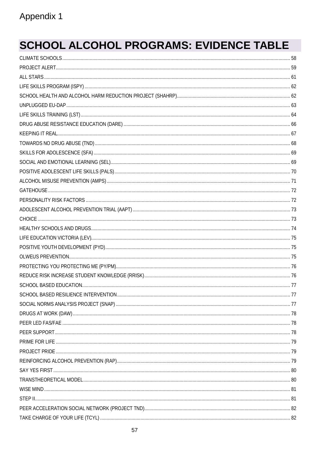# **SCHOOL ALCOHOL PROGRAMS: EVIDENCE TABLE**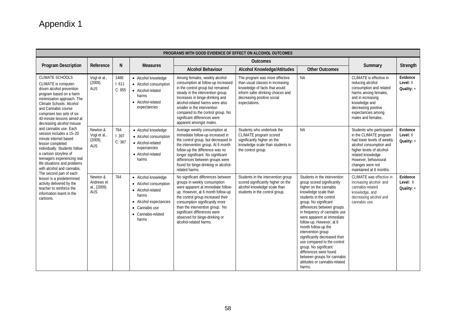| PROGRAMS WITH GOOD EVIDENCE OF EFFECT ON ALCOHOL OUTCOMES                                                                                                                                                                                                                                                                                                                                                                                                                                                                                                                                                                                                                                             |                                                      |                          |                                                                                                                                                       |                                                                                                                                                                                                                                                                                                                                                     |                                                                                                                                                                                         |                                                                                                                                                                                                                                                                                                                                                                                                                                                                                                                                    |                                                                                                                                                                                                                                        |                                       |  |  |
|-------------------------------------------------------------------------------------------------------------------------------------------------------------------------------------------------------------------------------------------------------------------------------------------------------------------------------------------------------------------------------------------------------------------------------------------------------------------------------------------------------------------------------------------------------------------------------------------------------------------------------------------------------------------------------------------------------|------------------------------------------------------|--------------------------|-------------------------------------------------------------------------------------------------------------------------------------------------------|-----------------------------------------------------------------------------------------------------------------------------------------------------------------------------------------------------------------------------------------------------------------------------------------------------------------------------------------------------|-----------------------------------------------------------------------------------------------------------------------------------------------------------------------------------------|------------------------------------------------------------------------------------------------------------------------------------------------------------------------------------------------------------------------------------------------------------------------------------------------------------------------------------------------------------------------------------------------------------------------------------------------------------------------------------------------------------------------------------|----------------------------------------------------------------------------------------------------------------------------------------------------------------------------------------------------------------------------------------|---------------------------------------|--|--|
| Program Description                                                                                                                                                                                                                                                                                                                                                                                                                                                                                                                                                                                                                                                                                   | Reference                                            | N                        | <b>Measures</b>                                                                                                                                       |                                                                                                                                                                                                                                                                                                                                                     |                                                                                                                                                                                         |                                                                                                                                                                                                                                                                                                                                                                                                                                                                                                                                    |                                                                                                                                                                                                                                        |                                       |  |  |
|                                                                                                                                                                                                                                                                                                                                                                                                                                                                                                                                                                                                                                                                                                       |                                                      |                          |                                                                                                                                                       | <b>Alcohol Behaviour</b>                                                                                                                                                                                                                                                                                                                            | <b>Alcohol Knowledge/Attitudes</b>                                                                                                                                                      | <b>Other Outcomes</b>                                                                                                                                                                                                                                                                                                                                                                                                                                                                                                              | Summary                                                                                                                                                                                                                                | Strength                              |  |  |
| <b>CLIMATE SCHOOLS</b><br>CLIMATE is computer-<br>driven alcohol prevention<br>program based on a harm<br>minimisation approach. The<br>Climate Schools: Alcohol<br>and Cannabis course<br>comprises two sets of six<br>40-minute lessons aimed at<br>decreasing alcohol misuse<br>and cannabis use. Each<br>session includes a 15-20<br>minute internet based<br>lesson completed<br>individually. Students follow<br>a cartoon storyline of<br>teenagers experiencing real<br>life situations and problems<br>with alcohol and cannabis.<br>The second part of each<br>lesson is a predetermined<br>activity delivered by the<br>teacher to reinforce the<br>information learnt in the<br>cartoons. | Vogl et al.,<br>(2009).<br><b>AUS</b>                | 1466:<br>1:611<br>C: 855 | • Alcohol knowledge<br>• Alcohol consumption<br>• Alcohol-related<br>harms<br>• Alcohol-related<br>expectancies                                       | Among females, weekly alcohol<br>consumption at follow-up increased<br>in the control group but remained<br>steady in the intervention group.<br>Increases in binge-drinking and<br>alcohol-related harms were also<br>smaller in the intervention<br>compared to the control group. No<br>significant differences were<br>apparent amongst males.  | The program was more effective<br>than usual classes in increasing<br>knowledge of facts that would<br>inform safer drinking choices and<br>decreasing positive social<br>expectations. | <b>NA</b>                                                                                                                                                                                                                                                                                                                                                                                                                                                                                                                          | CLIMATE is effective in<br>reducing alcohol<br>consumption and related<br>harms among females,<br>and in increasing<br>knowledge and<br>decreasing positive<br>expectancies among<br>males and females.                                | Evidence<br>Level: II<br>Quality: $+$ |  |  |
|                                                                                                                                                                                                                                                                                                                                                                                                                                                                                                                                                                                                                                                                                                       | Newton &<br>Vogl et al.,<br>$(2009)$ .<br><b>AUS</b> | 764:<br>1:397<br>C: 367  | • Alcohol knowledge<br>• Alcohol consumption<br>• Alcohol-related<br>expectancies<br>• Alcohol-related<br>harms                                       | Average weekly consumption at<br>immediate follow-up increased in<br>the control group, but decreased in<br>the intervention group. At 6 month<br>follow-up the difference was no<br>longer significant. No significant<br>differences between groups were<br>found for binge-drinking or alcohol-<br>related harms.                                | Students who undertook the<br>CLIMATE program scored<br>significantly higher on the<br>knowledge scale than students in<br>the control group.                                           | <b>NA</b>                                                                                                                                                                                                                                                                                                                                                                                                                                                                                                                          | Students who participated<br>in the CLIMATE program<br>had lower levels of weekly<br>alcohol consumption and<br>higher levels of alcohol-<br>related knowledge.<br>However, behavioural<br>changes were not<br>maintained at 6 months. | Evidence<br>Level: II<br>Quality: +   |  |  |
|                                                                                                                                                                                                                                                                                                                                                                                                                                                                                                                                                                                                                                                                                                       | Newton &<br>Andrews et<br>al., (2009).<br><b>AUS</b> | 764                      | • Alcohol knowledge<br>• Alcohol consumption<br>• Alcohol-related<br>harms<br>• Alcohol expectancies<br>• Cannabis use<br>• Cannabis-related<br>harms | No significant differences between<br>groups in weekly consumption<br>were apparent at immediate follow-<br>up. However, at 6 month follow-up<br>the control group increased their<br>consumption significantly more<br>than the intervention group. No<br>significant differences were<br>observed for binge-drinking or<br>alcohol-related harms. | Students in the intervention group<br>scored significantly higher on the<br>alcohol knowledge scale than<br>students in the control group.                                              | Students in the intervention<br>group scored significantly<br>higher on the cannabis<br>knowledge scale than<br>students in the control<br>group. No significant<br>differences between groups<br>in frequency of cannabis use<br>were apparent at immediate<br>follow-up. However, at 6<br>month follow-up the<br>intervention group<br>significantly decreased their<br>use compared to the control<br>group. No significant<br>differences were found<br>between groups for cannabis<br>attitudes or cannabis-related<br>harms. | CLIMATE was effective in<br>increasing alcohol- and<br>cannabis-related<br>knowledge, and<br>decreasing alcohol and<br>cannabis use.                                                                                                   | Evidence<br>Level: II<br>Quality: +   |  |  |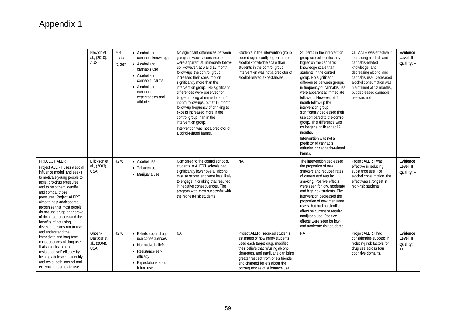|                                                                                                                                                                                                                                                                                                                                                                                                                                                                                                                                                                                                                                          | Newton et<br>al., (2010).<br><b>AUS</b>              | 764<br>1:397<br>C: 367 | • Alcohol and<br>cannabis knowledge<br>• Alcohol and<br>cannabis use<br>• Alcohol and<br>cannabis harms<br>• Alcohol and<br>cannabis<br>expectancies and<br>attitudes | No significant differences between<br>groups in weekly consumption<br>were apparent at immediate follow-<br>up. However, at 6 and 12 month<br>follow-ups the control group<br>increased their consumption<br>significantly more than the<br>intervention group. No significant<br>differences were observed for<br>binge-drinking at immediate or 6<br>month follow-ups, but at 12 month<br>follow-up frequency of drinking to<br>excess increased more in the<br>control group than in the<br>intervention group.<br>Intervention was not a predictor of<br>alcohol-related harms. | Students in the intervention group<br>scored significantly higher on the<br>alcohol knowledge scale than<br>students in the control group.<br>Intervention was not a predictor of<br>alcohol-related expectancies.                                         | Students in the intervention<br>group scored significantly<br>higher on the cannabis<br>knowledge scale than<br>students in the control<br>group. No significant<br>differences between groups<br>in frequency of cannabis use<br>were apparent at immediate<br>follow-up. However, at 6<br>month follow-up the<br>intervention group<br>significantly decreased their<br>use compared to the control<br>group. This difference was<br>no longer significant at 12<br>months.<br>Intervention was not a<br>predictor of cannabis<br>attitudes or cannabis-related<br>harms. | CLIMATE was effective in<br>increasing alcohol- and<br>cannabis-related<br>knowledge, and<br>decreasing alcohol and<br>cannabis use. Decreased<br>alcohol consumption was<br>maintained at 12 months.<br>but decreased cannabis<br>use was not. | Evidence<br>Level: II<br>Quality: +               |
|------------------------------------------------------------------------------------------------------------------------------------------------------------------------------------------------------------------------------------------------------------------------------------------------------------------------------------------------------------------------------------------------------------------------------------------------------------------------------------------------------------------------------------------------------------------------------------------------------------------------------------------|------------------------------------------------------|------------------------|-----------------------------------------------------------------------------------------------------------------------------------------------------------------------|-------------------------------------------------------------------------------------------------------------------------------------------------------------------------------------------------------------------------------------------------------------------------------------------------------------------------------------------------------------------------------------------------------------------------------------------------------------------------------------------------------------------------------------------------------------------------------------|------------------------------------------------------------------------------------------------------------------------------------------------------------------------------------------------------------------------------------------------------------|-----------------------------------------------------------------------------------------------------------------------------------------------------------------------------------------------------------------------------------------------------------------------------------------------------------------------------------------------------------------------------------------------------------------------------------------------------------------------------------------------------------------------------------------------------------------------------|-------------------------------------------------------------------------------------------------------------------------------------------------------------------------------------------------------------------------------------------------|---------------------------------------------------|
| PROJECT ALERT<br>Project ALERT uses a social<br>influence model, and seeks<br>to motivate young people to<br>resist pro-drug pressures<br>and to help them identify<br>and combat those<br>pressures. Project ALERT<br>aims to help adolescents<br>recognise that most people<br>do not use drugs or approve<br>of doing so, understand the<br>benefits of not using,<br>develop reasons not to use,<br>and understand the<br>immediate and long-term<br>consequences of drug use.<br>It also seeks to build<br>resistance self-efficacy by<br>helping adolescents identify<br>and resist both internal and<br>external pressures to use | Ellickson et<br>al., (2003).<br><b>USA</b><br>Ghosh- | 4276<br>4276           | • Alcohol use<br>• Tobacco use<br>· Marijuana use                                                                                                                     | Compared to the control schools,<br>students in ALERT schools had<br>significantly lower overall alcohol<br>misuse scores and were less likely<br>to engage in drinking that resulted<br>in negative consequences. The<br>program was most successful with<br>the highest-risk students.<br><b>NA</b>                                                                                                                                                                                                                                                                               | <b>NA</b><br>Project ALERT reduced students'                                                                                                                                                                                                               | The intervention decreased<br>the proportion of new<br>smokers and reduced rates<br>of current and regular<br>smoking. Positive effects<br>were seen for low, moderate<br>and high risk students. The<br>intervention decreased the<br>proportion of new marijuana<br>users, but had no significant<br>effect on current or regular<br>marijuana use. Positive<br>effects were seen for low-<br>and moderate-risk students.<br><b>NA</b>                                                                                                                                    | Project ALERT was<br>effective in reducing<br>substance use. For<br>alcohol consumption, the<br>effect was strongest in<br>high-risk students.                                                                                                  | Evidence<br>Level: II<br>Quality: $+$<br>Evidence |
|                                                                                                                                                                                                                                                                                                                                                                                                                                                                                                                                                                                                                                          | Dastidar et<br>al., (2004).<br><b>USA</b>            |                        | • Beliefs about drug<br>use consequences<br>• Normative beliefs<br>• Resistance self-<br>efficacy<br>• Expectations about<br>future use                               |                                                                                                                                                                                                                                                                                                                                                                                                                                                                                                                                                                                     | estimates of how many students<br>used each target drug, modified<br>their beliefs that refusing alcohol,<br>cigarettes, and marijuana can bring<br>greater respect from one's friends,<br>and changed beliefs about the<br>consequences of substance use. |                                                                                                                                                                                                                                                                                                                                                                                                                                                                                                                                                                             | Project ALERT had<br>considerable success in<br>reducing risk factors for<br>drug use across four<br>cognitive domains.                                                                                                                         | Level: II<br>Quality:<br>$++$                     |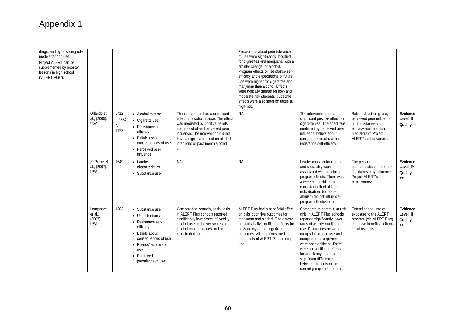| drugs, and by providing role<br>models for non-use.<br>Project ALERT can be<br>supplemented by booster<br>lessons in high school<br>("ALERT Plus"). |                                               |                               |                                                                                                                                                                                      |                                                                                                                                                                                                                                                                               | Perceptions about peer tolerance<br>of use were significantly modified<br>for cigarettes and marijuana, with a<br>smaller change for alcohol.<br>Program effects on resistance self-<br>efficacy and expectations of future<br>use were higher for cigarettes and<br>marijuana than alcohol. Effects<br>were typically greater for low- and<br>moderate-risk students, but some<br>effects were also seen for those at<br>high-risk. |                                                                                                                                                                                                                                                                                                                                                                                            |                                                                                                                                                          |                                              |
|-----------------------------------------------------------------------------------------------------------------------------------------------------|-----------------------------------------------|-------------------------------|--------------------------------------------------------------------------------------------------------------------------------------------------------------------------------------|-------------------------------------------------------------------------------------------------------------------------------------------------------------------------------------------------------------------------------------------------------------------------------|--------------------------------------------------------------------------------------------------------------------------------------------------------------------------------------------------------------------------------------------------------------------------------------------------------------------------------------------------------------------------------------------------------------------------------------|--------------------------------------------------------------------------------------------------------------------------------------------------------------------------------------------------------------------------------------------------------------------------------------------------------------------------------------------------------------------------------------------|----------------------------------------------------------------------------------------------------------------------------------------------------------|----------------------------------------------|
|                                                                                                                                                     | Orlando et<br>al., (2005).<br><b>USA</b>      | 5412<br>I: 2554<br>C:<br>1723 | • Alcohol misuse<br>• Cigarette use<br>• Resistance self-<br>efficacy<br>• Beliefs about<br>consequences of use<br>• Perceived peer<br>influence                                     | The intervention had a significant<br>effect on alcohol misuse. The effect<br>was mediated by positive beliefs<br>about alcohol and perceived peer<br>influence. The intervention did not<br>have a significant effect on alcohol<br>intentions or past month alcohol<br>use. | <b>NA</b>                                                                                                                                                                                                                                                                                                                                                                                                                            | The intervention had a<br>significant positive effect on<br>cigarette use. The effect was<br>mediated by perceived peer<br>influence, beliefs about<br>consequences of use and<br>resistance self-efficacy.                                                                                                                                                                                | Beliefs about drug use,<br>perceived peer influence,<br>and resistance self-<br>efficacy are important<br>mediators of Project<br>ALERT's effectiveness. | Evidence<br>Level: II<br>Quality: +          |
|                                                                                                                                                     | St Pierre et<br>al., (2007).<br><b>USA</b>    | 1649                          | • Leader<br>characteristics<br>• Substance use                                                                                                                                       | <b>NA</b>                                                                                                                                                                                                                                                                     | <b>NA</b>                                                                                                                                                                                                                                                                                                                                                                                                                            | Leader conscientiousness<br>and sociability were<br>associated with beneficial<br>program effects. There was<br>a weaker but still fairly<br>consistent effect of leader<br>individuation, but leader<br>altruism did not influence<br>program effectiveness.                                                                                                                              | The personal<br>characteristics of program<br>facilitators may influence<br>Project ALERT's<br>effectiveness.                                            | Evidence<br>Level: IV<br>Quality:<br>$_{++}$ |
|                                                                                                                                                     | Longshore<br>et al.,<br>(2007).<br><b>USA</b> | 1383                          | • Substance use<br>• Use intentions<br>• Resistance self-<br>efficacy<br>• Beliefs about<br>consequences of use<br>• Friends' approval of<br>use<br>• Perceived<br>prevalence of use | Compared to controls, at-risk girls<br>in ALERT Plus schools reported<br>significantly lower rates of weekly<br>alcohol use and lower scores on<br>alcohol consequences and high-<br>risk alcohol use.                                                                        | ALERT Plus had a beneficial effect<br>on girls' cognitive outcomes for<br>marijuana and alcohol. There were<br>no statistically significant effects for<br>boys in any of the cognitive<br>outcomes. All cognitions mediated<br>the effects of ALERT Plus on drug<br>use.                                                                                                                                                            | Compared to controls, at-risk<br>girls in ALERT Plus schools<br>reported significantly lower<br>rates of weekly marijuana<br>use. Differences between<br>groups in tobacco use and<br>marijuana consequences<br>were not significant. There<br>were no significant effects<br>for at-risk boys, and no<br>significant differences<br>between students in the<br>control group and students | Extending the time of<br>exposure to the ALERT<br>program (via ALERT Plus)<br>can have beneficial effects<br>for at-risk girls.                          | Evidence<br>Level: II<br>Quality:<br>$^{++}$ |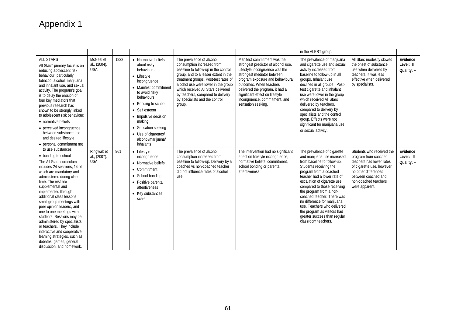|                                                                                                                                                                                                                                                                                                                                                                                                                                                                                                                                                                 |                                           |      |                                                                                                                                                                                                                                                                                                      |                                                                                                                                                                                                                                                                                                                                               |                                                                                                                                                                                                                                                                                                                                | in the ALERT group.                                                                                                                                                                                                                                                                                                                                                                                                                                      |                                                                                                                                                                                                     |                                       |
|-----------------------------------------------------------------------------------------------------------------------------------------------------------------------------------------------------------------------------------------------------------------------------------------------------------------------------------------------------------------------------------------------------------------------------------------------------------------------------------------------------------------------------------------------------------------|-------------------------------------------|------|------------------------------------------------------------------------------------------------------------------------------------------------------------------------------------------------------------------------------------------------------------------------------------------------------|-----------------------------------------------------------------------------------------------------------------------------------------------------------------------------------------------------------------------------------------------------------------------------------------------------------------------------------------------|--------------------------------------------------------------------------------------------------------------------------------------------------------------------------------------------------------------------------------------------------------------------------------------------------------------------------------|----------------------------------------------------------------------------------------------------------------------------------------------------------------------------------------------------------------------------------------------------------------------------------------------------------------------------------------------------------------------------------------------------------------------------------------------------------|-----------------------------------------------------------------------------------------------------------------------------------------------------------------------------------------------------|---------------------------------------|
| <b>ALL STARS</b><br>All Stars' primary focus is on<br>reducing adolescent risk<br>behaviour, particularly<br>tobacco, alcohol, marijuana<br>and inhalant use, and sexual<br>activity. The program's goal<br>is to delay the erosion of<br>four key mediators that<br>previous research has<br>shown to be strongly linked<br>to adolescent risk behaviour:<br>• normative beliefs<br>• perceived incongruence<br>between substance use<br>and desired lifestyle<br>• personal commitment not                                                                    | McNeal et<br>al., (2004).<br><b>USA</b>   | 1822 | • Normative beliefs<br>about risky<br>behaviours<br>• Lifestyle<br>incongruence<br>• Manifest commitment<br>to avoid risky<br>behaviours<br>• Bonding to school<br>• Self esteem<br>• Impulsive decision<br>making<br>• Sensation seeking<br>• Use of cigarettes/<br>alcohol/marijuana/<br>inhalants | The prevalence of alcohol<br>consumption increased from<br>baseline to follow-up in the control<br>group, and to a lesser extent in the<br>treatment groups. Post-test rates of<br>alcohol use were lower in the group<br>which received All Stars delivered<br>by teachers, compared to delivery<br>by specialists and the control<br>group. | Manifest commitment was the<br>strongest predictor of alcohol use.<br>Lifestyle incongruence was the<br>strongest mediator between<br>program exposure and behavioural<br>outcomes. When teachers<br>delivered the program, it had a<br>significant effect on lifestyle<br>incongruence, commitment, and<br>sensation seeking. | The prevalence of marijuana<br>and cigarette use and sexual<br>activity increased from<br>baseline to follow-up in all<br>groups. Inhalant use<br>declined in all groups. Post-<br>test cigarette and inhalant<br>use were lower in the group<br>which received All Stars<br>delivered by teachers,<br>compared to delivery by<br>specialists and the control<br>group. Effects were not<br>significant for marijuana use<br>or sexual activity.         | All Stars modestly slowed<br>the onset of substance<br>use when delivered by<br>teachers. It was less<br>effective when delivered<br>by specialists.                                                | Evidence<br>Level: II<br>Quality: $+$ |
| to use substances<br>• bonding to school<br>The All Stars curriculum<br>includes 24 sessions, 14 of<br>which are mandatory and<br>administered during class<br>time. The rest are<br>supplemental and<br>implemented through<br>additional class lessons.<br>small group meetings with<br>peer opinion leaders, and<br>one to one meetings with<br>students. Sessions may be<br>administered by specialists<br>or teachers. They include<br>interactive and cooperative<br>learning strategies, such as<br>debates, games, general<br>discussion, and homework. | Ringwalt et<br>al., (2007).<br><b>USA</b> | 961  | • Lifestyle<br>incongruence<br>• Normative beliefs<br>• Commitment<br>• School bonding<br>• Positive parental<br>attentiveness<br>• Key substances<br>scale                                                                                                                                          | The prevalence of alcohol<br>consumption increased from<br>baseline to follow-up. Delivery by a<br>coached vs non-coached teacher<br>did not influence rates of alcohol<br>use.                                                                                                                                                               | The intervention had no significant<br>effect on lifestyle incongruence,<br>normative beliefs, commitment.<br>school bonding or parental<br>attentiveness.                                                                                                                                                                     | The prevalence of cigarette<br>and marijuana use increased<br>from baseline to follow-up.<br>Students receiving the<br>program from a coached<br>teacher had a lower rate of<br>escalation of cigarette use,<br>compared to those receiving<br>the program from a non-<br>coached teacher. There was<br>no difference for marijuana<br>use. Teachers who delivered<br>the program as visitors had<br>greater success than regular<br>classroom teachers. | Students who received the<br>program from coached<br>teachers had lower rates<br>of cigarette use, however<br>no other differences<br>between coached and<br>non-coached teachers<br>were apparent. | Evidence<br>Level: II<br>Quality: $+$ |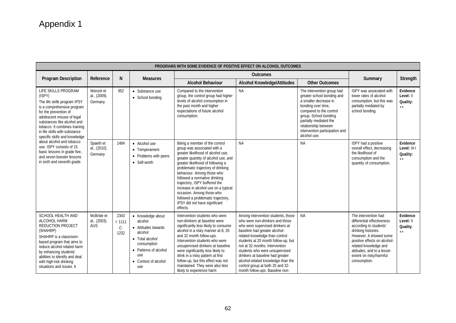| PROGRAMS WITH SOME EVIDENCE OF POSITIVE EFFECT ON ALCOHOL OUTCOMES                                                                                                                                                                                                                                                                                                                                                                        |                                          |                               |                                                                                                                                                                 |                                                                                                                                                                                                                                                                                                                                                                                                                                                                               |                                                                                                                                                                                                                                                                                                                                                                                                                                         |                                                                                                                                                                                                                                                                 |                                                                                                                                                                                                                                                                  |                                              |  |  |
|-------------------------------------------------------------------------------------------------------------------------------------------------------------------------------------------------------------------------------------------------------------------------------------------------------------------------------------------------------------------------------------------------------------------------------------------|------------------------------------------|-------------------------------|-----------------------------------------------------------------------------------------------------------------------------------------------------------------|-------------------------------------------------------------------------------------------------------------------------------------------------------------------------------------------------------------------------------------------------------------------------------------------------------------------------------------------------------------------------------------------------------------------------------------------------------------------------------|-----------------------------------------------------------------------------------------------------------------------------------------------------------------------------------------------------------------------------------------------------------------------------------------------------------------------------------------------------------------------------------------------------------------------------------------|-----------------------------------------------------------------------------------------------------------------------------------------------------------------------------------------------------------------------------------------------------------------|------------------------------------------------------------------------------------------------------------------------------------------------------------------------------------------------------------------------------------------------------------------|----------------------------------------------|--|--|
| <b>Program Description</b>                                                                                                                                                                                                                                                                                                                                                                                                                | Reference                                | N                             | <b>Measures</b>                                                                                                                                                 |                                                                                                                                                                                                                                                                                                                                                                                                                                                                               |                                                                                                                                                                                                                                                                                                                                                                                                                                         | Summary                                                                                                                                                                                                                                                         | Strength                                                                                                                                                                                                                                                         |                                              |  |  |
|                                                                                                                                                                                                                                                                                                                                                                                                                                           |                                          |                               |                                                                                                                                                                 | <b>Alcohol Behaviour</b>                                                                                                                                                                                                                                                                                                                                                                                                                                                      | <b>Alcohol Knowledge/Attitudes</b>                                                                                                                                                                                                                                                                                                                                                                                                      | <b>Other Outcomes</b>                                                                                                                                                                                                                                           |                                                                                                                                                                                                                                                                  |                                              |  |  |
| LIFE SKILLS PROGRAM<br>(ISPY)<br>The life skills program IPSY<br>is a comprehensive program<br>for the prevention of<br>adolescent misuse of legal<br>substances like alcohol and<br>tobacco. It combines training<br>in life skills with substance<br>specific skills and knowledge<br>about alcohol and tobacco<br>use. ISPY consists of 15<br>basic lessons in grade five,<br>and seven booster lessons<br>in sixth and seventh grade. | Wenzel et<br>al., (2009).<br>Germany     | 952                           | • Substance use<br>• School bonding                                                                                                                             | Compared to the intervention<br>group, the control group had higher<br>levels of alcohol consumption in<br>the past month and higher<br>expectations of future alcohol<br>consumption.                                                                                                                                                                                                                                                                                        | <b>NA</b>                                                                                                                                                                                                                                                                                                                                                                                                                               | The intervention group had<br>greater school bonding and<br>a smaller decrease in<br>bonding over time,<br>compared to the control<br>group. School bonding<br>partially mediated the<br>relationship between<br>intervention participation and<br>alcohol use. | ISPY was associated with<br>lower rates of alcohol<br>consumption, but this was<br>partially mediated by<br>school bonding.                                                                                                                                      | Evidence<br>Level: II<br>Quality:<br>$^{++}$ |  |  |
|                                                                                                                                                                                                                                                                                                                                                                                                                                           | Spaeth et<br>al., (2010).<br>Germany     | 1484                          | • Alcohol use<br>• Temperament<br>• Problems with peers<br>• Self-worth                                                                                         | Being a member of the control<br>group was associated with a<br>greater likelihood of alcohol use,<br>greater quantity of alcohol use, and<br>greater likelihood of following a<br>problematic trajectory of drinking<br>behaviour. Among those who<br>followed a normative drinking<br>trajectory, ISPY buffered the<br>increase in alcohol use on a typical<br>occasion. Among those who<br>followed a problematic trajectory,<br>IPSY did not have significant<br>effects. | <b>NA</b>                                                                                                                                                                                                                                                                                                                                                                                                                               | <b>NA</b>                                                                                                                                                                                                                                                       | ISPY had a positive<br>overall effect, decreasing<br>the likelihood of<br>consumption and the<br>quantity of consumption.                                                                                                                                        | Evidence<br>Level: III-I<br>Quality:<br>$++$ |  |  |
| <b>SCHOOL HEALTH AND</b><br>ALCOHOL HARM<br><b>REDUCTION PROJECT</b><br>(SHAHRP)<br>SHAHRP is a classroom-<br>based program that aims to<br>reduce alcohol related harm<br>by enhancing students'<br>abilities to identify and deal<br>with high-risk drinking<br>situations and issues. It                                                                                                                                               | McBride et<br>al., (2003).<br><b>AUS</b> | 2343<br>1: 1111<br>C:<br>1232 | • Knowledge about<br>alcohol<br>• Attitudes towards<br>alcohol<br>• Total alcohol<br>consumption<br>• Patterns of alcohol<br>use<br>• Context of alcohol<br>use | Intervention students who were<br>non-drinkers at baseline were<br>significantly less likely to consume<br>alcohol in a risky manner at 8, 20<br>and 32 month follow-ups.<br>Intervention students who were<br>unsupervised drinkers at baseline<br>were significantly less likely to<br>drink in a risky pattern at first<br>follow-up, but this effect was not<br>maintained. They were also less<br>likely to experience harm                                              | Among intervention students, those<br>who were non-drinkers and those<br>who were supervised drinkers at<br>baseline had greater alcohol-<br>related knowledge than control<br>students at 20 month follow-up, but<br>not at 32 months. Intervention<br>students who were unsupervised<br>drinkers at baseline had greater<br>alcohol-related knowledge than the<br>control group at both 20 and 32-<br>month follow-ups. Baseline non- | <b>NA</b>                                                                                                                                                                                                                                                       | The intervention had<br>differential effectiveness<br>according to students'<br>drinking histories.<br>However, it showed some<br>positive effects on alcohol-<br>related knowledge and<br>attitudes, and to a lesser<br>extent on risky/harmful<br>consumption. | Evidence<br>Level: II<br>Quality:<br>$++$    |  |  |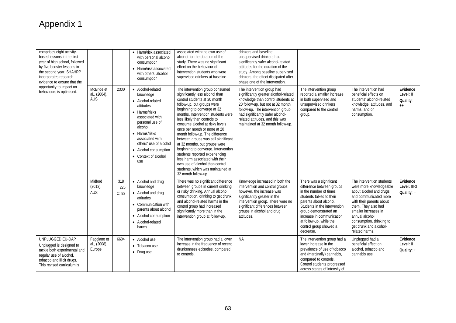| comprises eight activity-<br>based lessons in the first<br>year of high school, followed<br>by five booster lessons in<br>the second year. SHAHRP<br>incorporates research<br>evidence to ensure that the<br>opportunity to impact on<br>behaviours is optimised. |                                          |                        | • Harm/risk associated<br>with personal alcohol<br>consumption<br>• Harm/risk associated<br>with others' alcohol<br>consumption                                                                                                                                  | associated with the own use of<br>alcohol for the duration of the<br>study. There was no significant<br>effect on the behaviour of<br>intervention students who were<br>supervised drinkers at baseline.                                                                                                                                                                                                                                                                                                                                                                                                                        | drinkers and baseline<br>unsupervised drinkers had<br>significantly safer alcohol-related<br>attitudes for the duration of the<br>study. Among baseline supervised<br>drinkers, the effect dissipated after<br>phase one of the intervention.                                                   |                                                                                                                                                                                                                                                                                              |                                                                                                                                                                                                                                                                                |                                           |
|-------------------------------------------------------------------------------------------------------------------------------------------------------------------------------------------------------------------------------------------------------------------|------------------------------------------|------------------------|------------------------------------------------------------------------------------------------------------------------------------------------------------------------------------------------------------------------------------------------------------------|---------------------------------------------------------------------------------------------------------------------------------------------------------------------------------------------------------------------------------------------------------------------------------------------------------------------------------------------------------------------------------------------------------------------------------------------------------------------------------------------------------------------------------------------------------------------------------------------------------------------------------|-------------------------------------------------------------------------------------------------------------------------------------------------------------------------------------------------------------------------------------------------------------------------------------------------|----------------------------------------------------------------------------------------------------------------------------------------------------------------------------------------------------------------------------------------------------------------------------------------------|--------------------------------------------------------------------------------------------------------------------------------------------------------------------------------------------------------------------------------------------------------------------------------|-------------------------------------------|
|                                                                                                                                                                                                                                                                   | McBride et<br>al., (2004).<br><b>AUS</b> | 2300                   | • Alcohol-related<br>knowledge<br>• Alcohol-related<br>attitudes<br>$\bullet$ Harms/risks<br>associated with<br>personal use of<br>alcohol<br>• Harms/risks<br>associated with<br>others' use of alcohol<br>• Alcohol consumption<br>• Context of alcohol<br>use | The intervention group consumed<br>significantly less alcohol than<br>control students at 20 month<br>follow-up, but groups were<br>beginning to converge at 32<br>months. Intervention students were<br>less likely than controls to<br>consume alcohol at risky levels<br>once per month or more at 20<br>month follow-up. The difference<br>between groups was still significant<br>at 32 months, but groups were<br>beginning to converge. Intervention<br>students reported experiencing<br>less harm associated with their<br>own use of alcohol than control<br>students, which was maintained at<br>32 month follow-up. | The intervention group had<br>significantly greater alcohol-related<br>knowledge than control students at<br>20 follow-up, but not at 32 month<br>follow-up. The intervention group<br>had significantly safer alcohol-<br>related attitudes, and this was<br>maintained at 32 month follow-up. | The intervention group<br>reported a smaller increase<br>in both supervised and<br>unsupervised drinkers<br>compared to the control<br>group.                                                                                                                                                | The intervention had<br>beneficial effects on<br>students' alcohol-related<br>knowledge, attitudes, and<br>harms, and on<br>consumption.                                                                                                                                       | Evidence<br>Level: II<br>Quality:<br>$++$ |
|                                                                                                                                                                                                                                                                   | Midford<br>(2012).<br><b>AUS</b>         | 318<br>I: 225<br>C: 93 | • Alcohol and drug<br>knowledge<br>• Alcohol and drug<br>attitudes<br>• Communication with<br>parents about alcohol<br>• Alcohol consumption<br>• Alcohol-related<br>harms                                                                                       | There was no significant difference<br>between groups in current drinking<br>or risky drinking. Annual alcohol<br>consumption, drinking to get drunk<br>and alcohol-related harms in the<br>control group had increased<br>significantly more than in the<br>intervention group at follow-up.                                                                                                                                                                                                                                                                                                                                   | Knowledge increased in both the<br>intervention and control groups:<br>however, the increase was<br>significantly greater in the<br>intervention group. There were no<br>significant differences between<br>groups in alcohol and drug<br>attitudes.                                            | There was a significant<br>difference between groups<br>in the number of times<br>students talked to their<br>parents about alcohol.<br>Students in the intervention<br>group demonstrated an<br>increase in communication<br>at follow-up, while the<br>control group showed a<br>decrease. | The intervention students<br>were more knowledgeable<br>about alcohol and drugs,<br>and communicated more<br>with their parents about<br>them. They also had<br>smaller increases in<br>annual alcohol<br>consumption, drinking to<br>get drunk and alcohol-<br>related harms. | Evidence<br>Level: III-3<br>Quality: -    |
| UNPLUGGED EU-DAP<br>Unplugged is designed to<br>tackle both experimental and<br>regular use of alcohol,<br>tobacco and illicit drugs.<br>This revised curriculum is                                                                                               | Faggiano et<br>al., (2008).<br>Europe    | 6604                   | • Alcohol use<br>• Tobacco use<br>• Drug use                                                                                                                                                                                                                     | The intervention group had a lower<br>increase in the frequency of recent<br>drunkenness episodes, compared<br>to controls.                                                                                                                                                                                                                                                                                                                                                                                                                                                                                                     | <b>NA</b>                                                                                                                                                                                                                                                                                       | The intervention group had a<br>lower increase in the<br>prevalence of use of tobacco<br>and (marginally) cannabis,<br>compared to controls.<br>Control students progressed<br>across stages of intensity of                                                                                 | Unplugged had a<br>beneficial effect on<br>alcohol, tobacco and<br>cannabis use.                                                                                                                                                                                               | Evidence<br>Level: II<br>Quality: $+$     |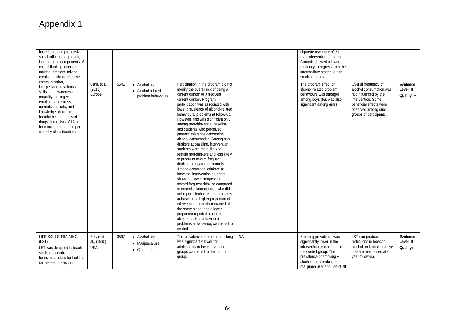| based on a comprehensive<br>social-influence approach,<br>incorporating components of<br>critical thinking, decision-<br>making, problem solving,<br>creative thinking, effective                                                                                                               |                                         |      |                                                          |                                                                                                                                                                                                                                                                                                                                                                                                                                                                                                                                                                                                                                                                                                                                                                                                                                                                                                                                                                                                                                                                 |           | cigarette use more often<br>than intervention students.<br>Controls showed a lower<br>tendency to regress from the<br>intermediate stages to non-<br>smoking status.                                |                                                                                                                                                                             |                                       |
|-------------------------------------------------------------------------------------------------------------------------------------------------------------------------------------------------------------------------------------------------------------------------------------------------|-----------------------------------------|------|----------------------------------------------------------|-----------------------------------------------------------------------------------------------------------------------------------------------------------------------------------------------------------------------------------------------------------------------------------------------------------------------------------------------------------------------------------------------------------------------------------------------------------------------------------------------------------------------------------------------------------------------------------------------------------------------------------------------------------------------------------------------------------------------------------------------------------------------------------------------------------------------------------------------------------------------------------------------------------------------------------------------------------------------------------------------------------------------------------------------------------------|-----------|-----------------------------------------------------------------------------------------------------------------------------------------------------------------------------------------------------|-----------------------------------------------------------------------------------------------------------------------------------------------------------------------------|---------------------------------------|
| communication.<br>interpersonal relationship<br>skills, self-awareness,<br>empathy, coping with<br>emotions and stress,<br>normative beliefs, and<br>knowledge about the<br>harmful health effects of<br>drugs. It consists of 12 one-<br>hour units taught once per<br>week by class teachers. | Caria et al.,<br>(2011).<br>Europe      | 5541 | • Alcohol use<br>• Alcohol-related<br>problem behaviours | Participation in the program did not<br>modify the overall risk of being a<br>current drinker or a frequent<br>current drinker. Program<br>participation was associated with<br>lower prevalence of alcohol-related<br>behavioural problems at follow-up.<br>However, this was significant only<br>among non-drinkers at baseline<br>and students who perceived<br>parents' tolerance concerning<br>alcohol consumption. Among non-<br>drinkers at baseline, intervention<br>students were more likely to<br>remain non-drinkers and less likely<br>to progress toward frequent<br>drinking compared to controls.<br>Among occasional drinkers at<br>baseline, intervention students<br>showed a lower progression<br>toward frequent drinking compared<br>to controls. Among those who did<br>not report alcohol-related problems<br>at baseline, a higher proportion of<br>intervention students remained at<br>the same stage, and a lower<br>proportion reported frequent<br>alcohol-related behavioural<br>problems at follow-up, compared to<br>controls. |           | The program effect on<br>alcohol-related problem<br>behaviours was stronger<br>among boys (but was also<br>significant among girls).                                                                | Overall frequency of<br>alcohol consumption was<br>not influenced by the<br>intervention. Some<br>beneficial effects were<br>observed among sub-<br>groups of participants. | Evidence<br>Level: II<br>Quality: $+$ |
| LIFE SKILLS TRAINING<br>(LST)<br>LST was designed to teach<br>students cognitive-<br>behavioural skills for building<br>self-esteem, resisting                                                                                                                                                  | Botvin et<br>al., (1995).<br><b>USA</b> | 3597 | • Alcohol use<br>• Marijuana use<br>• Cigarette use      | The prevalence of problem drinking<br>was significantly lower for<br>adolescents in the intervention<br>groups compared to the control<br>group.                                                                                                                                                                                                                                                                                                                                                                                                                                                                                                                                                                                                                                                                                                                                                                                                                                                                                                                | <b>NA</b> | Smoking prevalence was<br>significantly lower in the<br>intervention groups than in<br>the control group. The<br>prevalence of smoking +<br>alcohol use, smoking +<br>marijuana use, and use of all | LST can produce<br>reductions in tobacco,<br>alcohol and marijuana use<br>that are maintained at 6<br>year follow-up.                                                       | Evidence<br>Level: II<br>Quality: -   |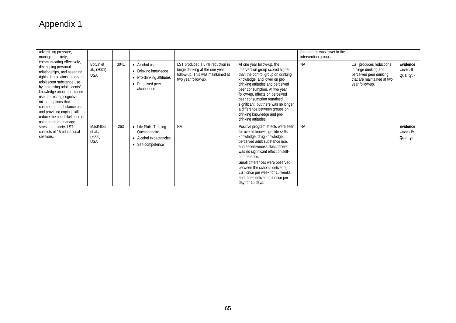| advertising pressure,<br>managing anxiety,<br>communicating effectively,<br>developing personal<br>relationships, and asserting<br>rights. It also aims to prevent<br>adolescent substance use<br>by increasing adolescents'<br>knowledge about substance<br>use, correcting cognitive<br>misperceptions that<br>contribute to substance use.<br>and providing coping skills to<br>reduce the need likelihood of<br>using to drugs manage<br>stress or anxiety. LST<br>consists of 15 educational<br>sessions. |                                               |      |                                                                                                      |                                                                                                                               |                                                                                                                                                                                                                                                                                                                                                                                                           | three drugs was lower in the<br>intervention groups. |                                                                                                                              |                                     |
|----------------------------------------------------------------------------------------------------------------------------------------------------------------------------------------------------------------------------------------------------------------------------------------------------------------------------------------------------------------------------------------------------------------------------------------------------------------------------------------------------------------|-----------------------------------------------|------|------------------------------------------------------------------------------------------------------|-------------------------------------------------------------------------------------------------------------------------------|-----------------------------------------------------------------------------------------------------------------------------------------------------------------------------------------------------------------------------------------------------------------------------------------------------------------------------------------------------------------------------------------------------------|------------------------------------------------------|------------------------------------------------------------------------------------------------------------------------------|-------------------------------------|
|                                                                                                                                                                                                                                                                                                                                                                                                                                                                                                                | Botvin et<br>al., (2001).<br><b>USA</b>       | 3041 | • Alcohol use<br>• Drinking knowledge<br>• Pro-drinking attitudes<br>• Perceived peer<br>alcohol use | LST produced a 57% reduction in<br>binge drinking at the one year<br>follow-up. This was maintained at<br>two year follow-up. | At one year follow-up, the<br>intervention group scored higher<br>than the control group on drinking<br>knowledge, and lower on pro-<br>drinking attitudes and perceived<br>peer consumption. At two year<br>follow-up, effects on perceived<br>peer consumption remained<br>significant, but there was no longer<br>a difference between groups on<br>drinking knowledge and pro-<br>drinking attitudes. | <b>NA</b>                                            | LST produces reductions<br>in binge drinking and<br>perceived peer drinking<br>that are maintained at two<br>year follow-up. | Evidence<br>Level: II<br>Quality: - |
|                                                                                                                                                                                                                                                                                                                                                                                                                                                                                                                | MacKillop<br>et al.,<br>(2006).<br><b>USA</b> | 263  | • Life Skills Training<br>Questionnaire<br>• Alcohol expectancies<br>• Self-competence               | <b>NA</b>                                                                                                                     | Positive program effects were seen<br>for overall knowledge, life skills<br>knowledge, drug knowledge,<br>perceived adult substance use,<br>and assertiveness skills. There<br>was no significant effect on self-<br>competence.<br>Small differences were observed<br>between the schools delivering<br>LST once per week for 15 weeks,<br>and those delivering it once per<br>day for 15 days.          | <b>NA</b>                                            |                                                                                                                              | Evidence<br>Level: IV<br>Quality: - |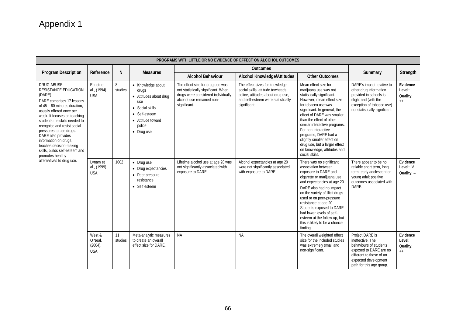| Program Description                                                                                                                                                                                                                                                                                                                                                                                                                         | Reference                                  | N             | <b>Measures</b>                                                                                                                              |                                                                                                                                                             | <b>Outcomes</b>                                                                                                                                                |                                                                                                                                                                                                                                                                                                                                                                                                                           | Summary                                                                                                                                                                 | Strength                                 |
|---------------------------------------------------------------------------------------------------------------------------------------------------------------------------------------------------------------------------------------------------------------------------------------------------------------------------------------------------------------------------------------------------------------------------------------------|--------------------------------------------|---------------|----------------------------------------------------------------------------------------------------------------------------------------------|-------------------------------------------------------------------------------------------------------------------------------------------------------------|----------------------------------------------------------------------------------------------------------------------------------------------------------------|---------------------------------------------------------------------------------------------------------------------------------------------------------------------------------------------------------------------------------------------------------------------------------------------------------------------------------------------------------------------------------------------------------------------------|-------------------------------------------------------------------------------------------------------------------------------------------------------------------------|------------------------------------------|
|                                                                                                                                                                                                                                                                                                                                                                                                                                             |                                            |               |                                                                                                                                              | <b>Alcohol Behaviour</b>                                                                                                                                    | <b>Alcohol Knowledge/Attitudes</b>                                                                                                                             | <b>Other Outcomes</b>                                                                                                                                                                                                                                                                                                                                                                                                     |                                                                                                                                                                         |                                          |
| <b>DRUG ABUSE</b><br><b>RESISTANCE EDUCATION</b><br>(DARE)<br>DARE comprises 17 lessons<br>of 45 - 60 minutes duration.<br>usually offered once per<br>week. It focuses on teaching<br>students the skills needed to<br>recognise and resist social<br>pressures to use drugs.<br>DARE also provides<br>information on drugs,<br>teaches decision-making<br>skills, builds self-esteem and<br>promotes healthy<br>alternatives to drug use. | Ennett et<br>al., (1994).<br><b>USA</b>    | 8<br>studies  | • Knowledge about<br>drugs<br>• Attitudes about drug<br>use<br>• Social skills<br>• Self-esteem<br>• Attitude toward<br>police<br>• Drug use | The effect size for drug use was<br>not statistically significant. When<br>drugs were considered individually,<br>alcohol use remained non-<br>significant. | The effect sizes for knowledge,<br>social skills, attitude towheads<br>police, attitudes about drug use,<br>and self-esteem were statistically<br>significant. | Mean effect size for<br>marijuana use was not<br>statistically significant.<br>However, mean effect size<br>for tobacco use was<br>significant. In general, the<br>effect of DARE was smaller<br>than the effect of other<br>similar interactive programs.<br>For non-interactive<br>programs, DARE had a<br>slightly smaller effect on<br>drug use, but a larger effect<br>on knowledge, attitudes and<br>social skills. | DARE's impact relative to<br>other drug information<br>provided in schools is<br>slight and (with the<br>exception of tobacco use)<br>not statistically significant.    | Evidence<br>Level: I<br>Quality:<br>$++$ |
|                                                                                                                                                                                                                                                                                                                                                                                                                                             | Lynam et<br>al., (1999).<br><b>USA</b>     | 1002          | $\bullet$ Drug use<br>• Drug expectancies<br>• Peer pressure<br>resistance<br>• Self esteem                                                  | Lifetime alcohol use at age 20 was<br>not significantly associated with<br>exposure to DARE.                                                                | Alcohol expectancies at age 20<br>were not significantly associated<br>with exposure to DARE.                                                                  | There was no significant<br>association between<br>exposure to DARE and<br>cigarette or marijuana use<br>and expectancies at age 20.<br>DARE also had no impact<br>on the variety of illicit drugs<br>used or on peer-pressure<br>resistance at age 20.<br>Students exposed to DARE<br>had lower levels of self-<br>esteem at the follow-up, but<br>this is likely to be a chance<br>finding.                             | There appear to be no<br>reliable short term, long<br>term, early adolescent or<br>young adult positive<br>outcomes associated with<br>DARE.                            | Evidence<br>Level: IV<br>Quality: -      |
|                                                                                                                                                                                                                                                                                                                                                                                                                                             | West &<br>O'Neal.<br>(2004).<br><b>USA</b> | 11<br>studies | Meta-analytic measures<br>to create an overall<br>effect size for DARE.                                                                      | <b>NA</b>                                                                                                                                                   | <b>NA</b>                                                                                                                                                      | The overall weighted effect<br>size for the included studies<br>was extremely small and<br>non-significant.                                                                                                                                                                                                                                                                                                               | Project DARE is<br>ineffective. The<br>behaviours of students<br>exposed to DARE are no<br>different to those of an<br>expected development<br>path for this age group. | Evidence<br>Level: I<br>Quality:<br>$++$ |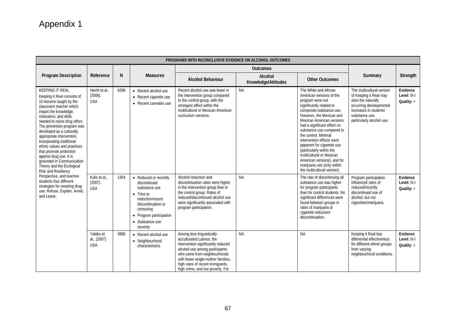|                                                                                                                                                                                                                                                                                                                                                                                                                                                                                                                                                                                                                                   | PROGRAMS WITH INCONCLUSIVE EVIDENCE ON ALCOHOL OUTCOMES |      |                                                                                                                                                                                              |                                                                                                                                                                                                                                                                               |                                |                                                                                                                                                                                                                                                                                                                                                                                                                                                                                                  |                                                                                                                                                                               |                                        |  |  |  |  |
|-----------------------------------------------------------------------------------------------------------------------------------------------------------------------------------------------------------------------------------------------------------------------------------------------------------------------------------------------------------------------------------------------------------------------------------------------------------------------------------------------------------------------------------------------------------------------------------------------------------------------------------|---------------------------------------------------------|------|----------------------------------------------------------------------------------------------------------------------------------------------------------------------------------------------|-------------------------------------------------------------------------------------------------------------------------------------------------------------------------------------------------------------------------------------------------------------------------------|--------------------------------|--------------------------------------------------------------------------------------------------------------------------------------------------------------------------------------------------------------------------------------------------------------------------------------------------------------------------------------------------------------------------------------------------------------------------------------------------------------------------------------------------|-------------------------------------------------------------------------------------------------------------------------------------------------------------------------------|----------------------------------------|--|--|--|--|
|                                                                                                                                                                                                                                                                                                                                                                                                                                                                                                                                                                                                                                   |                                                         |      |                                                                                                                                                                                              |                                                                                                                                                                                                                                                                               | <b>Outcomes</b>                |                                                                                                                                                                                                                                                                                                                                                                                                                                                                                                  |                                                                                                                                                                               |                                        |  |  |  |  |
| Program Description                                                                                                                                                                                                                                                                                                                                                                                                                                                                                                                                                                                                               | Reference                                               | N    | <b>Measures</b>                                                                                                                                                                              | <b>Alcohol Behaviour</b>                                                                                                                                                                                                                                                      | Alcohol<br>Knowledge/Attitudes | <b>Other Outcomes</b>                                                                                                                                                                                                                                                                                                                                                                                                                                                                            | Summary                                                                                                                                                                       | Strength                               |  |  |  |  |
| <b>KEEPING IT REAL</b><br>Keeping it Real consists of<br>10 lessons taught by the<br>classroom teacher which<br>impart the knowledge,<br>motivation, and skills<br>needed to resist drug offers.<br>The prevention program was<br>developed as a culturally<br>appropriate intervention,<br>incorporating traditional<br>ethnic values and practices<br>that promote protection<br>against drug use. It is<br>grounded in Communication<br>Theory and the Ecological<br>Risk and Resiliency<br>Perspective, and teaches<br>students four different<br>strategies for resisting drug<br>use: Refuse, Explain, Avoid,<br>and Leave. | Hecht et al.<br>(2006).<br><b>USA</b>                   | 6298 | • Recent alcohol use<br>• Recent cigarette use<br>• Recent cannabis use                                                                                                                      | Recent alcohol use was lower in<br>the intervention group compared<br>to the control group, with the<br>strongest effect within the<br>multicultural or Mexican American<br>curriculum versions.                                                                              | <b>NA</b>                      | The White and African<br>American versions of the<br>program were not<br>significantly related to<br>composite substance use.<br>However, the Mexican and<br><b>Mexican American versions</b><br>had a significant effect on<br>substance use compared to<br>the control. Minimal<br>intervention effects were<br>apparent for cigarette use<br>(particularly within the<br>multicultural or Mexican<br>American versions), and for<br>marijuana use (only within<br>the multicultural version). | The multicultural version<br>of Keeping it Real may<br>slow the naturally<br>occurring developmental<br>increases in students'<br>substance use.<br>particularly alcohol use. | Evidence<br>Level: III-I<br>Quality: + |  |  |  |  |
|                                                                                                                                                                                                                                                                                                                                                                                                                                                                                                                                                                                                                                   | Kulis et al.<br>(2007).<br><b>USA</b>                   | 1364 | • Reduced or recently<br>discontinued<br>substance use<br>$\bullet$ Time to<br>reduction/recent<br>discontinuation or<br>censoring<br>• Program participation<br>• Substance use<br>severity | Alcohol reduction and<br>discontinuation rates were higher<br>in the intervention group than in<br>the control group. Rates of<br>reduced/discontinued alcohol use<br>were significantly associated with<br>program participation.                                            | <b>NA</b>                      | The rate of discontinuing all<br>substance use was higher<br>for program participants<br>than for control students. No<br>significant differences were<br>found between groups in<br>rates of marijuana or<br>cigarette reduction/<br>discontinuation.                                                                                                                                                                                                                                           | Program participation<br>influenced rates of<br>reduced/recently<br>discontinued use of<br>alcohol, but not<br>cigarettes/marijuana.                                          | Evidence<br>Level: III-I<br>Quality: + |  |  |  |  |
|                                                                                                                                                                                                                                                                                                                                                                                                                                                                                                                                                                                                                                   | Yabiku et<br>al., (2007).<br><b>USA</b>                 | 3986 | • Recent alcohol use<br>• Neighbourhood<br>characteristics                                                                                                                                   | Among less linguistically-<br>acculturated Latinos, the<br>intervention significantly reduced<br>alcohol use among participants<br>who came from neighbourhoods<br>with fewer single-mother families,<br>high rates of recent immigrants,<br>high crime, and low poverty. For | <b>NA</b>                      | <b>NA</b>                                                                                                                                                                                                                                                                                                                                                                                                                                                                                        | Keeping it Real has<br>differential effectiveness<br>for different ethnic groups<br>from varying<br>neighbourhood conditions.                                                 | Evidence<br>Level: III-I<br>Quality: + |  |  |  |  |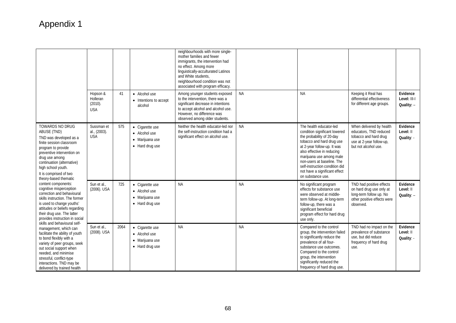|                                                                                                                                                                                                                                                                                                                                                                                                                                                                                                                                                                                                                                                                                                                                                                                                                            |                                               |      |                                                                        | neighbourhoods with more single-<br>mother families and fewer<br>immigrants, the intervention had<br>no effect. Among more<br>linguistically-acculturated Latinos<br>and White students.<br>neighbourhood condition was not<br>associated with program efficacy. |           |                                                                                                                                                                                                                                                                                                                                   |                                                                                                                                 |                                          |
|----------------------------------------------------------------------------------------------------------------------------------------------------------------------------------------------------------------------------------------------------------------------------------------------------------------------------------------------------------------------------------------------------------------------------------------------------------------------------------------------------------------------------------------------------------------------------------------------------------------------------------------------------------------------------------------------------------------------------------------------------------------------------------------------------------------------------|-----------------------------------------------|------|------------------------------------------------------------------------|------------------------------------------------------------------------------------------------------------------------------------------------------------------------------------------------------------------------------------------------------------------|-----------|-----------------------------------------------------------------------------------------------------------------------------------------------------------------------------------------------------------------------------------------------------------------------------------------------------------------------------------|---------------------------------------------------------------------------------------------------------------------------------|------------------------------------------|
|                                                                                                                                                                                                                                                                                                                                                                                                                                                                                                                                                                                                                                                                                                                                                                                                                            | Hopson &<br>Holleran<br>(2010).<br><b>USA</b> | 41   | • Alcohol use<br>• Intentions to accept<br>alcohol                     | Among younger students exposed<br>to the intervention, there was a<br>significant decrease in intentions<br>to accept alcohol and alcohol use.<br>However, no difference was<br>observed among older students.                                                   | <b>NA</b> | <b>NA</b>                                                                                                                                                                                                                                                                                                                         | Keeping it Real has<br>differential effectiveness<br>for different age groups.                                                  | Evidence<br>Level: III-I<br>Quality: $-$ |
| <b>TOWARDS NO DRUG</b><br>ABUSE (TND)<br>TND was developed as a<br>finite session classroom<br>program to provide<br>preventive intervention on<br>drug use among<br>continuation (alternative)<br>high school youth.<br>It is comprised of two<br>theory-based thematic<br>content components:<br>cognitive misperception<br>correction and behavioural<br>skills instruction. The former<br>is used to change youths'<br>attitudes or beliefs regarding<br>their drug use. The latter<br>provides instruction in social<br>skills and behavioural self-<br>management, which can<br>facilitate the ability of youth<br>to bond flexibly with a<br>variety of peer groups, seek<br>out social support when<br>needed, and minimise<br>stressful, conflict-type<br>interactions. TND may be<br>delivered by trained health | Sussman et<br>al., (2003).<br><b>USA</b>      | 575  | • Cigarette use<br>• Alcohol use<br>· Marijuana use<br>• Hard drug use | Neither the health educator-led nor<br>the self-instruction condition had a<br>significant effect on alcohol use.                                                                                                                                                | <b>NA</b> | The health educator-led<br>condition significant lowered<br>the probability of 20-day<br>tobacco and hard drug use<br>at 2-year follow-up. It was<br>also effective in reducing<br>marijuana use among male<br>non-users at baseline. The<br>self-instruction condition did<br>not have a significant effect<br>on substance use. | When delivered by health<br>educators, TND reduced<br>tobacco and hard drug<br>use at 2-year follow-up,<br>but not alcohol use. | Evidence<br>Level: II<br>Quality: -      |
|                                                                                                                                                                                                                                                                                                                                                                                                                                                                                                                                                                                                                                                                                                                                                                                                                            | Sun et al.,<br>(2006). USA                    | 725  | • Cigarette use<br>• Alcohol use<br>• Marijuana use<br>• Hard drug use | <b>NA</b>                                                                                                                                                                                                                                                        | <b>NA</b> | No significant program<br>effects for substance use<br>were observed at middle-<br>term follow-up. At long-term<br>follow-up, there was a<br>significant beneficial<br>program effect for hard drug<br>use only.                                                                                                                  | TND had positive effects<br>on hard drug use only at<br>long-term follow up. No<br>other positive effects were<br>observed.     | Evidence<br>Level: II<br>Quality: $-$    |
|                                                                                                                                                                                                                                                                                                                                                                                                                                                                                                                                                                                                                                                                                                                                                                                                                            | Sun et al.,<br>(2008). USA                    | 2064 | • Cigarette use<br>• Alcohol use<br>· Marijuana use<br>• Hard drug use | <b>NA</b>                                                                                                                                                                                                                                                        | <b>NA</b> | Compared to the control<br>group, the intervention failed<br>to significantly reduce the<br>prevalence of all four-<br>substance use outcomes.<br>Compared to the control<br>group, the intervention<br>significantly reduced the<br>frequency of hard drug use.                                                                  | TND had no impact on the<br>prevalence of substance<br>use, but did reduce<br>frequency of hard drug<br>use.                    | Evidence<br>Level: II<br>Quality: -      |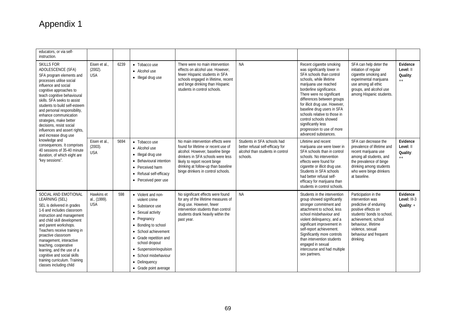| educators, or via self-<br>instruction.                                                                                                                                                                                                                                                                                                                                                                                                                                                                                                              |                                           |      |                                                                                                                                                                                                                                                                                    |                                                                                                                                                                                                                                                                 |                                                                                                                 |                                                                                                                                                                                                                                                                                                                                                                                                                                     |                                                                                                                                                                                                                                  |                                           |
|------------------------------------------------------------------------------------------------------------------------------------------------------------------------------------------------------------------------------------------------------------------------------------------------------------------------------------------------------------------------------------------------------------------------------------------------------------------------------------------------------------------------------------------------------|-------------------------------------------|------|------------------------------------------------------------------------------------------------------------------------------------------------------------------------------------------------------------------------------------------------------------------------------------|-----------------------------------------------------------------------------------------------------------------------------------------------------------------------------------------------------------------------------------------------------------------|-----------------------------------------------------------------------------------------------------------------|-------------------------------------------------------------------------------------------------------------------------------------------------------------------------------------------------------------------------------------------------------------------------------------------------------------------------------------------------------------------------------------------------------------------------------------|----------------------------------------------------------------------------------------------------------------------------------------------------------------------------------------------------------------------------------|-------------------------------------------|
| SKILLS FOR<br>ADOLESCENCE (SFA)<br>SFA program elements and<br>processes utilise social<br>influence and social<br>cognitive approaches to<br>teach cognitive behavioural<br>skills. SFA seeks to assist<br>students to build self-esteem<br>and personal responsibility,<br>enhance communication<br>strategies, make better<br>decisions, resist social<br>influences and assert rights,<br>and increase drug use<br>knowledge and<br>consequences. It comprises<br>40 sessions of 35-40 minute<br>duration, of which eight are<br>"key sessions". | Eisen et al.,<br>$(2002)$ .<br><b>USA</b> | 6239 | • Tobacco use<br>• Alcohol use<br>• Illegal drug use                                                                                                                                                                                                                               | There were no main intervention<br>effects on alcohol use. However,<br>fewer Hispanic students in SFA<br>schools engaged in lifetime, recent<br>and binge drinking than Hispanic<br>students in control schools.                                                | <b>NA</b>                                                                                                       | Recent cigarette smoking<br>was significantly lower in<br>SFA schools than control<br>schools, while lifetime<br>marijuana use reached<br>borderline significance.<br>There were no significant<br>differences between groups<br>for illicit drug use. However,<br>baseline drug users in SFA<br>schools relative to those in<br>control schools showed<br>significantly less<br>progression to use of more<br>advanced substances. | SFA can help deter the<br>initiation of regular<br>cigarette smoking and<br>experimental marijuana<br>use among all ethic<br>groups, and alcohol use<br>among Hispanic students.                                                 | Evidence<br>Level: II<br>Quality:<br>$++$ |
|                                                                                                                                                                                                                                                                                                                                                                                                                                                                                                                                                      | Eisen et al.,<br>(2003).<br><b>USA</b>    | 5694 | • Tobacco use<br>• Alcohol use<br>• Illegal drug use<br>• Behavioural intention<br>• Perceived harm<br>• Refusal self-efficacy<br>• Perceived peer use                                                                                                                             | No main intervention effects were<br>found for lifetime or recent use of<br>alcohol. However, baseline binge<br>drinkers in SFA schools were less<br>likely to report recent binge<br>drinking at follow-up than baseline<br>binge drinkers in control schools. | Students in SFA schools had<br>better refusal self-efficacy for<br>alcohol than students in control<br>schools. | Lifetime and recent<br>marijuana use were lower in<br>SFA schools than in control<br>schools. No intervention<br>effects were found for<br>cigarette or illicit drug use.<br>Students in SFA schools<br>had better refusal self-<br>efficacy for marijuana than<br>students in control schools.                                                                                                                                     | SFA can decrease the<br>prevalence of lifetime and<br>recent marijuana use<br>among all students, and<br>the prevalence of binge<br>drinking among students<br>who were binge drinkers<br>at baseline.                           | Evidence<br>Level: II<br>Quality:<br>$++$ |
| SOCIAL AND EMOTIONAL<br>LEARNING (SEL)<br>SEL is delivered in grades<br>1-6 and includes classroom<br>instruction and management<br>and child skill development<br>and parent workshops.<br>Teachers receive training in<br>proactive classroom<br>management, interactive<br>teaching, cooperative<br>learning, and the use of a<br>cognitive and social skills<br>training curriculum. Training<br>classes including child                                                                                                                         | Hawkins et<br>al., (1999).<br><b>USA</b>  | 598  | • Violent and non-<br>violent crime<br>• Substance use<br>• Sexual activity<br>• Pregnancy<br>• Bonding to school<br>• School achievement<br>• Grade repetition and<br>school dropout<br>• Suspension/expulsion<br>• School misbehaviour<br>• Delinquency<br>• Grade point average | No significant effects were found<br>for any of the lifetime measures of<br>drug use. However, fewer<br>intervention students than control<br>students drank heavily within the<br>past year.                                                                   | <b>NA</b>                                                                                                       | Students in the intervention<br>group showed significantly<br>stronger commitment and<br>attachment to school, less<br>school misbehaviour and<br>violent delinquency, and a<br>significant improvement in<br>self-report achievement.<br>Significantly more controls<br>than intervention students<br>engaged in sexual<br>intercourse and had multiple<br>sex partners.                                                           | Participation in the<br>intervention was<br>predictive of enduring<br>positive effects on<br>students' bonds to school.<br>achievement, school<br>behaviour, lifetime<br>violence, sexual<br>behaviour and frequent<br>drinking. | Evidence<br>Level: III-3<br>Quality: $+$  |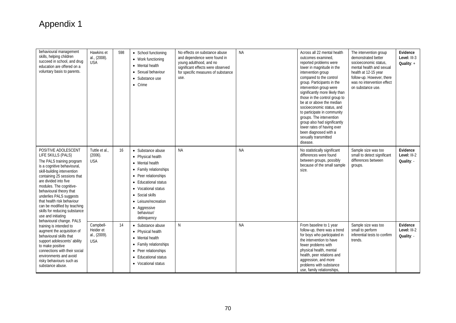| behavioural management<br>skills, helping children<br>succeed in school, and drug<br>education are offered on a<br>voluntary basis to parents.                                                                                                                                                                                                                                                                                | Hawkins et<br>al., (2008).<br><b>USA</b>             | 598 | • School functioning<br>• Work functioning<br>• Mental health<br>• Sexual behaviour<br>• Substance use<br>• Crime                                                                                                                                          | No effects on substance abuse<br>and dependence were found in<br>young adulthood, and no<br>significant effects were observed<br>for specific measures of substance<br>use. | <b>NA</b> | Across all 22 mental health<br>outcomes examined.<br>reported problems were<br>lower in magnitude in the<br>intervention group<br>compared to the control<br>group. Participants in the<br>intervention group were<br>significantly more likely than<br>those in the control group to<br>be at or above the median<br>socioeconomic status, and<br>to participate in community<br>groups. The intervention<br>group also had significantly<br>lower rates of having ever<br>been diagnosed with a<br>sexually transmitted<br>disease. | The intervention group<br>demonstrated better<br>socioeconomic status.<br>mental health and sexual<br>health at 12-15 year<br>follow-up. However, there<br>was no intervention effect<br>on substance use. | Evidence<br>Level: III-3<br>Quality: $+$ |
|-------------------------------------------------------------------------------------------------------------------------------------------------------------------------------------------------------------------------------------------------------------------------------------------------------------------------------------------------------------------------------------------------------------------------------|------------------------------------------------------|-----|------------------------------------------------------------------------------------------------------------------------------------------------------------------------------------------------------------------------------------------------------------|-----------------------------------------------------------------------------------------------------------------------------------------------------------------------------|-----------|---------------------------------------------------------------------------------------------------------------------------------------------------------------------------------------------------------------------------------------------------------------------------------------------------------------------------------------------------------------------------------------------------------------------------------------------------------------------------------------------------------------------------------------|------------------------------------------------------------------------------------------------------------------------------------------------------------------------------------------------------------|------------------------------------------|
| POSITIVE ADOLESCENT<br>LIFE SKILLS (PALS)<br>The PALS training program<br>is a cognitive behavioural,<br>skill-building intervention<br>containing 25 sessions that<br>are divided into five<br>modules. The cognitive-<br>behavioural theory that<br>underlies PALS suggests<br>that health risk behaviour<br>can be modified by teaching<br>skills for reducing substance<br>use and initiating<br>behavioural change. PALS | Tuttle et al.,<br>$(2006)$ .<br><b>USA</b>           | 16  | • Substance abuse<br>• Physical health<br>• Mental health<br>• Family relationships<br>• Peer relationships<br>• Educational status<br>• Vocational status<br>$\bullet$ Social skills<br>• Leisure/recreation<br>• Aggressive<br>behaviour/<br>delinquency | <b>NA</b>                                                                                                                                                                   | <b>NA</b> | No statistically significant<br>differences were found<br>between groups, possibly<br>because of the small sample<br>size.                                                                                                                                                                                                                                                                                                                                                                                                            | Sample size was too<br>small to detect significant<br>differences between<br>groups.                                                                                                                       | Evidence<br>Level: III-2<br>Quality: -   |
| training is intended to<br>augment the acquisition of<br>behavioural skills that<br>support adolescents' ability<br>to make positive<br>connections with their social<br>environments and avoid<br>risky behaviours such as<br>substance abuse.                                                                                                                                                                               | Campbell-<br>Heider et<br>al., (2009).<br><b>USA</b> | 14  | • Substance abuse<br>• Physical health<br>• Mental health<br>• Family relationships<br>• Peer relationships<br>• Educational status<br>• Vocational status                                                                                                 | N                                                                                                                                                                           | <b>NA</b> | From baseline to 1 year<br>follow-up, there was a trend<br>for boys who participated in<br>the intervention to have<br>fewer problems with<br>physical health, mental<br>health, peer relations and<br>aggression, and more<br>problems with substance<br>use, family relationships,                                                                                                                                                                                                                                                  | Sample size was too<br>small to perform<br>inferential tests to confirm<br>trends.                                                                                                                         | Evidence<br>Level: III-2<br>Quality: -   |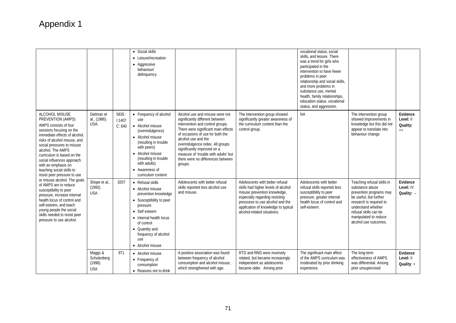|                                                                                                                                                                                                                                                                                                                                                             |                                                |                           | • Social skills<br>• Leisure/recreation<br>• Aggressive<br>behaviour/<br>delinquency                                                                                                                                                   |                                                                                                                                                                                                                                                                                                                                                                     |                                                                                                                                                                                                                                                    | vocational status, social<br>skills, and leisure. There<br>was a trend for girls who<br>participated in the<br>intervention to have fewer<br>problems in peer<br>relationship and social skills,<br>and more problems in<br>substance use, mental<br>health, family relationships,<br>education status, vocational<br>status, and aggression. |                                                                                                                                                                                                                                |                                           |
|-------------------------------------------------------------------------------------------------------------------------------------------------------------------------------------------------------------------------------------------------------------------------------------------------------------------------------------------------------------|------------------------------------------------|---------------------------|----------------------------------------------------------------------------------------------------------------------------------------------------------------------------------------------------------------------------------------|---------------------------------------------------------------------------------------------------------------------------------------------------------------------------------------------------------------------------------------------------------------------------------------------------------------------------------------------------------------------|----------------------------------------------------------------------------------------------------------------------------------------------------------------------------------------------------------------------------------------------------|-----------------------------------------------------------------------------------------------------------------------------------------------------------------------------------------------------------------------------------------------------------------------------------------------------------------------------------------------|--------------------------------------------------------------------------------------------------------------------------------------------------------------------------------------------------------------------------------|-------------------------------------------|
| ALCOHOL MISUSE<br>PREVENTION (AMPS)<br>AMPS consists of four<br>sessions focusing on the<br>immediate effects of alcohol,<br>risks of alcohol misuse, and<br>social pressures to misuse<br>alcohol. The AMPS<br>curriculum is based on the<br>social influences approach<br>with an emphasis on<br>teaching social skills to<br>resist peer pressure to use | Dielman et<br>al., (1986).<br>USA.             | 5635:<br>1:1407<br>C: 640 | • Frequency of alcohol<br>use<br>• Alcohol misuse<br>(overindulgence)<br>• Alcohol misuse<br>(resulting in trouble<br>with peers)<br>• Alcohol misuse<br>(resulting in trouble<br>with adults)<br>• Awareness of<br>curriculum content | Alcohol use and misuse were not<br>significantly different between<br>intervention and control groups.<br>There were significant main effects<br>of occasions of use for both the<br>alcohol use and the<br>overindulgence index. All groups<br>significantly improved on a<br>measure of 'trouble with adults' but<br>there were no differences between<br>groups. | The intervention group showed<br>significantly greater awareness of<br>the curriculum content than the<br>control group.                                                                                                                           | <b>NA</b>                                                                                                                                                                                                                                                                                                                                     | The intervention group<br>showed improvements in<br>knowledge but this did not<br>appear to translate into<br>behaviour change.                                                                                                | Evidence<br>Level: II<br>Quality:<br>$++$ |
| or misuse alcohol. The goals<br>of AMPS are to reduce<br>susceptibility to peer<br>pressure, increase internal<br>health locus of control and<br>self-esteem, and teach<br>young people the social<br>skills needed to resist peer<br>pressure to use alcohol.                                                                                              | Shope et al.,<br>$(1993)$ .<br><b>USA</b>      | 3207                      | • Refusal skills<br>• Alcohol misuse<br>prevention knowledge<br>• Susceptibility to peer<br>pressure<br>• Self esteem<br>• Internal health locus<br>of control<br>• Quantity and<br>frequency of alcohol<br>use<br>• Alcohol misuse    | Adolescents with better refusal<br>skills reported less alcohol use<br>and misuse.                                                                                                                                                                                                                                                                                  | Adolescents with better refusal<br>skills had higher levels of alcohol<br>misuse prevention knowledge,<br>especially regarding resisting<br>pressures to use alcohol and the<br>application of knowledge to typical<br>alcohol-related situations. | Adolescents with better<br>refusal skills reported less<br>susceptibility to peer<br>pressure, greater internal<br>health locus of control and<br>self-esteem.                                                                                                                                                                                | Teaching refusal skills in<br>substance abuse<br>prevention programs may<br>be useful, but further<br>research is required to<br>understand whether<br>refusal skills can be<br>manipulated to reduce<br>alcohol use outcomes. | Evidence<br>Level: IV<br>Quality: $-$     |
|                                                                                                                                                                                                                                                                                                                                                             | Maggs &<br>Schulenberg<br>(1998)<br><b>USA</b> | 971                       | • Alcohol misuse<br>• Frequency of<br>consumption<br>• Reasons not to drink                                                                                                                                                            | A positive association was found<br>between frequency of alcohol<br>consumption and alcohol misuse,<br>which strengthened with age.                                                                                                                                                                                                                                 | RTD and RND were inversely<br>related, but became increasingly<br>independent as adolescents<br>became older. Among prior                                                                                                                          | The significant main effect<br>of the AMPS curriculum was<br>moderated by prior drinking<br>experience.                                                                                                                                                                                                                                       | The long-term<br>effectiveness of AMPS<br>was differential. Among<br>prior unsupervised                                                                                                                                        | Evidence<br>Level: II<br>Quality: $+$     |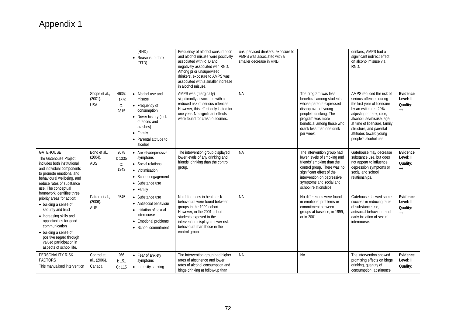|                                                                                                                                                                                                                                                                                         |                                        |                               | (RND)<br>• Reasons to drink<br>(RTD)                                                                                                                                 | Frequency of alcohol consumption<br>and alcohol misuse were positively<br>associated with RTD and<br>negatively associated with RND.<br>Among prior unsupervised<br>drinkers, exposure to AMPS was<br>associated with a smaller increase<br>in alcohol misuse. | unsupervised drinkers, exposure to<br>AMPS was associated with a<br>smaller decrease in RND. |                                                                                                                                                                                                                                      | drinkers. AMPS had a<br>significant indirect effect<br>on alcohol misuse via<br>RND.                                                                                                                                                                                            |                                              |
|-----------------------------------------------------------------------------------------------------------------------------------------------------------------------------------------------------------------------------------------------------------------------------------------|----------------------------------------|-------------------------------|----------------------------------------------------------------------------------------------------------------------------------------------------------------------|----------------------------------------------------------------------------------------------------------------------------------------------------------------------------------------------------------------------------------------------------------------|----------------------------------------------------------------------------------------------|--------------------------------------------------------------------------------------------------------------------------------------------------------------------------------------------------------------------------------------|---------------------------------------------------------------------------------------------------------------------------------------------------------------------------------------------------------------------------------------------------------------------------------|----------------------------------------------|
|                                                                                                                                                                                                                                                                                         | Shope et al.,<br>(2001).<br><b>USA</b> | 4635:<br>1:1820<br>C:<br>2815 | • Alcohol use and<br>misuse<br>• Frequency of<br>consumption<br>• Driver history (incl.<br>offences and<br>crashes)<br>• Family<br>• Parental attitude to<br>alcohol | AMPS was (marginally)<br>significantly associated with a<br>reduced risk of serious offences.<br>However, this effect only lasted for<br>one year. No significant effects<br>were found for crash outcomes.                                                    | <b>NA</b>                                                                                    | The program was less<br>beneficial among students<br>whose parents expressed<br>disapproval of young<br>people's drinking. The<br>program was more<br>beneficial among those who<br>drank less than one drink<br>per week.           | AMPS reduced the risk of<br>serious offenses during<br>the first year of licensure<br>by an estimated 20%,<br>adjusting for sex, race,<br>alcohol use/misuse, age<br>at time of licensure, family<br>structure, and parental<br>attitudes toward young<br>people's alcohol use. | Evidence<br>Level: II<br>Quality:<br>$^{++}$ |
| <b>GATEHOUSE</b><br>The Gatehouse Project<br>includes both institutional<br>and individual components<br>to promote emotional and<br>behavioural wellbeing, and<br>reduce rates of substance<br>use. The conceptual                                                                     | Bond et al.<br>(2004).<br><b>AUS</b>   | 2678<br>I: 1335<br>C:<br>1343 | • Anxiety/depressive<br>symptoms<br>• Social relations<br>• Victimisation<br>• School engagement<br>• Substance use<br>• Family                                      | The intervention group displayed<br>lower levels of any drinking and<br>friends' drinking than the control<br>group.                                                                                                                                           | <b>NA</b>                                                                                    | The intervention group had<br>lower levels of smoking and<br>friends' smoking than the<br>control group. There was no<br>significant effect of the<br>intervention on depressive<br>symptoms and social and<br>school relationships. | Gatehouse may decrease<br>substance use, but does<br>not appear to influence<br>depression symptoms or<br>social and school<br>relationships.                                                                                                                                   | Evidence<br>Level: II<br>Quality:<br>$++$    |
| framework identifies three<br>priority areas for action:<br>• building a sense of<br>security and trust<br>• increasing skills and<br>opportunities for good<br>communication<br>• building a sense of<br>positive regard through<br>valued participation in<br>aspects of school life. | Patton et al<br>(2006).<br><b>AUS</b>  | 2545                          | • Substance use<br>• Antisocial behaviour<br>• Initiation of sexual<br>intercourse<br>• Emotional problems<br>• School commitment                                    | No differences in health risk<br>behaviours were found between<br>groups in the 1999 cohort.<br>However, in the 2001 cohort.<br>students exposed to the<br>intervention displayed fewer risk<br>behaviours than those in the<br>control group.                 | <b>NA</b>                                                                                    | No differences were found<br>in emotional problems or<br>commitment between<br>groups at baseline, in 1999,<br>or in 2001.                                                                                                           | Gatehouse showed some<br>success in reducing rates<br>of substance use,<br>antisocial behaviour, and<br>early initiation of sexual<br>intercourse.                                                                                                                              | Evidence<br>Level: II<br>Quality:<br>$++$    |
| PERSONALITY RISK<br><b>FACTORS</b><br>This manualised intervention                                                                                                                                                                                                                      | Conrod et<br>al., (2006).<br>Canada    | 266<br>1:151<br>C: 115        | • Fear of anxiety<br>symptoms<br>• Intensity seeking                                                                                                                 | The intervention group had higher<br>rates of abstinence and lower<br>rates of alcohol consumption and<br>binge drinking at follow-up than                                                                                                                     | <b>NA</b>                                                                                    | <b>NA</b>                                                                                                                                                                                                                            | The intervention showed<br>promising effects on binge<br>drinking, quantity of<br>consumption, abstinence                                                                                                                                                                       | Evidence<br>Level: II<br>Quality:            |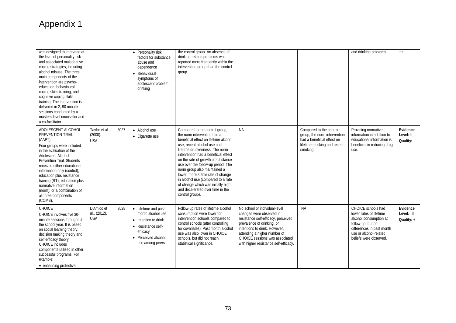| was designed to intervene at<br>the level of personality risk<br>and associated maladaptive<br>coping strategies, including<br>alcohol misuse. The three<br>main components of the<br>intervention are psycho-<br>education: behavioural<br>coping skills training; and<br>cognitive coping skills<br>training. The intervention is<br>delivered in 2, 90 minute<br>sessions conducted by a<br>masters-level counsellor and<br>a co-facilitator. |                                          |      | • Personality risk<br>factors for substance<br>abuse and<br>dependence<br>• Behavioural<br>symptoms of<br>adolescent problem<br>drinking     | the control group. An absence of<br>drinking-related problems was<br>reported more frequently within the<br>intervention group than the control<br>group.                                                                                                                                                                                                                                                                                                                                           |                                                                                                                                                                                                                                                                            |                                                                                                                                  | and drinking problems.                                                                                                                                                        | $++$                                |
|--------------------------------------------------------------------------------------------------------------------------------------------------------------------------------------------------------------------------------------------------------------------------------------------------------------------------------------------------------------------------------------------------------------------------------------------------|------------------------------------------|------|----------------------------------------------------------------------------------------------------------------------------------------------|-----------------------------------------------------------------------------------------------------------------------------------------------------------------------------------------------------------------------------------------------------------------------------------------------------------------------------------------------------------------------------------------------------------------------------------------------------------------------------------------------------|----------------------------------------------------------------------------------------------------------------------------------------------------------------------------------------------------------------------------------------------------------------------------|----------------------------------------------------------------------------------------------------------------------------------|-------------------------------------------------------------------------------------------------------------------------------------------------------------------------------|-------------------------------------|
| ADOLESCENT ALCOHOL<br>PREVENTION TRIAL<br>(AAPT)<br>Four groups were included<br>in the evaluation of the<br>Adolescent Alcohol<br><b>Prevention Trial. Students</b><br>received either educational<br>information only (control);<br>education plus resistance<br>training (RT); education plus<br>normative information<br>(norm); or a combination of<br>all three components<br>(COMB).                                                      | Taylor et al.,<br>(2000).<br><b>USA</b>  | 3027 | • Alcohol use<br>• Cigarette use                                                                                                             | Compared to the control group,<br>the norm intervention had a<br>beneficial effect on lifetime alcohol<br>use, recent alcohol use and<br>lifetime drunkenness. The norm<br>intervention had a beneficial effect<br>on the rate of growth of substance<br>use over the follow-up period. The<br>norm group also maintained a<br>lower, more stable rate of change<br>in alcohol use (compared to a rate<br>of change which was initially high<br>and decelerated over time in the<br>control group). | <b>NA</b>                                                                                                                                                                                                                                                                  | Compared to the control<br>group, the norm intervention<br>had a beneficial effect on<br>lifetime smoking and recent<br>smoking. | Providing normative<br>information in addition to<br>educational information is<br>beneficial in reducing drug<br>use.                                                        | Evidence<br>Level: II<br>Quality: - |
| CHOICE<br>CHOICE involves five 30-<br>minute sessions throughout<br>the school year. It is based<br>on social learning theory,<br>decision making theory and<br>self-efficacy theory.<br><b>CHOICE</b> includes<br>components utilised in other<br>successful programs. For<br>example:<br>• enhancing protective                                                                                                                                | D'Amico et<br>al., (2012).<br><b>USA</b> | 9528 | • Lifetime and past<br>month alcohol use<br>• Intention to drink<br>• Resistance self-<br>efficacy<br>• Perceived alcohol<br>use among peers | Follow-up rates of lifetime alcohol<br>consumption were lower for<br>intervention schools compared to<br>control schools (after controlling<br>for covariates). Past month alcohol<br>use was also lower in CHOICE<br>schools, but did not reach<br>statistical significance.                                                                                                                                                                                                                       | No school or individual-level<br>changes were observed in<br>resistance self-efficacy, perceived<br>prevalence of drinking, or<br>intentions to drink. However,<br>attending a higher number of<br>CHOICE sessions was associated<br>with higher resistance self-efficacy. | <b>NA</b>                                                                                                                        | CHOICE schools had<br>lower rates of lifetime<br>alcohol consumption at<br>follow-up, but no<br>differences in past month<br>use or alcohol-related<br>beliefs were observed. | Evidence<br>Level: II<br>Quality: + |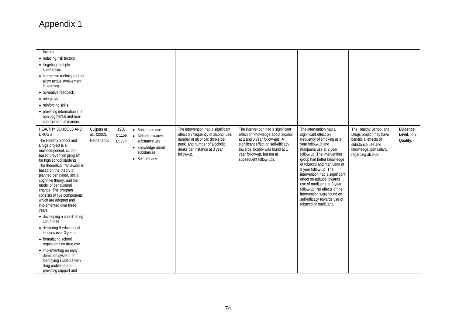| factors                                                                                                                                                                                                                                                                                                                                                                                                                                                                                                                                                                                                                                                                                                                   |                                            |                           |                                                                                                              |                                                                                                                                                                                             |                                                                                                                                                                                                                                           |                                                                                                                                                                                                                                                                                                                                                                                                                                                                         |                                                                                                                                                 |                                        |
|---------------------------------------------------------------------------------------------------------------------------------------------------------------------------------------------------------------------------------------------------------------------------------------------------------------------------------------------------------------------------------------------------------------------------------------------------------------------------------------------------------------------------------------------------------------------------------------------------------------------------------------------------------------------------------------------------------------------------|--------------------------------------------|---------------------------|--------------------------------------------------------------------------------------------------------------|---------------------------------------------------------------------------------------------------------------------------------------------------------------------------------------------|-------------------------------------------------------------------------------------------------------------------------------------------------------------------------------------------------------------------------------------------|-------------------------------------------------------------------------------------------------------------------------------------------------------------------------------------------------------------------------------------------------------------------------------------------------------------------------------------------------------------------------------------------------------------------------------------------------------------------------|-------------------------------------------------------------------------------------------------------------------------------------------------|----------------------------------------|
| • reducing risk factors                                                                                                                                                                                                                                                                                                                                                                                                                                                                                                                                                                                                                                                                                                   |                                            |                           |                                                                                                              |                                                                                                                                                                                             |                                                                                                                                                                                                                                           |                                                                                                                                                                                                                                                                                                                                                                                                                                                                         |                                                                                                                                                 |                                        |
| • targeting multiple<br>substances                                                                                                                                                                                                                                                                                                                                                                                                                                                                                                                                                                                                                                                                                        |                                            |                           |                                                                                                              |                                                                                                                                                                                             |                                                                                                                                                                                                                                           |                                                                                                                                                                                                                                                                                                                                                                                                                                                                         |                                                                                                                                                 |                                        |
| • interactive techniques that<br>allow active involvement<br>in learning                                                                                                                                                                                                                                                                                                                                                                                                                                                                                                                                                                                                                                                  |                                            |                           |                                                                                                              |                                                                                                                                                                                             |                                                                                                                                                                                                                                           |                                                                                                                                                                                                                                                                                                                                                                                                                                                                         |                                                                                                                                                 |                                        |
| • normative feedback                                                                                                                                                                                                                                                                                                                                                                                                                                                                                                                                                                                                                                                                                                      |                                            |                           |                                                                                                              |                                                                                                                                                                                             |                                                                                                                                                                                                                                           |                                                                                                                                                                                                                                                                                                                                                                                                                                                                         |                                                                                                                                                 |                                        |
| • role plays                                                                                                                                                                                                                                                                                                                                                                                                                                                                                                                                                                                                                                                                                                              |                                            |                           |                                                                                                              |                                                                                                                                                                                             |                                                                                                                                                                                                                                           |                                                                                                                                                                                                                                                                                                                                                                                                                                                                         |                                                                                                                                                 |                                        |
| • reinforcing skills                                                                                                                                                                                                                                                                                                                                                                                                                                                                                                                                                                                                                                                                                                      |                                            |                           |                                                                                                              |                                                                                                                                                                                             |                                                                                                                                                                                                                                           |                                                                                                                                                                                                                                                                                                                                                                                                                                                                         |                                                                                                                                                 |                                        |
| • providing information in a<br>nonjudgmental and non-<br>confrontational manner.                                                                                                                                                                                                                                                                                                                                                                                                                                                                                                                                                                                                                                         |                                            |                           |                                                                                                              |                                                                                                                                                                                             |                                                                                                                                                                                                                                           |                                                                                                                                                                                                                                                                                                                                                                                                                                                                         |                                                                                                                                                 |                                        |
| HEALTHY SCHOOLS AND<br><b>DRUGS</b><br>The Healthy School and<br>Drugs project is a<br>multicomponent, school-<br>based prevention program<br>for high school students.<br>The theoretical framework is<br>based on the theory of<br>planned behaviour, social<br>cognitive theory, and the<br>model of behavioural<br>change. The program<br>consists of five components<br>which are adopted and<br>implemented over three<br>years:<br>• developing a coordinating<br>committee<br>· delivering 9 educational<br>lessons over 3 years<br>• formulating school<br>regulations on drug use<br>• implementing an early<br>detection system for<br>identifying students with<br>drug problems and<br>providing support and | Cuijpers et<br>al., (2002).<br>Netherlands | 1930<br>1: 1156<br>C: 774 | • Substance use<br>• Attitude towards<br>substance use<br>• Knowledge about<br>substances<br>• Self-efficacy | The intervention had a significant<br>effect on frequency of alcohol use,<br>number of alcoholic drinks per<br>peek, and number of alcoholic<br>drinks per instance at 3 year<br>follow-up. | The intervention had a significant<br>effect on knowledge about alcohol<br>at 2 and 3 year follow-ups. A<br>significant effect on self-efficacy<br>towards alcohol was found at 1<br>year follow-up, but not at<br>subsequent follow-ups. | The intervention had a<br>significant effect on<br>frequency of smoking at 3<br>year follow-up and<br>marijuana use at 2 year<br>follow-up. The intervention<br>group had better knowledge<br>of tobacco and marijuana at<br>3 year follow-up. The<br>intervention had a significant<br>effect on attitude towards<br>use of marijuana at 3 year<br>follow-up. No effects of the<br>intervention were found on<br>self-efficacy towards use of<br>tobacco or marijuana. | The Healthy School and<br>Drugs project may have<br>beneficial effects of<br>substance use and<br>knowledge, particularly<br>regarding alcohol. | Evidence<br>Level: III-2<br>Quality: - |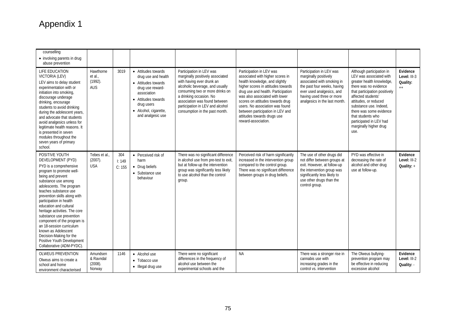| counselling<br>• involving parents in drug<br>abuse prevention                                                                                                                                                                                                                                                                                                                                                                                                                                                       |                                                 |                        |                                                                                                                                                                                         |                                                                                                                                                                                                                                                                                                   |                                                                                                                                                                                                                                                                                                                                                                               |                                                                                                                                                                                                           |                                                                                                                                                                                                                                                                                                                                   |                                              |
|----------------------------------------------------------------------------------------------------------------------------------------------------------------------------------------------------------------------------------------------------------------------------------------------------------------------------------------------------------------------------------------------------------------------------------------------------------------------------------------------------------------------|-------------------------------------------------|------------------------|-----------------------------------------------------------------------------------------------------------------------------------------------------------------------------------------|---------------------------------------------------------------------------------------------------------------------------------------------------------------------------------------------------------------------------------------------------------------------------------------------------|-------------------------------------------------------------------------------------------------------------------------------------------------------------------------------------------------------------------------------------------------------------------------------------------------------------------------------------------------------------------------------|-----------------------------------------------------------------------------------------------------------------------------------------------------------------------------------------------------------|-----------------------------------------------------------------------------------------------------------------------------------------------------------------------------------------------------------------------------------------------------------------------------------------------------------------------------------|----------------------------------------------|
| LIFE EDUCATION<br>VICTORIA (LEV)<br>LEV aims to delay student<br>experimentation with or<br>initiation into smoking,<br>discourage underage<br>drinking, encourage<br>students to avoid drinking<br>during the adolescent years,<br>and advocate that students<br>avoid analgesics unless for<br>legitimate health reasons. It<br>is presented in seven<br>modules throughout the<br>seven years of primary<br>school.                                                                                               | Hawthorne<br>et al.<br>$(1992)$ .<br><b>AUS</b> | 3019                   | • Attitudes towards<br>drug use and health<br>• Attitudes towards<br>drug use reward-<br>association<br>• Attitudes towards<br>drug users<br>• Alcohol, cigarette,<br>and analgesic use | Participation in LEV was<br>marginally positively associated<br>with having ever drunk an<br>alcoholic beverage, and usually<br>consuming two or more drinks on<br>a drinking occasion. No<br>association was found between<br>participation in LEV and alcohol<br>consumption in the past month. | Participation in LEV was<br>associated with higher scores in<br>health knowledge, and slightly<br>higher scores in attitudes towards<br>drug use and health. Participation<br>was also associated with lower<br>scores on attitudes towards drug<br>users. No association was found<br>between participation in LEV and<br>attitudes towards drugs use<br>reward-association. | Participation in LEV was<br>marginally positively<br>associated with smoking in<br>the past four weeks, having<br>ever used analgesics, and<br>having used three or more<br>analgesics in the last month. | Although participation in<br>LEV was associated with<br>greater health knowledge,<br>there was no evidence<br>that participation positively<br>affected students'<br>attitudes, or reduced<br>substance use. Indeed.<br>there was some evidence<br>that students who<br>participated in LEV had<br>marginally higher drug<br>use. | Evidence<br>Level: III-3<br>Quality:<br>$++$ |
| POSITIVE YOUTH<br>DEVELOPMENT (PYD)<br>PYD is a comprehensive<br>program to promote well-<br>being and prevent<br>substance use among<br>adolescents. The program<br>teaches substance use<br>prevention skills along with<br>participation in health<br>education and cultural<br>heritage activities. The core<br>substance use prevention<br>component of the program is<br>an 18-session curriculum<br>known as Adolescent<br>Decision-Making for the<br>Positive Youth Development<br>Collaborative (ADM-PYDC). | Tebes et al.,<br>$(2007)$ .<br><b>USA</b>       | 304<br>1:149<br>C: 155 | • Perceived risk of<br>harm<br>• Drug beliefs<br>• Substance use<br>behaviour                                                                                                           | There was no significant difference<br>in alcohol use from pre-test to exit,<br>but at follow-up the intervention<br>group was significantly less likely<br>to use alcohol than the control<br>group.                                                                                             | Perceived risk of harm significantly<br>increased in the intervention group<br>compared to the control group.<br>There was no significant difference<br>between groups in drug beliefs.                                                                                                                                                                                       | The use of other drugs did<br>not differ between groups at<br>exit. However, at follow-up<br>the intervention group was<br>significantly less likely to<br>use other drugs than the<br>control group.     | PYD was effective in<br>decreasing the rate of<br>alcohol and other drug<br>use at follow-up.                                                                                                                                                                                                                                     | Evidence<br>Level: III-2<br>Quality: +       |
| <b>OLWEUS PREVENTION</b><br>Olweus aims to create a<br>school and home<br>environment characterised                                                                                                                                                                                                                                                                                                                                                                                                                  | Amundsen<br>& Ravndal<br>(2008).<br>Norway      | 1146                   | • Alcohol use<br>• Tobacco use<br>• Illegal drug use                                                                                                                                    | There were no significant<br>differences in the frequency of<br>alcohol use between the<br>experimental schools and the                                                                                                                                                                           | <b>NA</b>                                                                                                                                                                                                                                                                                                                                                                     | There was a stronger rise in<br>cannabis use with<br>increasing grades in the<br>control vs. intervention                                                                                                 | The Olweus bullying-<br>prevention program may<br>be effective in reducing<br>excessive alcohol                                                                                                                                                                                                                                   | Evidence<br>Level: III-2<br>Quality: -       |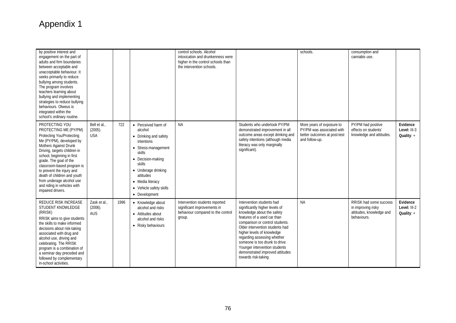| by positive interest and<br>engagement on the part of<br>adults and firm boundaries<br>between acceptable and<br>unacceptable behaviour. It<br>seeks primarily to reduce<br>bullying among students.<br>The program involves<br>teachers learning about<br>bullying and implementing<br>strategies to reduce bullying<br>behaviours. Olweus is<br>integrated within the<br>school's ordinary routine. |                                          |      |                                                                                                                                                                                                                                           | control schools. Alcohol<br>intoxication and drunkenness were<br>higher in the control schools than<br>the intervention schools. |                                                                                                                                                                                                                                                                                                                                                                                           | schools.                                                                                                 | consumption and<br>cannabis use.                                                        |                                          |
|-------------------------------------------------------------------------------------------------------------------------------------------------------------------------------------------------------------------------------------------------------------------------------------------------------------------------------------------------------------------------------------------------------|------------------------------------------|------|-------------------------------------------------------------------------------------------------------------------------------------------------------------------------------------------------------------------------------------------|----------------------------------------------------------------------------------------------------------------------------------|-------------------------------------------------------------------------------------------------------------------------------------------------------------------------------------------------------------------------------------------------------------------------------------------------------------------------------------------------------------------------------------------|----------------------------------------------------------------------------------------------------------|-----------------------------------------------------------------------------------------|------------------------------------------|
| PROTECTING YOU<br>PROTECTING ME (PY/PM)<br>Protecting You/Protecting<br>Me (PY/PM), developed by<br>Mothers Against Drunk<br>Driving, targets children in<br>school, beginning in first<br>grade. The goal of the<br>classroom-based program is<br>to prevent the injury and<br>death of children and youth<br>from underage alcohol use<br>and riding in vehicles with<br>impaired drivers.          | Bell et al.,<br>$(2005)$ .<br><b>USA</b> | 722  | • Perceived harm of<br>alcohol<br>• Drinking and safety<br>intentions<br>• Stress-management<br>skills<br>• Decision-making<br>skills<br>• Underage drinking<br>attitudes<br>• Media literacy<br>• Vehicle safety skills<br>• Development | <b>NA</b>                                                                                                                        | Students who undertook PY/PM<br>demonstrated improvement in all<br>outcome areas except drinking and<br>safety intentions (although media<br>literacy was only marginally<br>significant).                                                                                                                                                                                                | More years of exposure to<br>PY/PM was associated with<br>better outcomes at post-test<br>and follow-up. | PY/PM had positive<br>effects on students'<br>knowledge and attitudes.                  | Evidence<br>Level: III-3<br>Quality: $+$ |
| <b>REDUCE RISK INCREASE</b><br>STUDENT KNOWLEDGE<br>(RRISK)<br>RRISK aims to give students<br>the skills to make informed<br>decisions about risk-taking<br>associated with drug and<br>alcohol use, driving and<br>celebrating. The RRISK<br>program is a combination of<br>a seminar day preceded and<br>followed by complementary<br>in-school activities.                                         | Zask et al.,<br>$(2006)$ .<br><b>AUS</b> | 1996 | • Knowledge about<br>alcohol and risks<br>• Attitudes about<br>alcohol and risks<br>• Risky behaviours                                                                                                                                    | Intervention students reported<br>significant improvements in<br>behaviour compared to the control<br>group.                     | Intervention students had<br>significantly higher levels of<br>knowledge about the safety<br>features of a used car than<br>comparison or control students.<br>Older intervention students had<br>higher levels of knowledge<br>regarding assessing whether<br>someone is too drunk to drive.<br>Younger intervention students<br>demonstrated improved attitudes<br>towards risk-taking. | <b>NA</b>                                                                                                | RRISK had some success<br>in improving risky<br>attitudes, knowledge and<br>behaviours. | Evidence<br>Level: III-2<br>Quality: $+$ |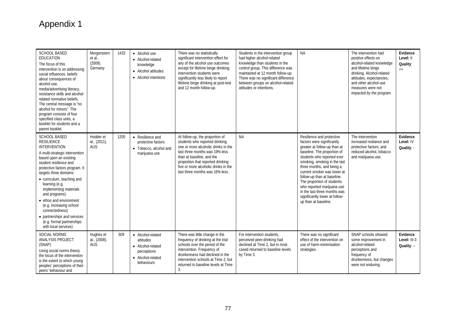| <b>SCHOOL BASED</b><br>EDUCATION<br>The focus of this<br>intervention is on addressing<br>social influences, beliefs<br>about consequences of<br>alcohol use,<br>media/advertising literacy,<br>resistance skills and alcohol-<br>related normative beliefs.<br>The central message is "no<br>alcohol for minors". The<br>program consists of four<br>specified class units, a<br>booklet for students and a<br>parent booklet.                                          | Morgenstern<br>et al.<br>(2009).<br>Germany | 1433 | • Alcohol use<br>• Alcohol-related<br>knowledge<br>• Alcohol attitudes<br>• Alcohol intentions        | There was no statistically<br>significant intervention effect for<br>any of the alcohol use outcomes<br>except for lifetime binge drinking;<br>intervention students were<br>significantly less likely to report<br>lifetime binge drinking at post-test<br>and 12 month follow-up.     | Students in the intervention group<br>had higher alcohol-related<br>knowledge than students in the<br>control group. This difference was<br>maintained at 12 month follow-up.<br>There was no significant difference<br>between groups on alcohol-related<br>attitudes or intentions. | <b>NA</b>                                                                                                                                                                                                                                                                                                                                                                                                                             | The intervention had<br>positive effects on<br>alcohol-related knowledge<br>and lifetime binge<br>drinking. Alcohol-related<br>attitudes, expectancies,<br>and other alcohol-use<br>measures were not<br>impacted by the program. | Evidence<br>Level: II<br>Quality:<br>$++$ |
|--------------------------------------------------------------------------------------------------------------------------------------------------------------------------------------------------------------------------------------------------------------------------------------------------------------------------------------------------------------------------------------------------------------------------------------------------------------------------|---------------------------------------------|------|-------------------------------------------------------------------------------------------------------|-----------------------------------------------------------------------------------------------------------------------------------------------------------------------------------------------------------------------------------------------------------------------------------------|---------------------------------------------------------------------------------------------------------------------------------------------------------------------------------------------------------------------------------------------------------------------------------------|---------------------------------------------------------------------------------------------------------------------------------------------------------------------------------------------------------------------------------------------------------------------------------------------------------------------------------------------------------------------------------------------------------------------------------------|-----------------------------------------------------------------------------------------------------------------------------------------------------------------------------------------------------------------------------------|-------------------------------------------|
| <b>SCHOOL BASED</b><br><b>RESILIENCE</b><br><b>INTERVENTION</b><br>A multi-strategic intervention<br>based upon an existing<br>student resilience and<br>protective factors program. It<br>targets three domains:<br>• curriculum, teaching and<br>learning (e.g.<br>implementing materials<br>and programs)<br>• ethos and environment<br>(e.g. increasing school<br>connectedness)<br>• partnerships and services<br>(e.g. formal partnerships<br>with local services) | Hodder et<br>al., (2011).<br><b>AUS</b>     | 1205 | • Resilience and<br>protective factors<br>• Tobacco, alcohol and<br>marijuana use                     | At follow-up, the proportion of<br>students who reported drinking<br>one or more alcoholic drinks in the<br>last three months was 19% less<br>than at baseline, and the<br>proportion that reported drinking<br>five or more alcoholic drinks in the<br>last three months was 16% less. | <b>NA</b>                                                                                                                                                                                                                                                                             | Resilience and protective<br>factors were significantly<br>greater at follow-up than at<br>baseline. The proportion of<br>students who reported ever<br>smoking, smoking in the last<br>three months, and being a<br>current smoker was lower at<br>follow-up than at baseline.<br>The proportion of students<br>who reported marijuana use<br>in the last three months was<br>significantly lower at follow-<br>up than at baseline. | The intervention<br>increased resliance and<br>protective factors, and<br>reduced alcohol, tobacco<br>and marijuana use.                                                                                                          | Evidence<br>Level: IV<br>Quality: -       |
| <b>SOCIAL NORMS</b><br>ANALYSIS PROJECT<br>(SNAP)<br>Using social norms theory<br>the focus of the intervention<br>is the extent to which young<br>peoples' perceptions of their<br>peers' behaviour and                                                                                                                                                                                                                                                                 | Hughes et<br>al., (2008).<br><b>AUS</b>     | 509  | • Alcohol-related<br>attitudes<br>• Alcohol-related<br>perceptions<br>• Alcohol-related<br>behaviours | There was little change in the<br>frequency of drinking at the trial<br>schools over the period of the<br>intervention. Frequency of<br>drunkenness had declined in the<br>intervention schools at Time 2, but<br>returned to baseline levels at Time<br>3.                             | For intervention students.<br>perceived peer-drinking had<br>declined at Time 2, but in most<br>cased returned to baseline levels<br>by Time 3.                                                                                                                                       | There was no significant<br>effect of the intervention on<br>use of harm-minimisation<br>strategies.                                                                                                                                                                                                                                                                                                                                  | SNAP schools showed<br>some improvement in<br>alcohol-related<br>perceptions and<br>frequency of<br>drunkenness, but changes<br>were not enduring.                                                                                | Evidence<br>Level: III-3<br>Quality: -    |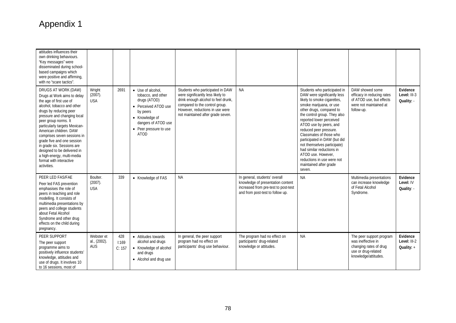| attitudes influences their<br>own drinking behaviours.<br>"Key messages" were<br>disseminated during school-<br>based campaigns which<br>were positive and affirming,<br>with no "scare tactics".                                                                                                                                                                                                                                                         |                                          |                        |                                                                                                                                                                               |                                                                                                                                                                                                                        |                                                                                                                                                |                                                                                                                                                                                                                                                                                                                                                                                                                                                                                  |                                                                                                                         |                                          |
|-----------------------------------------------------------------------------------------------------------------------------------------------------------------------------------------------------------------------------------------------------------------------------------------------------------------------------------------------------------------------------------------------------------------------------------------------------------|------------------------------------------|------------------------|-------------------------------------------------------------------------------------------------------------------------------------------------------------------------------|------------------------------------------------------------------------------------------------------------------------------------------------------------------------------------------------------------------------|------------------------------------------------------------------------------------------------------------------------------------------------|----------------------------------------------------------------------------------------------------------------------------------------------------------------------------------------------------------------------------------------------------------------------------------------------------------------------------------------------------------------------------------------------------------------------------------------------------------------------------------|-------------------------------------------------------------------------------------------------------------------------|------------------------------------------|
| DRUGS AT WORK (DAW)<br>Drugs at Work aims to delay<br>the age of first use of<br>alcohol, tobacco and other<br>drugs by reducing peer<br>pressure and changing local<br>peer group norms. It<br>particularly targets Mexican-<br>American children. DAW<br>comprises seven sessions in<br>grade five and one session<br>in grade six. Sessions are<br>designed to be delivered in<br>a high-energy, multi-media<br>format with interactive<br>activities. | Wright<br>$(2007)$ .<br><b>USA</b>       | 2691                   | • Use of alcohol.<br>tobacco, and other<br>drugs (ATOD)<br>• Perceived ATOD use<br>by peers<br>• Knowledge of<br>dangers of ATOD use<br>• Peer pressure to use<br><b>ATOD</b> | Students who participated in DAW<br>were significantly less likely to<br>drink enough alcohol to feel drunk,<br>compared to the control group.<br>However, reductions in use were<br>not maintained after grade seven. | <b>NA</b>                                                                                                                                      | Students who participated in<br>DAW were significantly less<br>likely to smoke cigarettes,<br>smoke marijuana, or use<br>other drugs, compared to<br>the control group. They also<br>reported lower perceived<br>ATOD use by peers, and<br>reduced peer pressure.<br>Classmates of those who<br>participated in DAW (but did<br>not themselves participate)<br>had similar reductions in<br>ATOD use. However.<br>reductions in use were not<br>maintained after grade<br>seven. | DAW showed some<br>efficacy in reducing rates<br>of ATOD use, but effects<br>were not maintained at<br>follow-up.       | Evidence<br>Level: III-3<br>Quality: -   |
| PEER LED FAS/FAE<br>Peer led FAS prevention<br>emphasises the role of<br>peers in teaching and role<br>modelling. It consists of<br>multimedia presentations by<br>peers and college students<br>about Fetal Alcohol<br>Syndrome and other drug<br>effects on the child during<br>pregnancy.                                                                                                                                                              | Boulter.<br>(2007).<br><b>USA</b>        | 339                    | • Knowledge of FAS                                                                                                                                                            | <b>NA</b>                                                                                                                                                                                                              | In general, students' overall<br>knowledge of presentation content<br>increased from pre-test to post-test<br>and from post-test to follow up. | <b>NA</b>                                                                                                                                                                                                                                                                                                                                                                                                                                                                        | Multimedia presentations<br>can increase knowledge<br>of Fetal Alcohol<br>Syndrome.                                     | Evidence<br>Level: IV<br>Quality: -      |
| PEER SUPPORT<br>The peer support<br>programme aims to<br>positively influence students'<br>knowledge, attitudes and<br>use of drugs. It involves 10<br>to 16 sessions, most of                                                                                                                                                                                                                                                                            | Webster et<br>al., (2002).<br><b>AUS</b> | 428<br>1:169<br>C: 157 | • Attitudes towards<br>alcohol and drugs<br>• Knowledge of alcohol<br>and drugs<br>• Alcohol and drug use                                                                     | In general, the peer support<br>program had no effect on<br>participants' drug use behaviour.                                                                                                                          | The program had no effect on<br>participants' drug-related<br>knowledge or attitudes.                                                          | <b>NA</b>                                                                                                                                                                                                                                                                                                                                                                                                                                                                        | The peer support program<br>was ineffective in<br>changing rates of drug<br>use or drug-related<br>knowledge/attitudes. | Evidence<br>Level: III-2<br>Quality: $+$ |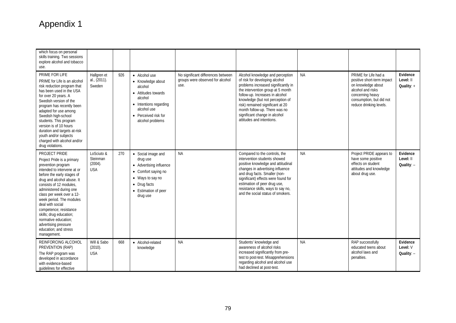| which focus on personal<br>skills training. Two sessions<br>explore alcohol and tobacco<br>use.                                                                                                                                                                                                                                                                                                                                              |                                                 |     |                                                                                                                                                                      |                                                                                |                                                                                                                                                                                                                                                                                                                                                          |           |                                                                                                                                                                          |                                       |
|----------------------------------------------------------------------------------------------------------------------------------------------------------------------------------------------------------------------------------------------------------------------------------------------------------------------------------------------------------------------------------------------------------------------------------------------|-------------------------------------------------|-----|----------------------------------------------------------------------------------------------------------------------------------------------------------------------|--------------------------------------------------------------------------------|----------------------------------------------------------------------------------------------------------------------------------------------------------------------------------------------------------------------------------------------------------------------------------------------------------------------------------------------------------|-----------|--------------------------------------------------------------------------------------------------------------------------------------------------------------------------|---------------------------------------|
| PRIME FOR LIFE<br>PRIME for Life is an alcohol<br>risk reduction program that<br>has been used in the USA<br>for over 20 years. A<br>Swedish version of the<br>program has recently been<br>adapted for use among<br>Swedish high-school<br>students. This program<br>version is of 10 hours<br>duration and targets at-risk<br>youth and/or subjects<br>charged with alcohol and/or<br>drug violations.                                     | Hallgren et<br>al., (2011).<br>Sweden           | 926 | • Alcohol use<br>• Knowledge about<br>alcohol<br>• Attitudes towards<br>alcohol<br>• Intentions regarding<br>alcohol use<br>• Perceived risk for<br>alcohol problems | No significant differences between<br>groups were observed for alcohol<br>use. | Alcohol knowledge and perception<br>of risk for developing alcohol<br>problems increased significantly in<br>the intervention group at 5 month<br>follow-up. Increases in alcohol<br>knowledge (but not perception of<br>risk) remained significant at 20<br>month follow-up. There was no<br>significant change in alcohol<br>attitudes and intentions. | <b>NA</b> | PRIME for Life had a<br>positive short-term impact<br>on knowledge about<br>alcohol and risks<br>concerning heavy<br>consumption, but did not<br>reduce drinking levels. | Evidence<br>Level: II<br>Quality: +   |
| PROJECT PRIDE<br>Project Pride is a primary<br>prevention program<br>intended to intervene at or<br>before the early stages of<br>drug and alcohol abuse. It<br>consists of 12 modules.<br>administered during one<br>class per week over a 12-<br>week period. The modules<br>deal with social<br>competence; resistance<br>skills; drug education;<br>normative education:<br>advertising pressure<br>education; and stress<br>management. | LoSciuto &<br>Steinman<br>(2004).<br><b>USA</b> | 270 | • Social image and<br>drug use<br>• Advertising influence<br>• Comfort saying no<br>• Ways to say no<br>• Drug facts<br>• Estimation of peer<br>drug use             | <b>NA</b>                                                                      | Compared to the controls, the<br>intervention students showed<br>positive knowledge and attitudinal<br>changes in advertising influence<br>and drug facts. Smaller (non-<br>significant) effects were found for<br>estimation of peer drug use,<br>resistance skills, ways to say no,<br>and the social status of smokers.                               | <b>NA</b> | Project PRIDE appears to<br>have some positive<br>effects on student<br>attitudes and knowledge<br>about drug use.                                                       | Evidence<br>Level: II<br>Quality: $-$ |
| REINFORCING ALCOHOL<br>PREVENTION (RAP)<br>The RAP program was<br>developed in accordance<br>with evidence-based<br>quidelines for effective                                                                                                                                                                                                                                                                                                 | Will & Sabo<br>(2010).<br><b>USA</b>            | 668 | • Alcohol-related<br>knowledge                                                                                                                                       | <b>NA</b>                                                                      | Students' knowledge and<br>awareness of alcohol risks<br>increased significantly from pre-<br>test to post-test. Misapprehensions<br>regarding alcohol and alcohol use<br>had declined at post-test.                                                                                                                                                     | <b>NA</b> | RAP successfully<br>educated teens about<br>alcohol laws and<br>penalties.                                                                                               | Evidence<br>Level: V<br>Quality: -    |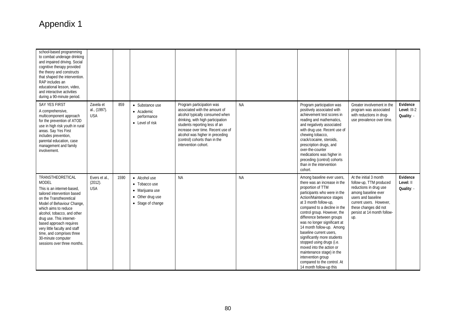| school-based programming<br>to combat underage drinking<br>and impaired driving. Social<br>cognitive therapy provided<br>the theory and constructs<br>that shaped the intervention.<br>RAP includes an<br>educational lesson, video.<br>and interactive activities<br>during a 90-minute period.                                                                                        |                                         |      |                                                                                            |                                                                                                                                                                                                                                                                                                      |           |                                                                                                                                                                                                                                                                                                                                                                                                                                                                                                                                                                |                                                                                                                                                                                                                    |                                        |
|-----------------------------------------------------------------------------------------------------------------------------------------------------------------------------------------------------------------------------------------------------------------------------------------------------------------------------------------------------------------------------------------|-----------------------------------------|------|--------------------------------------------------------------------------------------------|------------------------------------------------------------------------------------------------------------------------------------------------------------------------------------------------------------------------------------------------------------------------------------------------------|-----------|----------------------------------------------------------------------------------------------------------------------------------------------------------------------------------------------------------------------------------------------------------------------------------------------------------------------------------------------------------------------------------------------------------------------------------------------------------------------------------------------------------------------------------------------------------------|--------------------------------------------------------------------------------------------------------------------------------------------------------------------------------------------------------------------|----------------------------------------|
| SAY YES FIRST<br>A comprehensive,<br>multicomponent approach<br>for the prevention of ATOD<br>use in high risk youth in rural<br>areas. Say Yes First<br>includes prevention,<br>parental education, case<br>management and family<br>involvement.                                                                                                                                      | Zavela et<br>al., (1997).<br><b>USA</b> | 859  | • Substance use<br>• Academic<br>performance<br>• Level of risk                            | Program participation was<br>associated with the amount of<br>alcohol typically consumed when<br>drinking, with high participation<br>students reporting less of an<br>increase over time. Recent use of<br>alcohol was higher in preceding<br>(control) cohorts than in the<br>intervention cohort. | <b>NA</b> | Program participation was<br>positively associated with<br>achievement test scores in<br>reading and mathematics,<br>and negatively associated<br>with drug use. Recent use of<br>chewing tobacco,<br>crack/cocaine, steroids,<br>prescription drugs, and<br>over-the-counter<br>medications was higher in<br>preceding (control) cohorts<br>than in the intervention<br>cohort.                                                                                                                                                                               | Greater involvement in the<br>program was associated<br>with reductions in drug-<br>use prevalence over time.                                                                                                      | Evidence<br>Level: III-2<br>Quality: - |
| TRANSTHEORETICAL<br><b>MODEL</b><br>This is an internet-based.<br>tailored intervention based<br>on the Transtheoretical<br>Model of Behaviour Change,<br>which aims to reduce<br>alcohol, tobacco, and other<br>drug use. This internet-<br>based approach requires<br>very little faculty and staff<br>time, and comprises three<br>30-minute computer<br>sessions over three months. | Evers et al.,<br>(2012).<br><b>USA</b>  | 1590 | • Alcohol use<br>• Tobacco use<br>• Marijuana use<br>• Other drug use<br>• Stage of change | <b>NA</b>                                                                                                                                                                                                                                                                                            | <b>NA</b> | Among baseline ever users,<br>there was an increase in the<br>proportion of TTM<br>participants who were in the<br>Action/Maintenance stages<br>at 3 month follow-up,<br>compared to a decline in the<br>control group. However, the<br>difference between groups<br>was no longer significant at<br>14 month follow-up. Among<br>baseline current users,<br>significantly more students<br>stopped using drugs (i.e.<br>moved into the action or<br>maintenance stage) in the<br>intervention group<br>compared to the control. At<br>14 month follow-up this | At the initial 3 month<br>follow-up, TTM produced<br>reductions in drug use<br>among baseline ever<br>users and baseline<br>current users. However,<br>these changes did not<br>persist at 14 month follow-<br>up. | Evidence<br>Level: II<br>Quality: -    |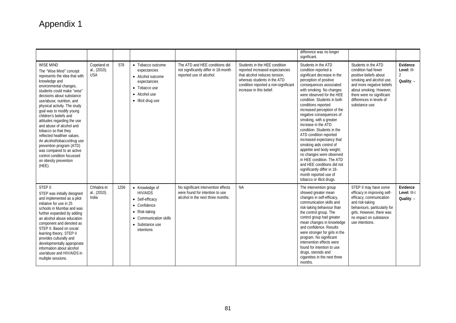|                                                                                                                                                                                                                                                                                                                                                                                                                                                                                                                                                                           |                                           |      |                                                                                                                                                  |                                                                                                             |                                                                                                                                                                                                      | difference was no longer<br>significant.                                                                                                                                                                                                                                                                                                                                                                                                                                                                                                                                                                                                                                             |                                                                                                                                                                                                                                     |                                                         |
|---------------------------------------------------------------------------------------------------------------------------------------------------------------------------------------------------------------------------------------------------------------------------------------------------------------------------------------------------------------------------------------------------------------------------------------------------------------------------------------------------------------------------------------------------------------------------|-------------------------------------------|------|--------------------------------------------------------------------------------------------------------------------------------------------------|-------------------------------------------------------------------------------------------------------------|------------------------------------------------------------------------------------------------------------------------------------------------------------------------------------------------------|--------------------------------------------------------------------------------------------------------------------------------------------------------------------------------------------------------------------------------------------------------------------------------------------------------------------------------------------------------------------------------------------------------------------------------------------------------------------------------------------------------------------------------------------------------------------------------------------------------------------------------------------------------------------------------------|-------------------------------------------------------------------------------------------------------------------------------------------------------------------------------------------------------------------------------------|---------------------------------------------------------|
| WISE MIND<br>The "Wise Mind" concept<br>represents the idea that with<br>knowledge and<br>environmental changes,<br>students could make "wise"<br>decisions about substance<br>use/abuse, nutrition, and<br>physical activity. The study<br>goal was to modify young<br>children's beliefs and<br>attitudes regarding the use<br>and abuse of alcohol and<br>tobacco so that they<br>reflected healthier values.<br>An alcohol/tobacco/drug use<br>prevention program (ATD)<br>was compared to an active<br>control condition focussed<br>on obesity prevention<br>(HEE). | Copeland et<br>al., (2010).<br><b>USA</b> | 578  | • Tobacco outcome<br>expectancies<br>• Alcohol outcome<br>expectancies<br>• Tobacco use<br>• Alcohol use<br>• Illicit drug use                   | The ATD and HEE conditions did<br>not significantly differ in 18-month<br>reported use of alcohol.          | Students in the HEE condition<br>reported increased expectancies<br>that alcohol reduces tension.<br>whereas students in the ATD<br>condition reported a non-significant<br>increase in this belief. | Students in the ATD<br>condition reported a<br>significant decrease in the<br>perception of positive<br>consequences associated<br>with smoking. No changes<br>were observed for the HEE<br>condition. Students in both<br>conditions reported<br>increased perception of the<br>negative consequences of<br>smoking, with a greater<br>increase in the ATD<br>condition. Students in the<br>ATD condition reported<br>increased expectancy that<br>smoking aids control of<br>appetite and body weight;<br>no changes were observed<br>in HEE condition. The ATD<br>and HEE conditions did not<br>significantly differ in 18-<br>month reported use of<br>tobacco or illicit drugs. | Students in the ATD<br>condition had fewer<br>positive beliefs about<br>smoking and alcohol use,<br>and more negative beliefs<br>about smoking. However,<br>there were no significant<br>differences in levels of<br>substance use. | Evidence<br>Level: III-<br>$\overline{2}$<br>Quality: - |
| STEP II<br>STEP was initially designed<br>and implemented as a pilot<br>initiative for use in 25<br>schools in Mumbai and was<br>further expanded by adding<br>an alcohol abuse education<br>component and denoted as<br>STEP II. Based on social<br>learning theory, STEP II<br>provides culturally and<br>developmentally appropriate<br>information about alcohol<br>use/abuse and HIV/AIDS in<br>multiple sessions.                                                                                                                                                   | Chhabra et<br>al., (2010).<br>India       | 1256 | • Knowledge of<br><b>HIV/AIDS</b><br>• Self-efficacy<br>• Confidence<br>• Risk-taking<br>• Communication skills<br>• Substance use<br>intentions | No significant intervention effects<br>were found for intention to use<br>alcohol in the next three months. | <b>NA</b>                                                                                                                                                                                            | The intervention group<br>showed greater mean<br>changes in self-efficacy,<br>communication skills and<br>risk-taking behaviour than<br>the control group. The<br>control group had greater<br>mean changes in knowledge<br>and confidence. Results<br>were stronger for girls in the<br>program. No significant<br>intervention effects were<br>found for intention to use<br>drugs, steroids and<br>cigarettes in the next three<br>months.                                                                                                                                                                                                                                        | STEP II may have some<br>efficacy in improving self-<br>efficacy, communication<br>and risk-taking<br>behaviours, particularly for<br>girls. However, there was<br>no impact on substance<br>use intentions.                        | Evidence<br>Level: III-I<br>Quality: $-$                |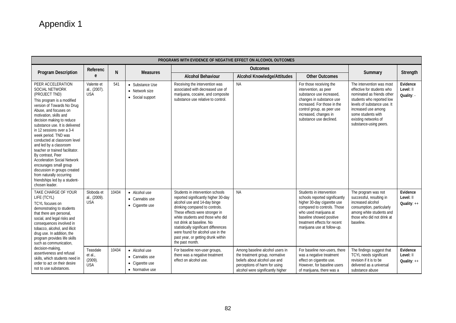|                                                                                                                                                                                                                                                                                                                                                                                                                                                                                                                                                                                                 | PROGRAMS WITH EVIDENCE OF NEGATIVE EFFECT ON ALCOHOL OUTCOMES |                |                                                                     |                                                                                                                                                                                                                                                                                                                                                                                                                       |                                                                                                                                       |                                                                                                                                                                                                                                                                               |                                                                                                                                                                                                                                                  |                                                    |
|-------------------------------------------------------------------------------------------------------------------------------------------------------------------------------------------------------------------------------------------------------------------------------------------------------------------------------------------------------------------------------------------------------------------------------------------------------------------------------------------------------------------------------------------------------------------------------------------------|---------------------------------------------------------------|----------------|---------------------------------------------------------------------|-----------------------------------------------------------------------------------------------------------------------------------------------------------------------------------------------------------------------------------------------------------------------------------------------------------------------------------------------------------------------------------------------------------------------|---------------------------------------------------------------------------------------------------------------------------------------|-------------------------------------------------------------------------------------------------------------------------------------------------------------------------------------------------------------------------------------------------------------------------------|--------------------------------------------------------------------------------------------------------------------------------------------------------------------------------------------------------------------------------------------------|----------------------------------------------------|
| <b>Program Description</b>                                                                                                                                                                                                                                                                                                                                                                                                                                                                                                                                                                      | Referenc                                                      | N              | <b>Measures</b>                                                     | <b>Outcomes</b>                                                                                                                                                                                                                                                                                                                                                                                                       |                                                                                                                                       |                                                                                                                                                                                                                                                                               |                                                                                                                                                                                                                                                  |                                                    |
|                                                                                                                                                                                                                                                                                                                                                                                                                                                                                                                                                                                                 | e                                                             |                |                                                                     | <b>Alcohol Behaviour</b>                                                                                                                                                                                                                                                                                                                                                                                              | <b>Alcohol Knowledge/Attitudes</b>                                                                                                    | <b>Other Outcomes</b>                                                                                                                                                                                                                                                         | Summary                                                                                                                                                                                                                                          | Strength                                           |
| PEER ACCELERATION<br><b>SOCIAL NETWORK</b><br>(PROJECT TND)<br>This program is a modified<br>version of Towards No Drug<br>Abuse, and focuses on<br>motivation, skills and<br>decision making to reduce<br>substance use. It is delivered<br>in 12 sessions over a 3-4<br>week period. TND was<br>conducted at classroom level<br>and led by a classroom<br>teacher or trained facilitator.<br>By contrast, Peer<br><b>Acceleration Social Network</b><br>encourages small group<br>discussion in groups created<br>from naturally occurring<br>friendships led by a student-<br>chosen leader. | Valente et<br>al., (2007).<br><b>USA</b>                      | 541            | • Substance Use<br>• Network size<br>• Social support               | Receiving the intervention was<br>associated with decreased use of<br>marijuana, cocaine, and composite<br>substance use relative to control.                                                                                                                                                                                                                                                                         | <b>NA</b>                                                                                                                             | For those receiving the<br>intervention, as peer<br>substance use increased,<br>changes in substance use<br>increased. For those in the<br>control group, as peer use<br>increased, changes in<br>substance use declined.                                                     | The intervention was most<br>effective for students who<br>nominated as friends other<br>students who reported low<br>levels of substance use. It<br>increased use among<br>some students with<br>existing networks of<br>substance-using peers. | Evidence<br>Level: II<br>Quality: -                |
| TAKE CHARGE OF YOUR<br>LIFE (TCYL)<br><b>TCYL</b> focuses on<br>demonstrating to students<br>that there are personal,<br>social, and legal risks and<br>consequences involved in<br>tobacco, alcohol, and illicit<br>drug use. In addition, the<br>program provides life skills<br>such as communication,<br>decision-making,                                                                                                                                                                                                                                                                   | Sloboda et<br>al., (2009).<br><b>USA</b><br>Teasdale          | 10434<br>10434 | • Alcohol use<br>• Cannabis use<br>• Cigarette use<br>• Alcohol use | Students in intervention schools<br>reported significantly higher 30-day<br>alcohol use and 14-day binge<br>drinking compared to controls.<br>These effects were stronger in<br>white students and those who did<br>not drink at baseline. No<br>statistically significant differences<br>were found for alcohol use in the<br>past year, or getting drunk within<br>the past month.<br>For baseline non-user groups, | <b>NA</b><br>Among baseline alcohol users in                                                                                          | Students in intervention<br>schools reported significantly<br>higher 30-day cigarette use<br>compared to controls. Those<br>who used marijuana at<br>baseline showed positive<br>treatment effects for recent<br>marijuana use at follow-up.<br>For baseline non-users, there | The program was not<br>successful, resulting in<br>increased alcohol<br>consumption, particularly<br>among white students and<br>those who did not drink at<br>baseline.<br>The findings suggest that                                            | Evidence<br>Level: II<br>Quality: $++$<br>Evidence |
| assertiveness and refusal<br>skills, which students need in<br>order to act on their desire<br>not to use substances.                                                                                                                                                                                                                                                                                                                                                                                                                                                                           | et al.,<br>$(2009)$ .<br><b>USA</b>                           |                | • Cannabis use<br>• Cigarette use<br>• Normative use                | there was a negative treatment<br>effect on alcohol use.                                                                                                                                                                                                                                                                                                                                                              | the treatment group, normative<br>beliefs about alcohol use and<br>perceptions of harm for using<br>alcohol were significantly higher | was a negative treatment<br>effect on cigarette use.<br>However, for baseline users<br>of marijuana, there was a                                                                                                                                                              | <b>TCYL</b> needs significant<br>revision if it is to be<br>delivered as a universal<br>substance abuse                                                                                                                                          | Level: II<br>Quality: $++$                         |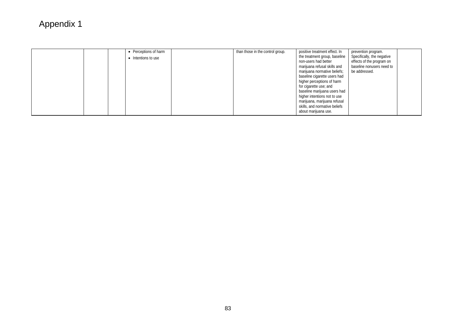| • Perceptions of harm<br>• Intentions to use | than those in the control group. | positive treatment effect. In<br>the treatment group, baseline<br>non-users had better<br>marijuana refusal skills and<br>marijuana normative beliefs;<br>baseline cigarette users had<br>higher perceptions of harm<br>for cigarette use; and<br>baseline marijuana users had<br>higher intentions not to use<br>marijuana, marijuana refusal<br>skills, and normative beliefs<br>about marijuana use. | prevention program.<br>Specifically, the negative<br>effects of the program on<br>baseline nonusers need to<br>be addressed. |  |
|----------------------------------------------|----------------------------------|---------------------------------------------------------------------------------------------------------------------------------------------------------------------------------------------------------------------------------------------------------------------------------------------------------------------------------------------------------------------------------------------------------|------------------------------------------------------------------------------------------------------------------------------|--|
|----------------------------------------------|----------------------------------|---------------------------------------------------------------------------------------------------------------------------------------------------------------------------------------------------------------------------------------------------------------------------------------------------------------------------------------------------------------------------------------------------------|------------------------------------------------------------------------------------------------------------------------------|--|